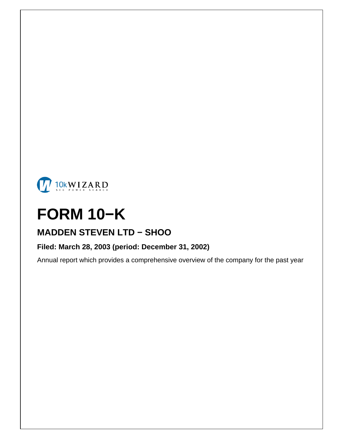

# **FORM 10−K**

# **MADDEN STEVEN LTD − SHOO**

# **Filed: March 28, 2003 (period: December 31, 2002)**

Annual report which provides a comprehensive overview of the company for the past year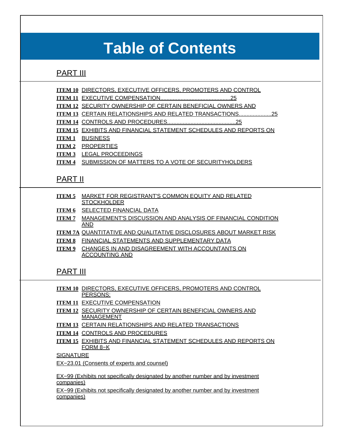# **Table of Contents**

# **[PART III](#page-3-0)**

|                  | ITEM 10 DIRECTORS, EXECUTIVE OFFICERS, PROMOTERS AND CONTROL                            |
|------------------|-----------------------------------------------------------------------------------------|
|                  |                                                                                         |
|                  | <b>ITEM 12 SECURITY OWNERSHIP OF CERTAIN BENEFICIAL OWNERS AND</b>                      |
|                  | ITEM 13 CERTAIN RELATIONSHIPS AND RELATED TRANSACTIONS25                                |
|                  |                                                                                         |
|                  | ITEM 15 EXHIBITS AND FINANCIAL STATEMENT SCHEDULES AND REPORTS ON                       |
|                  | <b>ITEM 1 BUSINESS</b>                                                                  |
|                  | <b>ITEM 2 PROPERTIES</b>                                                                |
|                  | <b>ITEM 3 LEGAL PROCEEDINGS</b>                                                         |
|                  | <b>ITEM 4 SUBMISSION OF MATTERS TO A VOTE OF SECURITYHOLDERS</b>                        |
| <b>PART II</b>   |                                                                                         |
|                  | <b>ITEM 5 MARKET FOR REGISTRANT'S COMMON EQUITY AND RELATED</b><br><b>STOCKHOLDER</b>   |
|                  | <b>ITEM 6 SELECTED FINANCIAL DATA</b>                                                   |
|                  | ITEM 7 MANAGEMENT'S DISCUSSION AND ANALYSIS OF FINANCIAL CONDITION<br>AND               |
|                  | <b>ITEM 7A QUANTITATIVE AND QUALITATIVE DISCLOSURES ABOUT MARKET RISK</b>               |
|                  | <b>ITEM 8 FINANCIAL STATEMENTS AND SUPPLEMENTARY DATA</b>                               |
|                  | <b>ITEM 9 CHANGES IN AND DISAGREEMENT WITH ACCOUNTANTS ON</b><br><b>ACCOUNTING AND</b>  |
| <b>PART III</b>  |                                                                                         |
|                  | ITEM 10 DIRECTORS, EXECUTIVE OFFICERS, PROMOTERS AND CONTROL<br>PERSONS:                |
|                  | <b>ITEM 11 EXECUTIVE COMPENSATION</b>                                                   |
|                  | <b>ITEM 12 SECURITY OWNERSHIP OF CERTAIN BENEFICIAL OWNERS AND</b><br><b>MANAGEMENT</b> |
|                  | <b>ITEM 13 CERTAIN RELATIONSHIPS AND RELATED TRANSACTIONS</b>                           |
|                  | <b>ITEM 14 CONTROLS AND PROCEDURES</b>                                                  |
|                  | ITEM 15 EXHIBITS AND FINANCIAL STATEMENT SCHEDULES AND REPORTS ON<br>FORM 8-K           |
| <b>SIGNATURE</b> |                                                                                         |
|                  | EX-23.01 (Consents of experts and counsel)                                              |
| companies)       | EX-99 (Exhibits not specifically designated by another number and by investment         |
| companies)       | EX-99 (Exhibits not specifically designated by another number and by investment         |
|                  |                                                                                         |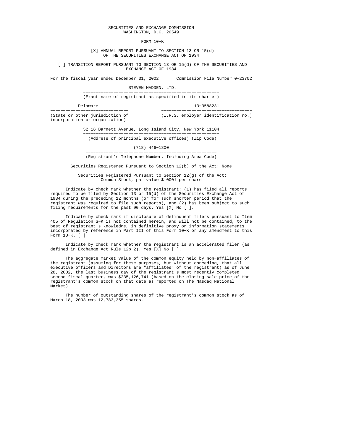#### SECURITIES AND EXCHANGE COMMISSION WASHINGTON, D.C. 20549

#### FORM 10−K

 [X] ANNUAL REPORT PURSUANT TO SECTION 13 OR 15(d) OF THE SECURITIES EXCHANGE ACT OF 1934

 [ ] TRANSITION REPORT PURSUANT TO SECTION 13 OR 15(d) OF THE SECURITIES AND EXCHANGE ACT OF 1934

For the fiscal year ended December 31, 2002 Commission File Number 0−23702

STEVEN MADDEN, LTD.

 −−−−−−−−−−−−−−−−−−−−−−−−−−−−−−−−−−−−−−−−−−−−−−−−−−−−−− (Exact name of registrant as specified in its charter)

Delaware 13−3588231

−−−−−−−−−−−−−−−−−−−−−−−−−−−−−−− −−−−−−−−−−−−−−−−−−−−−−−−−−−−−−−−−−−− incorporation or organization)

(I.R.S. employer identification no.)

 52−16 Barnett Avenue, Long Island City, New York 11104 −−−−−−−−−−−−−−−−−−−−−−−−−−−−−−−−−−−−−−−−−−−−−−−−−−−−−− (Address of principal executive offices) (Zip Code)

#### (718) 446−1800

 −−−−−−−−−−−−−−−−−−−−−−−−−−−−−−−−−−−−−−−−−−−−−−−−−−−− (Registrant's Telephone Number, Including Area Code)

Securities Registered Pursuant to Section 12(b) of the Act: None

 Securities Registered Pursuant to Section 12(g) of the Act: Common Stock, par value \$.0001 per share

 Indicate by check mark whether the registrant: (1) has filed all reports required to be filed by Section 13 or 15(d) of the Securities Exchange Act of 1934 during the preceding 12 months (or for such shorter period that the registrant was required to file such reports), and (2) has been subject to such filing requirements for the past 90 days. Yes [X] No [ ].

 Indicate by check mark if disclosure of delinquent filers pursuant to Item 405 of Regulation S−K is not contained herein, and will not be contained, to the best of registrant's knowledge, in definitive proxy or information statements incorporated by reference in Part III of this Form 10−K or any amendment to this Form 10−K. [ ]

 Indicate by check mark whether the registrant is an accelerated filer (as defined in Exchange Act Rule 12b−2). Yes [X] No [ ].

 The aggregate market value of the common equity held by non−affiliates of the registrant (assuming for these purposes, but without conceding, that all executive officers and Directors are "affiliates" of the registrant) as of June 28, 2002, the last business day of the registrant's most recently completed second fiscal quarter, was \$235,126,741 (based on the closing sale price of the registrant's common stock on that date as reported on The Nasdaq National Market).

 The number of outstanding shares of the registrant's common stock as of March 18, 2003 was 12,783,355 shares.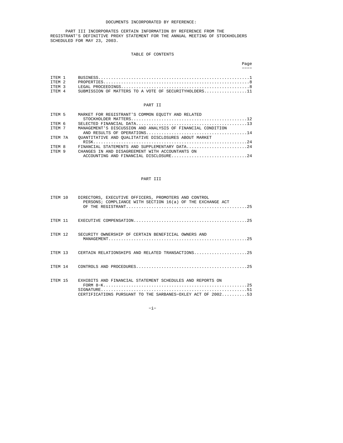PART III INCORPORATES CERTAIN INFORMATION BY REFERENCE FROM THE REGISTRANT'S DEFINITIVE PROXY STATEMENT FOR THE ANNUAL MEETING OF STOCKHOLDERS SCHEDULED FOR MAY 23, 2003.

# TABLE OF CONTENTS

 Page −−−−

|  | ITEM 4 SUBMISSION OF MATTERS TO A VOTE OF SECURITYHOLDERS11 |
|--|-------------------------------------------------------------|

# PART II

|         | ITEM 5 | MARKET FOR REGISTRANT'S COMMON EOUITY AND RELATED           |
|---------|--------|-------------------------------------------------------------|
|         |        |                                                             |
| TTEM 6  |        |                                                             |
| ITEM 7  |        | MANAGEMENT'S DISCUSSION AND ANALYSIS OF FINANCIAL CONDITION |
|         |        |                                                             |
| ITEM 7A |        | OUANTITATIVE AND OUALITATIVE DISCLOSURES ABOUT MARKET       |
|         |        |                                                             |
| ITEM 8  |        | FINANCIAL STATEMENTS AND SUPPLEMENTARY DATA24               |
| TTEM 9  |        | CHANGES IN AND DISAGREEMENT WITH ACCOUNTANTS ON             |
|         |        | ACCOUNTING AND FINANCIAL DISCLOSURE24                       |

# PART III

<span id="page-3-4"></span><span id="page-3-3"></span><span id="page-3-2"></span><span id="page-3-1"></span><span id="page-3-0"></span>

| TTEM 10 | DIRECTORS, EXECUTIVE OFFICERS, PROMOTERS AND CONTROL<br>PERSONS; COMPLIANCE WITH SECTION 16(a) OF THE EXCHANGE ACT       |
|---------|--------------------------------------------------------------------------------------------------------------------------|
|         |                                                                                                                          |
|         | ITEM 12 SECURITY OWNERSHIP OF CERTAIN BENEFICIAL OWNERS AND                                                              |
|         | ITEM 13 CERTAIN RELATIONSHIPS AND RELATED TRANSACTIONS25                                                                 |
|         |                                                                                                                          |
| TTEM 15 | EXHIBITS AND FINANCIAL STATEMENT SCHEDULES AND REPORTS ON<br>CERTIFICATIONS PURSUANT TO THE SARBANES-OXLEY ACT OF 200253 |

<span id="page-3-6"></span><span id="page-3-5"></span> $-i-$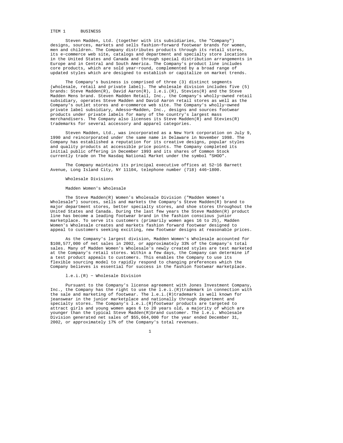# <span id="page-4-0"></span>ITEM 1 BUSINESS

 Steven Madden, Ltd. (together with its subsidiaries, the "Company") designs, sources, markets and sells fashion−forward footwear brands for women, men and children. The Company distributes products through its retail stores, its e−commerce web site, catalogs and department and specialty store locations in the United States and Canada and through special distribution arrangements in Europe and in Central and South America. The Company's product line includes core products, which are sold year−round, complemented by a broad range of updated styles which are designed to establish or capitalize on market trends.

 The Company's business is comprised of three (3) distinct segments (wholesale, retail and private label). The wholesale division includes five (5) brands: Steve Madden(R), David Aaron(R), l.e.i.(R), Stevies(R) and the Steve Madden Mens brand. Steven Madden Retail, Inc., the Company's wholly−owned retail subsidiary, operates Steve Madden and David Aaron retail stores as well as the Company's outlet stores and e−commerce web site. The Company's wholly−owned private label subsidiary, Adesso−Madden, Inc., designs and sources footwear products under private labels for many of the country's largest mass merchandisers. The Company also licenses its Steve Madden(R) and Stevies(R) trademarks for several accessory and apparel categories.

 Steven Madden, Ltd., was incorporated as a New York corporation on July 9, 1990 and reincorporated under the same name in Delaware in November 1998. The Company has established a reputation for its creative designs, popular styles and quality products at accessible price points. The Company completed its initial public offering in December 1993 and its shares of Common Stock currently trade on The Nasdaq National Market under the symbol "SHOO".

 The Company maintains its principal executive offices at 52−16 Barnett Avenue, Long Island City, NY 11104, telephone number (718) 446−1800.

#### Wholesale Divisions

#### Madden Women's Wholesale

 The Steve Madden(R) Women's Wholesale Division ("Madden Women's Wholesale") sources, sells and markets the Company's Steve Madden(R) brand to major department stores, better specialty stores, and shoe stores throughout the United States and Canada. During the last few years the Steve Madden(R) product line has become a leading footwear brand in the fashion conscious junior marketplace. To serve its customers (primarily women ages 16 to 25), Madden Women's Wholesale creates and markets fashion forward footwear designed to appeal to customers seeking exciting, new footwear designs at reasonable prices.

 As the Company's largest division, Madden Women's Wholesale accounted for \$108,577,000 of net sales in 2002, or approximately 33% of the Company's total sales. Many of Madden Women's Wholesale's newly created styles are test marketed at the Company's retail stores. Within a few days, the Company can determine if a test product appeals to customers. This enables the Company to use its flexible sourcing model to rapidly respond to changing preferences which the Company believes is essential for success in the fashion footwear marketplace.

# l.e.i.(R) − Wholesale Division

 $1$ 

 Pursuant to the Company's license agreement with Jones Investment Company, Inc., the Company has the right to use the l.e.i.(R)trademark in connection with the sale and marketing of footwear. The l.e.i.(R)trademark is well known for jeanswear in the junior marketplace and nationally through department and specialty stores. The Company's l.e.i.(R)footwear products are targeted to attract girls and young women ages 6 to 20 years old, a majority of which are younger than the typical Steve Madden(R)brand customer. The l.e.i. Wholesale Division generated net sales of \$55,664,000 for the year ended December 31, 2002, or approximately 17% of the Company's total revenues.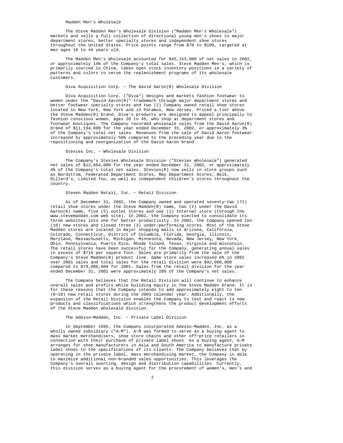#### Madden Men's Wholesale

 The Steve Madden Men's Wholesale Division ("Madden Men's Wholesale") markets and sells a full collection of directional young men's shoes to major department stores, better specialty stores and independent shoe stores throughout the United States. Price points range from \$70 to \$100, targeted at men ages 18 to 44 years old.

 The Madden Men's Wholesale accounted for \$45,153,000 of net sales in 2002, or approximately 14% of the Company's total sales. Steve Madden Men's, which is primarily sourced in China, takes open stock inventory positions in a variety of patterns and colors to serve the replenishment programs of its wholesale customers.

Diva Acquisition Corp. − The David Aaron(R) Wholesale Division

 Diva Acquisition Corp. ("Diva") designs and markets fashion footwear to women under the "David Aaron(R)" trademark through major department stores and better footwear specialty stores and two (2) Company owned retail shoe stores located in New York, New York and in Paramus, New Jersey. Priced a tier above the Steve Madden(R) brand, Diva's products are designed to appeal principally to fashion conscious women, ages 26 to 45, who shop at department stores and footwear boutiques. The Company recorded wholesale sales from the David Aaron(R) brand of \$11,194,000 for the year ended December 31, 2002, or approximately 3% of the Company's total net sales. Revenues from the sale of David Aaron footwear increased by approximately 50% compared to the preceding year due to the repositioning and reorganization of the David Aaron brand.

Stevies Inc. − Wholesale Division

 The Company's Stevies Wholesale Division ("Stevies Wholesale") generated net sales of \$13,664,000 for the year ended December 31, 2002, or approximately 4% of the Company's total net sales. Stevies(R) now sells in store groups such as Nordstrom, Federated Department Stores, May Department Stores, Belk, Dillard's, Limited Too, as well as independent children's stores throughout the country.

#### Steven Madden Retail, Inc. − Retail Division

 As of December 31, 2002, the Company owned and operated seventy−two (72) retail shoe stores under the Steve Madden(R) name, two (2) under the David Aaron(R) name, five (5) outlet stores and one (1) Internet store (through the www.stevemadden.com web site). In 2002, the Company elected to consolidate its three websites into one for better productivity. In 2002, the Company opened ten (10) new stores and closed three (3) under−performing stores. Most of the Steve Madden stores are located in major shopping malls in Arizona, California, Colorado, Connecticut, District of Columbia, Florida, Georgia, Illinois, Maryland, Massachusetts, Michigan, Minnesota, Nevada, New Jersey, New York, Ohio, Pennsylvania, Puerto Rico, Rhode Island, Texas, Virginia and Wisconsin. The retail stores have been successful for the Company, generating annual sales in excess of \$716 per square foot. Sales are primarily from the sale of the Company's Steve Madden(R) product line. Same store sales increased 6% in 2002 over 2001 sales and total sales for the retail division were \$92,000,000 compared to \$79,000,000 for 2001. Sales from the retail division for the year ended December 31, 2002 were approximately 28% of the Company's net sales.

 The Company believes that the Retail Division will continue to enhance overall sales and profits while building equity in the Steve Madden brand. It is for these reasons that the Company intends to add approximately eight to ten (8−10) new retail stores during the 2003 calendar year. Additionally, the expansion of the Retail Division enables the Company to test and react to new products and classifications which strengthens the product development efforts of the Steve Madden wholesale division.

#### The Adesso−Madden, Inc. − Private Label Division

 In September 1995, the Company incorporated Adesso−Madden, Inc. as a wholly owned subsidiary ("A−M"). A−M was formed to serve as a buying agent to mass market merchandisers, shoe store chains and other off−price retailers in connection with their purchase of private label shoes. As a buying agent, A−M arranges for shoe manufacturers in Asia and South America to manufacture private label shoes to the specifications of its clients. The Company believes that by operating in the private label, mass merchandising market, the Company is able to maximize additional non−branded sales opportunities. This leverages the Company's overall sourcing, design and distribution capabilities. Currently, this division serves as a buying agent for the procurement of women's, men's and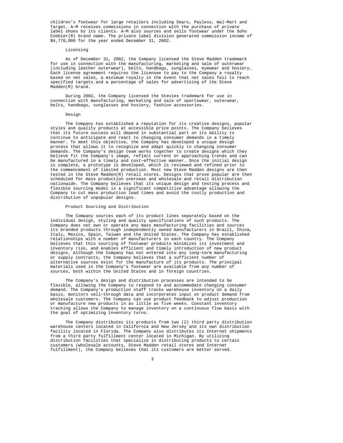children's footwear for large retailers including Sears, Payless, Wal−Mart and Target. A−M receives commissions in connection with the purchase of private label shoes by its clients. A−M also sources and sells footwear under the Soho Cobbler(R) brand name. The private label division generated commission income of \$4,770,000 for the year ended December 31, 2002.

#### Licensing

 As of December 31, 2002, the Company licensed the Steve Madden trademark for use in connection with the manufacturing, marketing and sale of outerwear (including leather outerwear), belts, handbags, sunglasses, eyewear and hosiery. Each license agreement requires the licensee to pay to the Company a royalty based on net sales, a minimum royalty in the event that net sales fail to reach specified targets and a percentage of sales for advertising of the Steve Madden(R) brand.

 During 2002, the Company licensed the Stevies trademark for use in connection with manufacturing, marketing and sale of sportswear, outerwear, belts, handbags, sunglasses and hosiery, fashion accessories.

#### Design

 The Company has established a reputation for its creative designs, popular styles and quality products at accessible price points. The Company believes that its future success will depend in substantial part on its ability to continue to anticipate and react to changing consumer demands in a timely manner. To meet this objective, the Company has developed a unique design process that allows it to recognize and adapt quickly to changing consumer demands. The Company's design team works together to create designs which they believe fit the Company's image, reflect current or approaching trends and can be manufactured in a timely and cost−effective manner. Once the initial design is complete, a prototype is developed, which is reviewed and refined prior to the commencement of limited production. Most new Steve Madden designs are then tested in the Steve Madden $(R)$  retail stores. Designs that prove popular are then scheduled for mass production overseas and wholesale and retail distribution nationwide. The Company believes that its unique design and testing process and flexible sourcing model is a significant competitive advantage allowing the Company to cut mass production lead times and avoid the costly production and distribution of unpopular designs.

#### Product Sourcing and Distribution

 The Company sources each of its product lines separately based on the individual design, styling and quality specifications of such products. The Company does not own or operate any mass manufacturing facilities and sources its branded products through independently owned manufacturers in Brazil, China, Italy, Mexico, Spain, Taiwan and the United States. The Company has established relationships with a number of manufacturers in each country. The Company believes that this sourcing of footwear products minimizes its investment and inventory risk, and enables efficient and timely introduction of new product designs. Although the Company has not entered into any long−term manufacturing or supply contracts, the Company believes that a sufficient number of alternative sources exist for the manufacture of its products. The principal materials used in the Company's footwear are available from any number of sources, both within the United States and in foreign countries.

 The Company's design and distribution processes are intended to be flexible, allowing the Company to respond to and accommodate changing consumer demand. The Company's production staff tracks warehouse inventory on a daily basis, monitors sell−through data and incorporates input on product demand from wholesale customers. The Company can use product feedback to adjust production or manufacture new products in as little as five weeks. Constant inventory tracking allows the Company to manage inventory on a continuous flow basis with the goal of optimizing inventory turns.

 The Company distributes its products from two (2) third party distribution warehouse centers located in California and New Jersey and its own distribution facility located in Florida. The Company also distributes its Internet shipments from a third party fulfillment center located in Michigan. By utilizing distribution facilities that specialize in distributing products to certain customers (wholesale accounts, Steve Madden retail stores and Internet fulfillment), the Company believes that its customers are better served.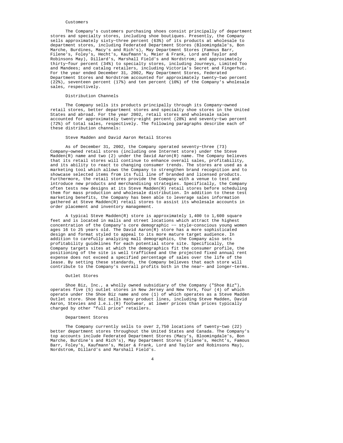#### Customers

 The Company's customers purchasing shoes consist principally of department stores and specialty stores, including shoe boutiques. Presently, the Company sells approximately sixty−three percent (63%) of its products at wholesale to department stores, including Federated Department Stores (Bloomingdale's, Bon Marche, Burdines, Macy's and Rich's), May Department Stores (Famous Barr, Filene's, Foley's, Hecht's, Kaufmann's, Meier & Frank, Lord and Taylor and Robinsons May), Dillard's, Marshall Field's and Nordstrom; and approximately thirty−four percent (34%) to specialty stores, including Journeys, Limited Too and Mandees; and catalog retailers, including Victoria's Secret and Fingerhut. For the year ended December 31, 2002, May Department Stores, Federated Department Stores and Nordstrom accounted for approximately twenty−two percent (22%), seventeen percent (17%) and ten percent (10%) of the Company's wholesale sales, respectively.

# Distribution Channels

 The Company sells its products principally through its Company−owned retail stores, better department stores and specialty shoe stores in the United States and abroad. For the year 2002, retail stores and wholesale sales accounted for approximately twenty−eight percent (28%) and seventy−two percent (72%) of total sales, respectively. The following paragraphs describe each of these distribution channels:

# Steve Madden and David Aaron Retail Stores

 As of December 31, 2002, the Company operated seventy−three (73) Company−owned retail stores (including one Internet store) under the Steve Madden(R) name and two (2) under the David Aaron(R) name. The Company believes that its retail stores will continue to enhance overall sales, profitability, and its ability to react to changing consumer trends. The stores are used as a marketing tool which allows the Company to strengthen brand recognition and to showcase selected items from its full line of branded and licensed products. Furthermore, the retail stores provide the Company with a venue to test and introduce new products and merchandising strategies. Specifically, the Company often tests new designs at its Steve Madden(R) retail stores before scheduling them for mass production and wholesale distribution. In addition to these test marketing benefits, the Company has been able to leverage sales information gathered at Steve Madden(R) retail stores to assist its wholesale accounts in order placement and inventory management.

 A typical Steve Madden(R) store is approximately 1,400 to 1,600 square feet and is located in malls and street locations which attract the highest concentration of the Company's core demographic −− style−conscious young women ages 16 to 25 years old. The David Aaron(R) store has a more sophisticated design and format styled to appeal to its more mature target audience. In addition to carefully analyzing mall demographics, the Company also sets profitability guidelines for each potential store site. Specifically, the Company targets sites at which the demographics fit the consumer profile, the positioning of the site is well trafficked and the projected fixed annual rent expense does not exceed a specified percentage of sales over the life of the lease. By setting these standards, the Company believes that each store will contribute to the Company's overall profits both in the near− and longer−terms.

#### Outlet Stores

 Shoe Biz, Inc., a wholly owned subsidiary of the Company ("Shoe Biz"), operates five (5) outlet stores in New Jersey and New York, four (4) of which operate under the Shoe Biz name and one (1) of which operates as a Steve Madden Outlet store. Shoe Biz sells many product lines, including Steve Madden, David Aaron, Stevies and l.e.i.(R) footwear, at lower prices than prices typically charged by other "full price" retailers.

#### Department Stores

 The Company currently sells to over 2,750 locations of twenty−two (22) better department stores throughout the United States and Canada. The Company's top accounts include Federated Department Stores (Macy's, Bloomingdale's, Bon Marche, Burdine's and Rich's), May Department Stores (Filene's, Hecht's, Famous Barr, Foley's, Kaufmann's, Meier & Frank, Lord and Taylor and Robinsons May), Nordstrom, Dillard's and Marshall Field's.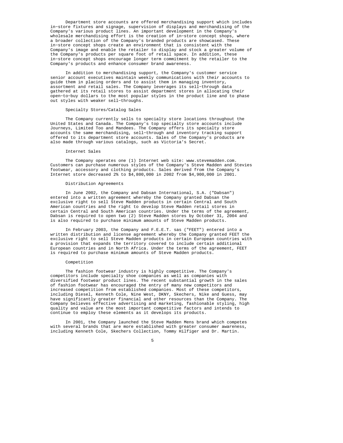Department store accounts are offered merchandising support which includes in−store fixtures and signage, supervision of displays and merchandising of the Company's various product lines. An important development in the Company's wholesale merchandising effort is the creation of in−store concept shops, where a broader collection of the Company's branded products are showcased. These in−store concept shops create an environment that is consistent with the Company's image and enable the retailer to display and stock a greater volume of the Company's products per square foot of retail space. In addition, these in−store concept shops encourage longer term commitment by the retailer to the Company's products and enhance consumer brand awareness.

 In addition to merchandising support, the Company's customer service senior account executives maintain weekly communications with their accounts to guide them in placing orders and to assist them in managing inventory, assortment and retail sales. The Company leverages its sell−through data gathered at its retail stores to assist department stores in allocating their open−to−buy dollars to the most popular styles in the product line and to phase out styles with weaker sell−throughs.

# Specialty Stores/Catalog Sales

 The Company currently sells to specialty store locations throughout the United States and Canada. The Company's top specialty store accounts include Journeys, Limited Too and Mandees. The Company offers its specialty store accounts the same merchandising, sell−through and inventory tracking support offered to its department store accounts. Sales of the Company's products are also made through various catalogs, such as Victoria's Secret.

#### Internet Sales

 The Company operates one (1) Internet web site: www.stevemadden.com. Customers can purchase numerous styles of the Company's Steve Madden and Stevies footwear, accessory and clothing products. Sales derived from the Company's Internet store decreased 2% to \$4,800,000 in 2002 from \$4,900,000 in 2001.

#### Distribution Agreements

 In June 2002, the Company and Dabsan International, S.A. ("Dabsan") entered into a written agreement whereby the Company granted Dabsan the exclusive right to sell Steve Madden products in certain Central and South American countries and the right to develop Steve Madden retail stores in certain Central and South American countries. Under the terms of the agreement, Dabsan is required to open two (2) Steve Madden stores by October 31, 2004 and is also required to purchase minimum amounts of Steve Madden products.

 In February 2003, the Company and F.E.E.T. sas ("FEET") entered into a written distribution and license agreement whereby the Company granted FEET the exclusive right to sell Steve Madden products in certain European countries with a provision that expands the territory covered to include certain additional European countries and in North Africa. Under the terms of the agreement, FEET is required to purchase minimum amounts of Steve Madden products.

#### Competition

 The fashion footwear industry is highly competitive. The Company's competitors include specialty shoe companies as well as companies with diversified footwear product lines. The recent substantial growth in the sales of fashion footwear has encouraged the entry of many new competitors and increased competition from established companies. Most of these competitors, including Diesel, Kenneth Cole, Nine West, DKNY, Skechers, Nike and Guess, may have significantly greater financial and other resources than the Company. The Company believes effective advertising and marketing, fashionable styling, high quality and value are the most important competitive factors and intends to continue to employ these elements as it develops its products.

 In 2001, the Company launched the Steve Madden Mens brand which competes with several brands that are more established with greater consumer awareness, including Kenneth Cole, Skechers Collection, Tommy Hilfiger and Dr. Martin.

the contract of the contract of the contract of the contract of the contract of the contract of the contract o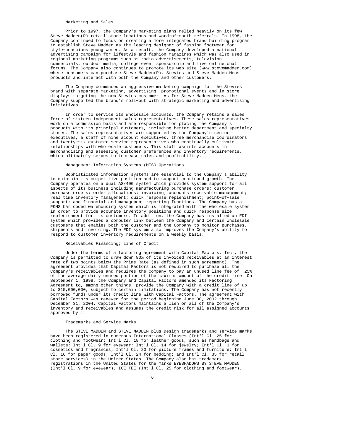#### Marketing and Sales

 Prior to 1997, the Company's marketing plans relied heavily on its few Steve Madden(R) retail store locations and word−of−mouth referrals. In 1998, the Company continued to focus on creating a more integrated brand building program to establish Steve Madden as the leading designer of fashion footwear for style−conscious young women. As a result, the Company developed a national advertising campaign for lifestyle and fashion magazines which was also used in regional marketing programs such as radio advertisements, television commercials, outdoor media, college event sponsorship and live online chat forums. The Company also continues to promote its web site (www.stevemadden.com) where consumers can purchase Steve Madden(R), Stevies and Steve Madden Mens products and interact with both the Company and other customers.

 The Company commenced an aggressive marketing campaign for the Stevies brand with separate marketing, advertising, promotional events and in−store displays targeting the new Stevies customer. As for Steve Madden Mens, the Company supported the brand's roll−out with strategic marketing and advertising initiatives.

 In order to service its wholesale accounts, the Company retains a sales force of sixteen independent sales representatives. These sales representatives work on a commission basis and are responsible for placing the Company's products with its principal customers, including better department and specialty stores. The sales representatives are supported by the Company's senior executives, a staff of nine account executives, three merchandise coordinators and twenty−six customer service representatives who continually cultivate relationships with wholesale customers. This staff assists accounts in merchandising and assessing customer preferences and inventory requirements, which ultimately serves to increase sales and profitability.

# Management Information Systems (MIS) Operations

 Sophisticated information systems are essential to the Company's ability to maintain its competitive position and to support continued growth. The Company operates on a dual AS/400 system which provides system support for all aspects of its business including manufacturing purchase orders; customer purchase orders; order allocations; invoicing; accounts receivable management; real time inventory management; quick response replenishment; point−of−sale support; and financial and management reporting functions. The Company has a PKMS bar coded warehousing system which is integrated with the wholesale system in order to provide accurate inventory positions and quick response size replenishment for its customers. In addition, the Company has installed an EDI system which provides a computer link between the Company and certain wholesale customers that enables both the customer and the Company to monitor purchases, shipments and invoicing. The EDI system also improves the Company's ability to respond to customer inventory requirements on a weekly basis.

#### Receivables Financing; Line of Credit

 Under the terms of a factoring agreement with Capital Factors, Inc., the Company is permitted to draw down 80% of its invoiced receivables at an interest rate of two points below the Prime Rate (as defined in such agreement). The agreement provides that Capital Factors is not required to purchase all the Company's receivables and requires the Company to pay an unused line fee of .25% of the average daily unused portion of the maximum amount of the credit line. On September 1, 1998, the Company and Capital Factors amended its Factoring Agreement to, among other things, provide the Company with a credit line of up to \$15,000,000, subject to certain limitations. The Company has not recently borrowed funds under its credit line with Capital Factors. The agreement with Capital Factors was renewed for the period beginning June 30, 2002 through December 31, 2004. Capital Factors maintains a lien on all of the Company's inventory and receivables and assumes the credit risk for all assigned accounts approved by it.

#### Trademarks and Service Marks

 The STEVE MADDEN and STEVE MADDEN plus Design trademarks and service marks have been registered in numerous International Classes (Int'l Cl. 25 for clothing and footwear; Int'l Cl. 18 for leather goods, such as handbags and wallets; Int'l Cl. 9 for eyewear; Int'l Cl. 14 for jewelry; Int'l Cl. 3 for cosmetics and fragrances; Int'l Cl. 20 for picture frames and furniture; Int'l Cl. 16 for paper goods; Int'l Cl. 24 for bedding; and Int'l Cl. 35 for retail store services) in the United States. The Company also has trademark registrations in the United States for the marks EYESHADOWS BY STEVE MADDEN (Int'l Cl. 9 for eyewear), ICE TEE (Int'l Cl. 25 for clothing and footwear),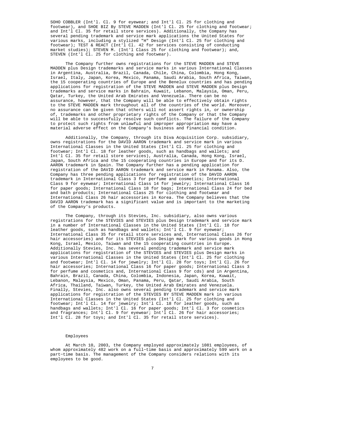SOHO COBBLER (Int'l. Cl. 9 for eyewear; and Int'l Cl. 25 for clothing and footwear), and SHOE BIZ By STEVE MADDEN (Int'l Cl. 25 for clothing and footwear; and Int'l Cl. 35 for retail store services). Additionally, the Company has several pending trademark and service mark applications the United States for various marks, including a stylized "H" Design (Int'l Cl. 25 for clothing and footwear); TEST & REACT (Int'l Cl. 42 for services consisting of conducting market studies); STEVEN M. (Int'l Class 25 for clothing and footwear); and, STEVEN (Int'l Cl. 25 for clothing and footwear).

 The Company further owns registrations for the STEVE MADDEN and STEVE MADDEN plus Design trademarks and service marks in various International Classes in Argentina, Australia, Brazil, Canada, Chile, China, Colombia, Hong Kong, Israel, Italy, Japan, Korea, Mexico, Panama, Saudi Arabia, South Africa, Taiwan, the 15 cooperating countries of Europe and the Benelux countries and has pending applications for registration of the STEVE MADDEN and STEVE MADDEN plus Design trademarks and service marks in Bahrain, Kuwait, Lebanon, Malaysia, Oman, Peru, Qatar, Turkey, the United Arab Emirates and Venezuela. There can be no assurance, however, that the Company will be able to effectively obtain rights to the STEVE MADDEN mark throughout all of the countries of the world. Moreover, no assurance can be given that others will not assert rights in, or ownership of, trademarks and other proprietary rights of the Company or that the Company will be able to successfully resolve such conflicts. The failure of the Company to protect such rights from unlawful and improper appropriation may have a material adverse effect on the Company's business and financial condition.

 Additionally, the Company, through its Diva Acquisition Corp. subsidiary, owns registrations for the DAVID AARON trademark and service mark in various International Classes in the United States (Int'l Cl. 25 for clothing and footwear; Int'l Cl. 18 for leather goods, such as handbags and wallets; and Int'l Cl. 35 for retail store services), Australia, Canada, Hong Kong, Israel, Japan, South Africa and the 15 cooperating countries in Europe and for its D. AARON trademark in Spain. The Company further has a pending application for registration of the DAVID AARON trademark and service mark in Panama. Also, the Company has three pending applications for registration of the DAVID AARON trademark in International Class 3 for perfume and cosmetics; International Class 9 for eyewear; International Class 14 for jewelry; International Class 16 for paper goods; International Class 18 for bags; International Class 24 for bed and bath products; International Class 25 for clothing and footwear and International Class 26 hair accessories in Korea. The Company believes that the DAVID AARON trademark has a significant value and is important to the marketing of the Company's products.

 The Company, through its Stevies, Inc. subsidiary, also owns various registrations for the STEVIES and STEVIES plus Design trademark and service mark in a number of International Classes in the United States (Int'l Cl. 18 for leather goods, such as handbags and wallets; Int'l Cl. 9 for eyewear; International Class 35 for retail store services and, International Class 26 for hair accessories) and for its STEVIES plus Design mark for various goods in Hong Kong, Israel, Mexico, Taiwan and the 15 cooperating countries in Europe. Additionally Stevies, Inc. has several pending trademark and service mark applications for registration of the STEVIES and STEVIES plus Design marks in various International Classes in the United States (Int'l Cl. 25 for clothing and footwear; Int'l Cl. 14 for jewelry; Int'l Cl. 28 for toys; Int'l Cl. 26 for hair accessories; International Class 16 for paper goods; International Class 3 for perfume and cosmetics and, International Class 9 for cds) and in Argentina, Bahrain, Brazil, Canada, China, Colombia, Indonesia, Japan, Korea, Kuwait, Lebanon, Malaysia, Mexico, Oman, Panama, Peru, Qatar, Saudi Arabia, South Africa, Thailand, Taiwan, Turkey, the United Arab Emirates and Venezuela. Finally, Stevies, Inc. also owns several pending trademark and service mark applications for registration of the STEVIES BY STEVE MADDEN mark in various International Classes in the United States (Int'l Cl. 25 for clothing and footwear; Int'l Cl. 14 for jewelry; Int'l Cl. 18 for leather goods, such as handbags and wallets; Int'l Cl. 16 for paper goods; Int'l Cl. 3 for cosmetics and fragrances; Int'l Cl. 9 for eyewear; Int'l Cl. 26 for hair accessories; Int'l Cl. 28 for toys; and Int'l Cl. 35 for retail store services).

#### Employees

 At March 10, 2003, the Company employed approximately 1081 employees, of whom approximately 482 work on a full−time basis and approximately 599 work on a part−time basis. The management of the Company considers relations with its employees to be good.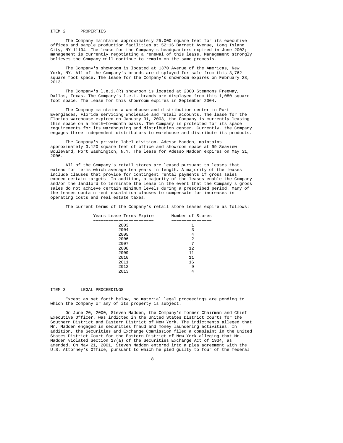# <span id="page-11-0"></span>ITEM 2 PROPERTIES

 The Company maintains approximately 25,000 square feet for its executive offices and sample production facilities at 52−16 Barnett Avenue, Long Island City, NY 11104. The lease for the Company's headquarters expired in June 2002; management is currently negotiating a renewal of this lease. Management strongly believes the Company will continue to remain on the same premesis.

 The Company's showroom is located at 1370 Avenue of the Americas, New York, NY. All of the Company's brands are displayed for sale from this 3,762 square foot space. The lease for the Company's showroom expires on February 28, 2013.

 The Company's l.e.i.(R) showroom is located at 2300 Stemmons Freeway, Dallas, Texas. The Company's l.e.i. brands are displayed from this 1,080 square foot space. The lease for this showroom expires in September 2004.

 The Company maintains a warehouse and distribution center in Port Everglades, Florida servicing wholesale and retail accounts. The lease for the Florida warehouse expired on January 31, 2003; the Company is currently leasing this space on a month−to−month basis. The Company is protected for its space requirements for its warehousing and distribution center. Currently, the Company engages three independent distributors to warehouse and distribute its products.

 The Company's private label division, Adesso Madden, maintains approximately 3,120 square feet of office and showroom space at 99 Seaview Boulevard, Port Washington, N.Y. The lease for Adesso Madden expires on May 31, 2006.

 All of the Company's retail stores are leased pursuant to leases that extend for terms which average ten years in length. A majority of the leases include clauses that provide for contingent rental payments if gross sales exceed certain targets. In addition, a majority of the leases enable the Company and/or the landlord to terminate the lease in the event that the Company's gross sales do not achieve certain minimum levels during a prescribed period. Many of the leases contain rent escalation clauses to compensate for increases in operating costs and real estate taxes.

The current terms of the Company's retail store leases expire as follows:

| Years Lease Terms Expire | Number of Stores |
|--------------------------|------------------|
|                          |                  |
| 2003                     |                  |
| 2004                     | 3                |
| 2005                     | 4                |
| 2006                     | 2                |
| 2007                     | 7                |
| 2008                     | 12               |
| 2009                     | 11               |
| 2010                     | 11               |
| 2011                     | 16               |
| 2012                     | 9                |
| 2013                     |                  |

# <span id="page-11-1"></span>ITEM 3 LEGAL PROCEEDINGS

 Except as set forth below, no material legal proceedings are pending to which the Company or any of its property is subject.

 On June 20, 2000, Steven Madden, the Company's former Chairman and Chief Executive Officer, was indicted in the United States District Courts for the Southern District and Eastern District of New York. The indictments alleged that Mr. Madden engaged in securities fraud and money laundering activities. In addition, the Securities and Exchange Commission filed a complaint in the United States District Court for the Eastern District of New York alleging that Mr. Madden violated Section 17(a) of the Securities Exchange Act of 1934, as amended. On May 21, 2001, Steven Madden entered into a plea agreement with the U.S. Attorney's Office, pursuant to which he pled guilty to four of the federal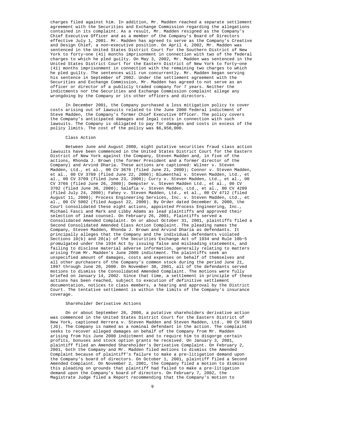charges filed against him. In addition, Mr. Madden reached a separate settlement agreement with the Securities and Exchange Commission regarding the allegations contained in its complaint. As a result, Mr. Madden resigned as the Company's Chief Executive Officer and as a member of the Company's Board of Directors effective July 1, 2001. Mr. Madden has agreed to serve as the Company's Creative and Design Chief, a non−executive position. On April 4, 2002, Mr. Madden was sentenced in the United States District Court for the Southern District of New York to forty−one (41) months imprisonment in connection with two of the federal charges to which he pled guilty. On May 3, 2002, Mr. Madden was sentenced in the United States District Court for the Eastern District of New York to forty−one (41) months imprisonment in connection with the remaining two charges to which he pled guilty. The sentences will run concurrently. Mr. Madden began serving his sentence in September of 2002. Under the settlement agreement with the Securities and Exchange Commission, Mr. Madden has agreed to not serve as an officer or director of a publicly traded company for 7 years. Neither the indictments nor the Securities and Exchange Commission complaint allege any wrongdoing by the Company or its other officers and directors.

 In December 2001, the Company purchased a loss mitigation policy to cover costs arising out of lawsuits related to the June 2000 federal indictment of Steve Madden, the Company's former Chief Executive Officer. The policy covers the Company's anticipated damages and legal costs in connection with such lawsuits. The Company is obligated to pay for damages and costs in excess of the policy limits. The cost of the policy was \$6,950,000.

# Class Action

 Between June and August 2000, eight putative securities fraud class action lawsuits have been commenced in the United States District Court for the Eastern District of New York against the Company, Steven Madden and, in five of the actions, Rhonda J. Brown (the former President and a former director of the Company) and Arvind Dharia. These actions are captioned: Wilner v. Steven Madden, Ltd., et al., 00 CV 3676 (filed June 21, 2000); Connor v. Steven Madden, et al., 00 CV 3709 (filed June 22, 2000); Blumenthal v. Steven Madden, Ltd., et al., 00 CV 3709 (filed June 23, 2000); Curry v. Steven Madden, Ltd., et al., 00 CV 3766 (filed June 26, 2000); Dempster v. Steven Madden Ltd., et al., 00 CV 3702 (filed June 30, 2000); Salafia v. Steven Madden, Ltd., et al., 00 CV 4289 (filed July 24, 2000); Fahey v. Steven Madden, Ltd., et al., 00 CV 4712 (filed August 11, 2000); Process Engineering Services, Inc. v. Steven Madden, Ltd., et al., 00 CV 5002 (filed August 22, 2000). By Order dated December 8, 2000, the Court consolidated these eight actions, appointed Process Engineering, Inc., Michael Fasci and Mark and Libby Adams as lead plaintiffs and approved their selection of lead counsel. On February 26, 2001, Plaintiffs served a Consolidated Amended Complaint. On or about October 31, 2001, plaintiffs filed a Second Consolidated Amended Class Action Complaint. The pleading names the Company, Steven Madden, Rhonda J. Brown and Arvind Dharia as defendants. It principally alleges that the Company and the individual defendants violated Sections 10(b) and 20(a) of the Securities Exchange Act of 1934 and Rule 10b−5 promulgated under the 1934 Act by issuing false and misleading statements, and failing to disclose material adverse information, generally relating to matters arising from Mr. Madden's June 2000 indictment. The plaintiffs seek an unspecified amount of damages, costs and expenses on behalf of themselves and all other purchasers of the Company's common stock during the period June 21, 1997 through June 20, 2000. On November 30, 2001, all of the defendants served motions to dismiss the Consolidated Amended Complaint. The motions were fully briefed on January 14, 2002. Since that time, a settlement in principle of these actions has been reached, subject to execution of definitive settlement documentation, notices to class members, a hearing and approval by the District Court. The tentative settlement is within the limits of the Company's insurance coverage.

#### Shareholder Derivative Actions

 On or about September 26, 2000, a putative shareholders derivative action was commenced in the United States District Court for the Eastern District of New York, captioned Herrera v. Steven Madden and Steven Madden, Ltd., 00 CV 5803 (JG). The Company is named as a nominal defendant in the action. The complaint seeks to recover alleged damages on behalf of the Company from Mr. Madden arising from his June 2000 indictment and to require him to disgorge certain profits, bonuses and stock option grants he received. On January 3, 2001, plaintiff filed an Amended Shareholder's Derivative Complaint. On February 2, 2001, both the Company and Mr. Madden filed motions to dismiss the Amended Complaint because of plaintiff's failure to make a pre−litigation demand upon the Company's board of directors. On October 1, 2001, plaintiff filed a Second Amended Complaint. On November 2, 2001, the Company filed a motion to dismiss this pleading on grounds that plaintiff had failed to make a pre−litigation demand upon the Company's board of directors. On February 7, 2002, the Magistrate Judge filed a Report recommending that the Company's motion to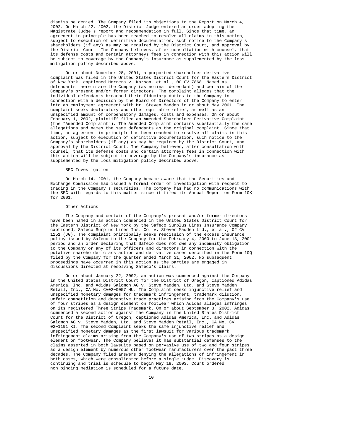dismiss be denied. The Company filed its objections to the Report on March 4, 2002. On March 22, 2002, the District Judge entered an order adopting the Magistrate Judge's report and recommendation in full. Since that time, an agreement in principle has been reached to resolve all claims in this action, subject to execution of definitive documentation, such notice to the Company's shareholders (if any) as may be required by the District Court, and approval by the District Court. The Company believes, after consultation with counsel, that its defense costs and certain attorneys fees in connection with this action will be subject to coverage by the Company's insurance as supplemented by the loss mitigation policy described above.

 On or about November 28, 2001, a purported shareholder derivative complaint was filed in the United States District Court for the Eastern District of New York, captioned Herrera v. Karson, et al., 00 CV 7868. Named as defendants therein are the Company (as nominal defendant) and certain of the Company's present and/or former directors. The complaint alleges that the individual defendants breached their fiduciary duties to the Company in connection with a decision by the Board of Directors of the Company to enter into an employment agreement with Mr. Steven Madden in or about May 2001. The complaint seeks declaratory and other equitable relief, as well as an unspecified amount of compensatory damages, costs and expenses. On or about February 1, 2002, plaintiff filed an Amended Shareholder Derivative Complaint (the "Amended Complaint"). The Amended Complaint contains substantially the same allegations and names the same defendants as the original complaint. Since that time, an agreement in principle has been reached to resolve all claims in this action, subject to execution of definitive documentation, such notice to the Company's shareholders (if any) as may be required by the District Court, and approval by the District Court. The Company believes, after consultation with counsel, that its defense costs and certain attorneys fees in connection with this action will be subject to coverage by the Company's insurance as supplemented by the loss mitigation policy described above.

#### SEC Investigation

 On March 14, 2001, the Company became aware that the Securities and Exchange Commission had issued a formal order of investigation with respect to trading in the Company's securities. The Company has had no communications with the SEC with regards to this matter since it filed its Annual Report on Form 10K for 2001.

#### Other Actions

 The Company and certain of the Company's present and/or former directors have been named in an action commenced in the United States District Court for the Eastern District of New York by the Safeco Surplus Lines Insurance Company captioned, Safeco Surplus Lines Ins. Co. v. Steven Madden Ltd., et al., 02 CV 1151 (JG). The complaint principally seeks rescission of the excess insurance policy issued by Safeco to the Company for the February 4, 2000 to June 13, 2001 period and an order declaring that Safeco does not owe any indemnity obligation to the Company or any of its officers and directors in connection with the putative shareholder class action and derivative cases described in the Form 10Q filed by the Company for the quarter ended March 31, 2002. No subsequent proceedings have occurred in this action as the parties are engaged in discussions directed at resolving Safeco's claims.

 On or about January 22, 2002, an action was commenced against the Company in the United States District Court for the District of Oregon, captioned Adidas America, Inc. and Adidas Salomon AG v. Steve Madden, Ltd. and Steve Madden Retail, Inc., CA No. CV02−0057 HU. The Complaint seeks injunctive relief and unspecified monetary damages for trademark infringement, trademark dilution, unfair competition and deceptive trade practices arising from the Company's use of four stripes as a design element on footwear which Adidas alleges infringes on its registered Three Stripe Trademark. On or about September 3, 2002, Adidas commenced a second action against the Company in the United States District Court for the District of Oregon, captioned Adidas America, Inc. and Adidas Salomon AG v. Steve Madden, Ltd. and Steve Madden Retail, Inc., CA No. CV 02−1191 KI. The second Complaint seeks the same injunctive relief and unspecified monetary damages as the first lawsuit for various trademark infringement claims arising from the Company's use of two stripes as a design element on footwear. The Company believes it has substantial defenses to the claims asserted in both lawsuits based on pervasive use of two and four stripes as a design element by numerous other footwear manufacturers over the past three decades. The Company filed answers denying the allegations of infringement in both cases, which were consolidated before a single judge. Discovery is continuing and trial is schedule to begin May 19, 2003. Court ordered non−binding mediation is scheduled for a future date.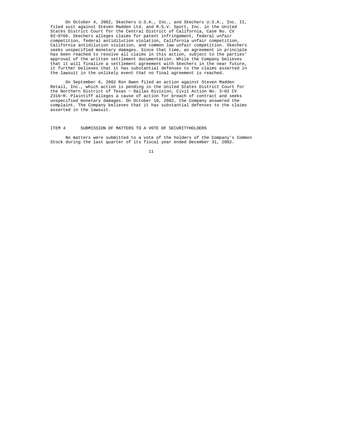On October 4, 2002, Skechers U.S.A., Inc., and Skechers U.S.A., Inc. II, filed suit against Steven Madden Ltd. and R.S.V. Sport, Inc. in the United States District Court for the Central District of California, Case No. CV 02−0766. Skechers alleges claims for patent infringement, federal unfair competition, federal antidilution violation, California unfair competition, California antidilution violation, and common law unfair competition. Skechers seeks unspecified monetary damages. Since that time, an agreement in principle has been reached to resolve all claims in this action, subject to the parties' approval of the written settlement documentation. While the Company believes that it will finalize a settlement agreement with Skechers in the near future, it further believes that it has substantial defenses to the claims asserted in the lawsuit in the unlikely event that no final agreement is reached.

 On September 6, 2002 Ron Owen filed an action against Steven Madden Retail, Inc., which action is pending in the United States District Court for the Northern District of Texas − Dallas Division, Civil Action No. 3−02 CV 2316−R. Plaintiff alleges a cause of action for breach of contract and seeks unspecified monetary damages. On October 10, 2002, the Company answered the complaint. The Company believes that it has substantial defenses to the claims asserted in the lawsuit.

# <span id="page-14-0"></span>ITEM 4 SUBMISSION OF MATTERS TO A VOTE OF SECURITYHOLDERS

 No matters were submitted to a vote of the holders of the Company's Common Stock during the last quarter of its fiscal year ended December 31, 2002.

 $11$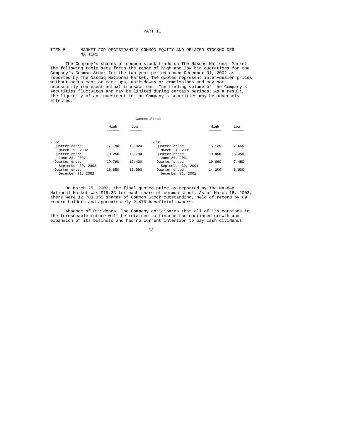#### <span id="page-15-1"></span><span id="page-15-0"></span>ITEM 5 MARKET FOR REGISTRANT'S COMMON EQUITY AND RELATED STOCKHOLDER MATTERS

 The Company's shares of common stock trade on The Nasdaq National Market. The following table sets forth the range of high and low bid quotations for the Company's Common Stock for the two year period ended December 31, 2002 as reported by The Nasdaq National Market. The quotes represent inter−dealer prices without adjustment or mark−ups, mark−downs or commissions and may not necessarily represent actual transactions. The trading volume of the Company's securities fluctuates and may be limited during certain periods. As a result, the liquidity of an investment in the Company's securities may be adversely affected.

#### Common Stock

|                    | High   | Low    |                    | High   | Low    |
|--------------------|--------|--------|--------------------|--------|--------|
|                    |        |        |                    |        |        |
|                    |        |        |                    |        |        |
| 2002               |        |        | 2001               |        |        |
| Quarter ended      | 17.790 | 13.320 | Ouarter ended      | 15.125 | 7.656  |
| March 29, 2002     |        |        | March 31, 2001     |        |        |
| Quarter ended      | 20.250 | 15.790 | Ouarter ended      | 19.050 | 13.350 |
| June 28, 2002      |        |        | June 30, 2001      |        |        |
| Quarter ended      | 19.790 | 13.430 | Ouarter ended      | 19.890 | 7.450  |
| September 30, 2002 |        |        | September 30, 2001 |        |        |
| Quarter ended      | 18.850 | 13.590 | Ouarter ended      | 14.200 | 8,900  |
| December 31, 2002  |        |        | December 31, 2001  |        |        |

 On March 25, 2003, the final quoted price as reported by The Nasdaq National Market was \$15.33 for each share of common stock. As of March 18, 2003, there were 12,783,355 shares of Common Stock outstanding, held of record by 69 record holders and approximately 2,476 beneficial owners.

 Absence of Dividends. The Company anticipates that all of its earnings in the foreseeable future will be retained to finance the continued growth and expansion of its business and has no current intention to pay cash dividends.

12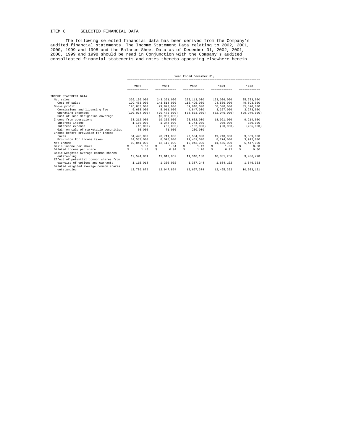# <span id="page-16-0"></span>ITEM 6 SELECTED FINANCIAL DATA

 The following selected financial data has been derived from the Company's audited financial statements. The Income Statement Data relating to 2002, 2001, 2000, 1999 and 1998 and the Balance Sheet Data as of December 31, 2002, 2001, 2000, 1999 and 1998 should be read in Conjunction with the Company's audited consolidated financial statements and notes thereto appearing elsewhere herein.

|                                                                                 | Year Ended December 31. |             |        |                                                                   |            |  |  |
|---------------------------------------------------------------------------------|-------------------------|-------------|--------|-------------------------------------------------------------------|------------|--|--|
|                                                                                 |                         |             |        | 2002 2001 2000 1999 1998                                          |            |  |  |
| INCOME STATEMENT DATA:                                                          |                         |             |        |                                                                   |            |  |  |
| Net sales                                                                       |                         |             |        | 326.136.000 243.391.000 205.113.000 163.036.000 85.783.000        |            |  |  |
| Cost of sales                                                                   | 199, 453, 000           |             |        | 143.518.000 115.495.000 94.536.000                                | 49,893,000 |  |  |
| Gross profit                                                                    | 126,683,000             |             |        | 99.873.000 89.618.000 68.500.000                                  | 35,890,000 |  |  |
| Commissions and licensing fee 6,603,000 5,911,000 4,847,000 3,367,000 3,273,000 |                         |             |        |                                                                   |            |  |  |
| Operating expenses                                                              |                         |             |        | (100,074,000) (79,472,000) (68,833,000) (52,946,000) (29,949,000) |            |  |  |
| Cost of loss mitigation coverage                                                |                         | (6.950.000) |        |                                                                   |            |  |  |
| Income from operations                                                          |                         |             |        | $33,212,000$ $19,362,000$ $25,632,000$ $18,921,000$ $9,214,000$   |            |  |  |
| Interest income                                                                 |                         |             |        | $1,166,000$ $1,344,000$ $1,744,000$ $909,000$ $380,000$           |            |  |  |
| Interest expense                                                                |                         |             |        | $(16,000)$ $(66,000)$ $(102,000)$ $(90,000)$ $(235,000)$          |            |  |  |
| Gain on sale of marketable securities 66,000 71,000 230,000                     |                         |             |        |                                                                   |            |  |  |
| Income before provision for income                                              |                         |             |        |                                                                   |            |  |  |
| taxes                                                                           |                         |             |        | 34,428,000 20,711,000 27,504,000 19,740,000 9,359,000             |            |  |  |
| Provision for income taxes                                                      |                         |             |        | 14.587.000 8.595.000 11.461.000 8.274.000 3.912.000               |            |  |  |
| Net Income                                                                      |                         |             |        | 19,841,000  12,116,000  16,043,000  11,466,000                    | 5,447,000  |  |  |
| Basic income per share                                                          | \$1.58                  | \$1.04      | \$1.42 | \$1.06                                                            | \$0.58     |  |  |
| Diluted income per share                                                        | \$1.45                  | \$0.94      | \$1.26 | $S \t 0.92$                                                       | \$0.50     |  |  |
| Basic weighted average common shares                                            |                         |             |        |                                                                   |            |  |  |
| outstanding                                                                     |                         |             |        | 12,594,861 11,617,862 11,310,130 10,831,250 9,436,798             |            |  |  |
| Effect of potential common shares from                                          |                         |             |        |                                                                   |            |  |  |
| exercise of options and warrants 1,115,018 1,330,002 1,387,244 1,634,102        |                         |             |        |                                                                   | 1,546,303  |  |  |
| Diluted weighted average common shares                                          |                         |             |        |                                                                   |            |  |  |
| outstanding                                                                     |                         |             |        | 13,709,879   12,947,864   12,697,374   12,465,352   10,983,101    |            |  |  |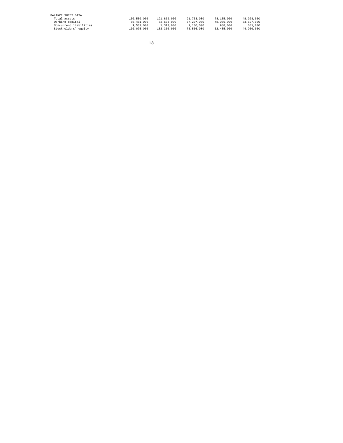| BALANCE SHEET DATA     |             |             |            |            |            |
|------------------------|-------------|-------------|------------|------------|------------|
| Total assets           | 150,500,000 | 121,862,000 | 91,733,000 | 78,135,000 | 48.928.000 |
| Working capital        | 86,461,000  | 82.633.000  | 57.207.000 | 48,076,000 | 33.627.000 |
| Noncurrent liabilities | 1,532,000   | 1,313,000   | 1,130,000  | 980,000    | 681,000    |
| Stockholders' equity   | 130,075,000 | 102,360,000 | 76,566,000 | 62.435.000 | 44,960,000 |
|                        |             |             |            |            |            |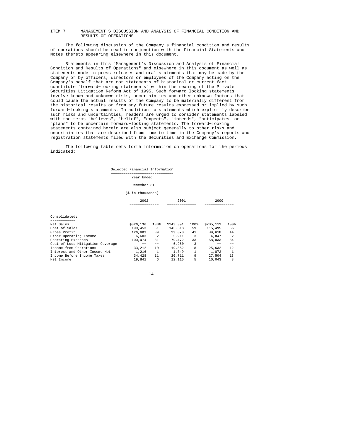#### <span id="page-18-0"></span>ITEM 7 MANAGEMENT'S DISCUSSION AND ANALYSIS OF FINANCIAL CONDITION AND RESULTS OF OPERATIONS

 The following discussion of the Company's financial condition and results of operations should be read in conjunction with the Financial Statements and Notes thereto appearing elsewhere in this document.

 Statements in this "Management's Discussion and Analysis of Financial Condition and Results of Operations" and elsewhere in this document as well as statements made in press releases and oral statements that may be made by the Company or by officers, directors or employees of the Company acting on the Company's behalf that are not statements of historical or current fact constitute "forward−looking statements" within the meaning of the Private Securities Litigation Reform Act of 1995. Such forward−looking statements involve known and unknown risks, uncertainties and other unknown factors that could cause the actual results of the Company to be materially different from the historical results or from any future results expressed or implied by such forward−looking statements. In addition to statements which explicitly describe such risks and uncertainties, readers are urged to consider statements labeled with the terms "believes", "belief", "expects", "intends", "anticipates" or "plans" to be uncertain forward−looking statements. The forward−looking statements contained herein are also subject generally to other risks and uncertainties that are described from time to time in the Company's reports and registration statements filed with the Securities and Exchange Commission.

 The following table sets forth information on operations for the periods indicated:

| Selected Financial Information                              |                                                                                                                                                                                                                                                                                                                                                                                                                                                                            |  |                    |   |                                              |            |  |  |  |
|-------------------------------------------------------------|----------------------------------------------------------------------------------------------------------------------------------------------------------------------------------------------------------------------------------------------------------------------------------------------------------------------------------------------------------------------------------------------------------------------------------------------------------------------------|--|--------------------|---|----------------------------------------------|------------|--|--|--|
| -------------------------<br>Year Ended                     |                                                                                                                                                                                                                                                                                                                                                                                                                                                                            |  |                    |   |                                              |            |  |  |  |
|                                                             | December 31                                                                                                                                                                                                                                                                                                                                                                                                                                                                |  |                    |   |                                              |            |  |  |  |
|                                                             | -----------<br>(\$ in thousands)                                                                                                                                                                                                                                                                                                                                                                                                                                           |  |                    |   |                                              |            |  |  |  |
|                                                             | 2002                                                                                                                                                                                                                                                                                                                                                                                                                                                                       |  |                    |   | 2001 2000                                    |            |  |  |  |
|                                                             |                                                                                                                                                                                                                                                                                                                                                                                                                                                                            |  |                    |   |                                              |            |  |  |  |
| Consolidated:                                               |                                                                                                                                                                                                                                                                                                                                                                                                                                                                            |  |                    |   |                                              |            |  |  |  |
|                                                             |                                                                                                                                                                                                                                                                                                                                                                                                                                                                            |  |                    |   |                                              |            |  |  |  |
| Net Sales                                                   |                                                                                                                                                                                                                                                                                                                                                                                                                                                                            |  |                    |   | \$326,136 100% \$243,391 100% \$205,113 100% |            |  |  |  |
| Cost of Sales                                               |                                                                                                                                                                                                                                                                                                                                                                                                                                                                            |  |                    |   | 199,453 61 143,518 59 115,495 56             |            |  |  |  |
| Gross Profit                                                |                                                                                                                                                                                                                                                                                                                                                                                                                                                                            |  |                    |   | 126,683 39 99,873 41 89,618 44               |            |  |  |  |
| Other Operating Income                                      |                                                                                                                                                                                                                                                                                                                                                                                                                                                                            |  | 6,603 2 5,911 3    |   | 4,847 2                                      |            |  |  |  |
| Operating Expenses                                          |                                                                                                                                                                                                                                                                                                                                                                                                                                                                            |  |                    |   | 100,074 31 79,472 33 68,833 34               |            |  |  |  |
| Cost of Loss Mitigation Coverage                            | $\frac{1}{2} \left( \frac{1}{2} \right) \left( \frac{1}{2} \right) \left( \frac{1}{2} \right) \left( \frac{1}{2} \right) \left( \frac{1}{2} \right) \left( \frac{1}{2} \right) \left( \frac{1}{2} \right) \left( \frac{1}{2} \right) \left( \frac{1}{2} \right) \left( \frac{1}{2} \right) \left( \frac{1}{2} \right) \left( \frac{1}{2} \right) \left( \frac{1}{2} \right) \left( \frac{1}{2} \right) \left( \frac{1}{2} \right) \left( \frac{1}{2} \right) \left( \frac$ |  | $--$ 6,950 3       |   |                                              | $\sim$ $-$ |  |  |  |
| Income from Operations                                      |                                                                                                                                                                                                                                                                                                                                                                                                                                                                            |  | 33, 212 10 19, 362 | 8 | 25,632 12                                    |            |  |  |  |
| Interest and Other Income Net $1,216$ 1 $1,349$ 1 $1,872$ 1 |                                                                                                                                                                                                                                                                                                                                                                                                                                                                            |  |                    |   |                                              |            |  |  |  |
| Income Before Income Taxes                                  | 34,428 11 20,711 9 27,504 13                                                                                                                                                                                                                                                                                                                                                                                                                                               |  |                    |   |                                              |            |  |  |  |
| Net Income                                                  | 19,841 6                                                                                                                                                                                                                                                                                                                                                                                                                                                                   |  |                    |   | 12,116 5 16,043 8                            |            |  |  |  |
|                                                             |                                                                                                                                                                                                                                                                                                                                                                                                                                                                            |  |                    |   |                                              |            |  |  |  |

14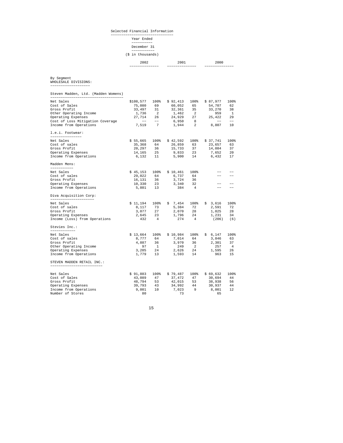# Selected Financial Information

#### −−−−−−−−−−−−−−−−−−−−−−−−−−−−−− Year Ended

−−−−−−−−−− December 31

 −−−−−−−−−−− (\$ in thousands)

2002 2001 2000 −−−−−−−−−−−−−− −−−−−−−−−−−−−− −−−−−−−−−−−−−−

| By Seqment          |  |
|---------------------|--|
| WHOLESALE DIVISIONS |  |

WHOLESALE DIVISIONS: −−−−−−−−−−−−−−−−−−−

| Steven Madden, Ltd. (Madden Womens)              |                         |                |                                                  |                |                                      |                |
|--------------------------------------------------|-------------------------|----------------|--------------------------------------------------|----------------|--------------------------------------|----------------|
| Net Sales                                        | \$108,577 100%          |                | \$92,413                                         | 100%           | \$87,977                             | 100%           |
| Cost of Sales                                    | 75,080 69               |                | $60,052$ 65<br>32,361 35<br>1,462 2<br>24,929 27 |                | 54,707                               | 62             |
| Gross Profit                                     | 33,497                  | 31             |                                                  |                | 33,270                               | 38             |
| Other Operating Income                           | 1,736                   | $\overline{2}$ |                                                  |                | 959                                  | <sup>1</sup>   |
| Operating Expenses                               | 27,714                  | 26             |                                                  |                | 25,422                               | 29             |
| Cost of Loss Mitigation Coverage                 | $\sim$ $ -$             | $- \,$         | 6,950                                            | 8 <sup>1</sup> |                                      | $-\,-$         |
| Income from Operations                           |                         | 7,519 7        | 1,944                                            |                | 2 8,807                              | 10             |
| l.e.i. Footwear:<br>_______________              |                         |                |                                                  |                |                                      |                |
| Net Sales                                        |                         |                |                                                  |                | \$55,665 100% \$42,592 100% \$37,741 | 100%           |
| Cost of sales                                    | 35,368                  | 64             | $26,859$ 63                                      |                | 23,657                               | 63             |
| Gross Profit                                     | 20,297                  | 36             |                                                  |                | 14,084                               | 37             |
| Operating Expenses                               | $14,165$ 25<br>6,132 11 |                | 15,733 37<br>9,833 23<br>5,900 14                |                | 7,652                                | 20             |
| Income from Operations                           |                         |                |                                                  |                | 6,432                                | 17             |
| Madden Mens:<br>__________                       |                         |                |                                                  |                |                                      |                |
| Net Sales                                        | \$45,153                | 100%           | \$10,461                                         | 100%           | $- -$                                |                |
| Cost of sales                                    | 29,022 64               |                | 6,737                                            | 64             | $\qquad \qquad -$                    |                |
| Gross Profit                                     |                         |                | 3,724                                            | 36             |                                      |                |
| Operating Expenses                               | 16,131 36<br>10,330 23  |                | 3,340 32                                         |                |                                      |                |
| Income from Operations                           | 5,801                   | 13             | 384                                              | 4              | $- -$                                |                |
| Diva Acquisition Corp:<br>______________________ |                         |                |                                                  |                |                                      |                |
| Net Sales                                        | \$11,194                | 100%           | \$7,454                                          | 100%           | \$3,616                              | 100%           |
| Cost of sales                                    | 8,117                   | 73             |                                                  |                | 2,591                                | 72             |
| Gross Profit                                     | 3,077 27                |                | 5,384 72<br>2,070 28<br>1,796 24                 |                | 1,025                                | 28             |
| Operating Expenses                               | 2,645                   | 23             |                                                  |                | 1,231                                | 34             |
| Income (Loss) from Operations                    |                         | 432 4          |                                                  | 274 4          | (206)                                | (6)            |
| Stevies Inc.:<br>------------                    |                         |                |                                                  |                |                                      |                |
| Net Sales                                        | \$13,664                | 100%           | \$10,984 100%                                    |                | \$6,147                              | 100%           |
| Cost of sales                                    |                         | 8,777 64       | 7,014 64<br>3,970 36                             |                | 3.846                                | 63             |
| Gross Profit                                     | 4,887                   | 36             |                                                  |                | 2,301                                | 37             |
| Other Operating Income                           | 97                      | 1              | $249$ 2<br>2,626 24                              |                | 257                                  | $\overline{4}$ |
| Operating Expenses                               | 3,205                   | 24             |                                                  |                | 1,595                                | 26             |
| Income from Operations                           | 1,779 13                |                | 1,593 14                                         |                | 963                                  | 15             |
| STEVEN MADDEN RETAIL INC.:                       |                         |                |                                                  |                |                                      |                |
|                                                  |                         |                |                                                  |                |                                      |                |
| Net Sales                                        | \$91,883                | 100%           | \$79,487 100%                                    |                | \$69,632                             | 100%           |
| Cost of Sales                                    | 43,089 47               |                | 37,472 47<br>42,015 53                           |                | 30,694                               | 44             |
| Gross Profit                                     | 48,794                  | 53             |                                                  |                | 38,938                               | 56             |
| Operating Expenses                               | 39,793                  | 43             | 34,992                                           | 44             | 30,937                               | 44             |
| Income from Operations<br>Number of Stores       | 9,001                   | 10             | 7,023 9                                          |                | 8,001                                | 12.            |
|                                                  | 80                      |                | 73                                               |                | 65                                   |                |

<u>15</u>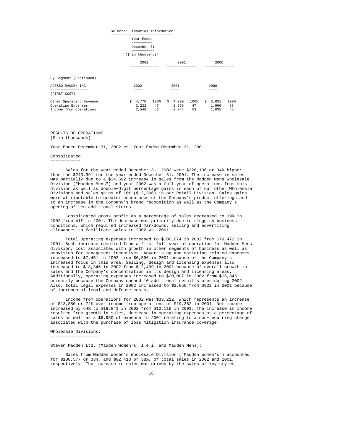| Selected Financial Information                                          |             |                                                                             |                     |  |  |  |  |
|-------------------------------------------------------------------------|-------------|-----------------------------------------------------------------------------|---------------------|--|--|--|--|
| Year Ended                                                              |             |                                                                             |                     |  |  |  |  |
| ----------<br>December 31                                               |             |                                                                             |                     |  |  |  |  |
| . <u>.</u><br>(\$ in thousands)                                         |             |                                                                             |                     |  |  |  |  |
|                                                                         | 2002        | 2001                                                                        | 2000                |  |  |  |  |
|                                                                         |             | -------------                                                               |                     |  |  |  |  |
| By Segment (Continued)                                                  |             |                                                                             |                     |  |  |  |  |
| ADESSO MADDEN INC.:<br>------------------                               | 2002        | 2001                                                                        | 2000                |  |  |  |  |
| (FIRST COST)                                                            |             |                                                                             |                     |  |  |  |  |
| Other Operating Revenue<br>Operating Expenses<br>Income from Operations | 2,548<br>53 | $$4,770$ 100% $$4,200$ 100% \$ 3,631<br>2,222 47 1,956 47 1,996 55<br>2,244 | 100%<br>45<br>1,635 |  |  |  |  |

RESULTS OF OPERATIONS (\$ in thousands)

Year Ended December 31, 2002 vs. Year Ended December 31, 2001

#### Consolidated: −−−−−−−−−−−−

 Sales for the year ended December 31, 2002 were \$326,136 or 34% higher than the \$243,391 for the year ended December 31, 2001. The increase in sales was partially due to a \$34,692 increase in sales from the Madden Mens Wholesale Division ("Madden Mens") and year 2002 was a full year of operations from this division as well as double−digit percentage gains in each of our other Wholesale Divisions and sales gains of 16% (\$12,396) in our Retail Division. Sales gains were attributable to greater acceptance of the Company's product offerings and to an increase in the Company's brand recognition as well as the Company's opening of ten additional stores.

 Consolidated gross profit as a percentage of sales decreased to 39% in 2002 from 41% in 2001. The decrease was primarily due to sluggish business conditions, which required increased markdowns, selling and advertising allowances to facilitate sales in 2002 vs. 2001.

 Total Operating expenses increased to \$100,074 in 2002 from \$79,472 in 2001. Such increase resulted from a first full year of operation for Madden Mens division, cost associated with growth in other segments of business as well as provision for management incentives. Advertising and marketing related expenses increased to \$7,451 in 2002 from \$6,596 in 2001 because of the Company's increased focus in this area. Selling, design and licensing expenses also increased to \$18,346 in 2002 from \$12,499 in 2001 because of overall growth in sales and the Company's concentration in its design and licensing areas. Additionally, operating expenses increased to \$20,007 in 2002 from \$16,845 primarily because the Company opened 10 additional retail stores during 2002. Also, total legal expenses in 2002 increased to \$2,650 from \$922 in 2001 because of incremental legal and defense costs.

 Income from operations for 2002 was \$33,212, which represents an increase of \$13,850 or 72% over income from operations of \$19,362 in 2001. Net income increased by 64% to \$19,841 in 2002 from \$12,116 in 2001. The increase in income resulted from growth in sales, decrease in operating expenses as a percentage of sales as well as a \$6,950 of expense in 2001 relating to a non−recurring charge associated with the purchase of loss mitigation insurance coverage.

#### Wholesale Divisions: −−−−−−−−−−−−−−−−−−−

Steven Madden Ltd. (Madden Women's, l.e.i. and Madden Mens):

 Sales from Madden Women's Wholesale Division ("Madden Women's") accounted for \$108,577 or 33%, and \$92,413 or 38%, of total sales in 2002 and 2001, respectively. The increase in sales was driven by the sales of key styles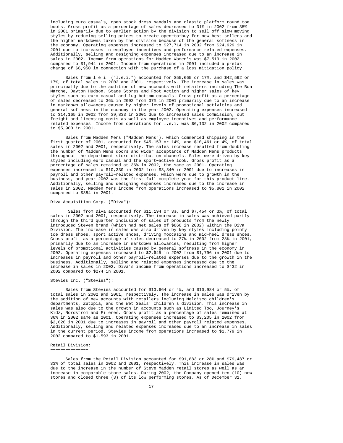including euro casuals, open stock dress sandals and classic platform round toe boots. Gross profit as a percentage of sales decreased to 31% in 2002 from 35% in 2001 primarily due to earlier action by the division to sell off slow moving styles by reducing selling prices to create open−to−buy for new best sellers and the higher markdowns taken by the division because of the general softness in the economy. Operating expenses increased to \$27,714 in 2002 from \$24,929 in 2001 due to increases in employee incentives and performance related expenses. Additionally, selling and designing expenses increased due to an increase in sales in 2002. Income from operations for Madden Women's was \$7,519 in 2002 compared to \$1,944 in 2001. Income from operations in 2001 included a pretax charge of \$6,950 in connection with the purchase of a loss mitigation policy.

 Sales from l.e.i. ("l.e.i.") accounted for \$55,665 or 17%, and \$42,592 or 17%, of total sales in 2002 and 2001, respectively. The increase in sales was principally due to the addition of new accounts with retailers including The Bon Marche, Dayton Hudson, Stage Stores and Foot Action and higher sales of key styles such as euro casual and lug bottom casuals. Gross profit as a percentage of sales decreased to 36% in 2002 from 37% in 2001 primarily due to an increase in markdown allowances caused by higher levels of promotional activities and general softness in the economy in the year 2002. Operating expenses increased to \$14,165 in 2002 from \$9,833 in 2001 due to increased sales commission, out freight and licensing costs as well as employee incentives and performance related expenses. Income from operations for l.e.i. was \$6,132 in 2002 compared to \$5,900 in 2001.

 Sales from Madden Mens ("Madden Mens"), which commenced shipping in the first quarter of 2001, accounted for \$45,153 or 14%, and \$10,461 or 4%, of total sales in 2002 and 2001, respectively. The sales increase resulted from doubling the number of Madden Mens doors and wider acceptance of Madden Mens products throughout the department store distribution channels. Sales were driven by key styles including euro casual and the sport−active look. Gross profit as a percentage of sales remained at 36% in 2002, the same as 2001. Operating expenses increased to \$10,330 in 2002 from \$3,340 in 2001 due to increases in payroll and other payroll−related expenses, which were due to growth in the business, and year 2002 was the first full complete year for this product line. Additionally, selling and designing expenses increased due to the increase in sales in 2002. Madden Mens income from operations increased to \$5,801 in 2002 compared to \$384 in 2001.

# Diva Acquisition Corp. ("Diva"):

 Sales from Diva accounted for \$11,194 or 3%, and \$7,454 or 3%, of total sales in 2002 and 2001, respectively. The increase in sales was achieved partly through the third quarter inclusion of sales of products from the newly introduced Steven brand (which had net sales of \$860 in 2002) within the Diva Division. The increase in sales was also driven by key styles including pointy toe dress shoes, sport active shoes, driving moccasins and mid−heel dress shoes. Gross profit as a percentage of sales decreased to 27% in 2002 from 28% in 2001, primarily due to an increase in markdown allowances, resulting from higher levels of promotional activities caused by general softness in the economy in 2002. Operating expenses increased to \$2,645 in 2002 from \$1,796 in 2001 due to increases in payroll and other payroll−related expenses due to the growth in the business. Additionally, selling and related expenses increased due to the increase in sales in 2002. Diva's income from operations increased to \$432 in 2002 compared to \$274 in 2001.

#### Stevies Inc. ("Stevies"):

 Sales from Stevies accounted for \$13,664 or 4%, and \$10,984 or 5%, of total sales in 2002 and 2001, respectively. The increase in sales was driven by the addition of new accounts with retailers including Meldisco children's departments, Zutopia, and the Wet Seals' children's division. This increase in sales was also due to the growth in accounts such as Limited Too, Journey's Kidz, Nordstrom and Filenes. Gross profit as a percentage of sales remained at 36% in 2002 same as 2001. Operating expenses increased to \$3,205 in 2002 from \$2,626 in 2001 due to increases in payroll and other payroll−related expenses. Additionally, selling and related expenses increased due to an increase in sales in the current period. Stevies income from operations increased to \$1,779 in 2002 compared to \$1,593 in 2001.

#### Retail Division: −−−−−−−−−−−−−−−

 Sales from the Retail Division accounted for \$91,883 or 28% and \$79,487 or 33% of total sales in 2002 and 2001, respectively. This increase in sales was due to the increase in the number of Steve Madden retail stores as well as an increase in comparable store sales. During 2002, the Company opened ten (10) new stores and closed three (3) of its low performing stores. As of December 31,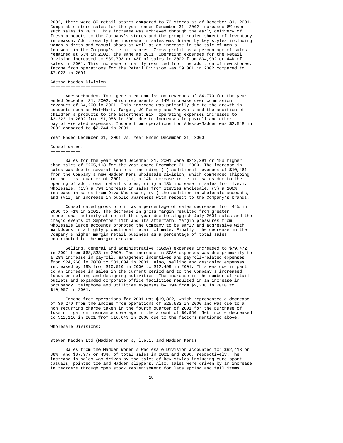2002, there were 80 retail stores compared to 73 stores as of December 31, 2001. Comparable store sales for the year ended December 31, 2002 increased 6% over such sales in 2001. This increase was achieved through the early delivery of fresh products to the Company's stores and the prompt replenishment of inventory in season. Additionally the increase in sales was driven by key styles including women's dress and casual shoes as well as an increase in the sale of men's footwear in the Company's retail stores. Gross profit as a percentage of sales remained at 53% in 2002, the same as 2001. Operating expenses for the Retail Division increased to \$39,793 or 43% of sales in 2002 from \$34,992 or 44% of sales in 2001. This increase primarily resulted from the addition of new stores. Income from operations for the Retail Division was \$9,001 in 2002 compared to \$7,023 in 2001.

#### Adesso−Madden Division: −−−−−−−−−−−−−−−−−−−−−−

 Adesso−Madden, Inc. generated commission revenues of \$4,770 for the year ended December 31, 2002, which represents a 14% increase over commission revenues of \$4,200 in 2001. This increase was primarily due to the growth in accounts such as Wal−Mart, Target, JC Penney and Mervyn's and the addition of children's products to the assortment mix. Operating expenses increased to \$2,222 in 2002 from \$1,956 in 2001 due to increases in payroll and other payroll−related expenses. Income from operations for Adesso−Madden was \$2,548 in 2002 compared to \$2,244 in 2001.

Year Ended December 31, 2001 vs. Year Ended December 31, 2000

#### Consolidated: −−−−−−−−−−−−

 Sales for the year ended December 31, 2001 were \$243,391 or 19% higher than sales of \$205,113 for the year ended December 31, 2000. The increase in sales was due to several factors, including (i) additional revenues of \$10,461 from the Company's new Madden Mens Wholesale Division, which commenced shipping in the first quarter of 2001, (ii) a 14% increase in retail sales due to the opening of additional retail stores, (iii) a 13% increase in sales from l.e.i. Wholesale, (iv) a 79% increase in sales from Stevies Wholesale, (v) a 106% increase in sales from Diva Wholesale, (vi) the addition in wholesale accounts, and (vii) an increase in public awareness with respect to the Company's brands.

 Consolidated gross profit as a percentage of sales decreased from 44% in 2000 to 41% in 2001. The decrease in gross margin resulted from greater promotional activity at retail this year due to sluggish July 2001 sales and the tragic events of September 11th and its aftermath. Margin pressures from wholesale large accounts prompted the Company to be early and aggressive with markdowns in a highly promotional retail climate. Finally, the decrease in the Company's higher margin retail business as a percentage of total sales contributed to the margin erosion.

 Selling, general and administrative (SG&A) expenses increased to \$79,472 in 2001 from \$68,833 in 2000. The increase in SG&A expenses was due primarily to a 28% increase in payroll, management incentives and payroll−related expenses from \$24,268 in 2000 to \$31,004 in 2001. Also, selling and designing expenses increased by 19% from \$10,510 in 2000 to \$12,499 in 2001. This was due in part to an increase in sales in the current period and to the Company's increased focus on selling and designing activities. The increase in the number of retail outlets and expanded corporate office facilities resulted in an increase in occupancy, telephone and utilities expenses by 19% from \$9,208 in 2000 to \$10,957 in 2001.

 Income from operations for 2001 was \$19,362, which represented a decrease of \$6,270 from the income from operations of \$25,632 in 2000 and was due to a non−recurring charge taken in the fourth quarter of 2001 for the purchase of loss mitigation insurance coverage in the amount of \$6,950. Net income decreased to \$12,116 in 2001 from \$16,043 in 2000 due to the factors mentioned above.

#### Wholesale Divisions: −−−−−−−−−−−−−−−−−−−

#### Steven Madden Ltd (Madden Women's, l.e.i. and Madden Mens):

 Sales from the Madden Women's Wholesale Division accounted for \$92,413 or 38%, and \$87,977 or 43%, of total sales in 2001 and 2000, respectively. The increase in sales was driven by the sales of key styles including euro−sport casuals, pointed toe and Madden slippers. Also, sales were driven by an increase in reorders through open stock replenishment for late spring and fall items.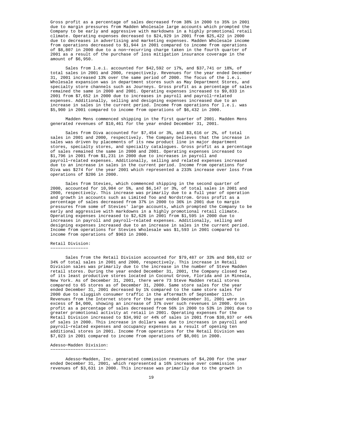Gross profit as a percentage of sales decreased from 38% in 2000 to 35% in 2001 due to margin pressures from Madden Wholesale large accounts which prompted the Company to be early and aggressive with markdowns in a highly promotional retail climate. Operating expenses decreased to \$24,929 in 2001 from \$25,422 in 2000 due to decreases in advertising and marketing expenses. Madden Wholesale income from operations decreased to \$1,944 in 2001 compared to income from operations of \$8,807 in 2000 due to a non−recurring charge taken in the fourth quarter of 2001 as a result of the purchase of loss mitigation insurance coverage in the amount of \$6,950.

 Sales from l.e.i. accounted for \$42,592 or 17%, and \$37,741 or 18%, of total sales in 2001 and 2000, respectively. Revenues for the year ended December 31, 2001 increased 13% over the same period of 2000. The focus of the l.e.i. Wholesale expansion was in department stores such as May Department Stores, and specialty store channels such as Journeys. Gross profit as a percentage of sales remained the same in 2000 and 2001. Operating expenses increased to \$9,833 in 2001 from \$7,652 in 2000 due to increases in payroll and payroll−related expenses. Additionally, selling and designing expenses increased due to an increase in sales in the current period. Income from operations for l.e.i. was \$5,900 in 2001 compared to income from operations of \$6,432 in 2000.

 Madden Mens commenced shipping in the first quarter of 2001. Madden Mens generated revenues of \$10,461 for the year ended December 31, 2001.

 Sales from Diva accounted for \$7,454 or 3%, and \$3,616 or 2%, of total sales in 2001 and 2000, respectively. The Company believes that the increase in sales was driven by placements of its new product line in major department stores, specialty stores, and specialty catalogues. Gross profit as a percentage of sales remained the same in 2000 and 2001. Operating expenses increased to \$1,796 in 2001 from \$1,231 in 2000 due to increases in payroll and payroll−related expenses. Additionally, selling and related expenses increased due to an increase in sales in the current period. Income from operations for Diva was \$274 for the year 2001 which represented a 233% increase over loss from operations of \$206 in 2000.

 Sales from Stevies, which commenced shipping in the second quarter of 2000, accounted for 10,984 or 5%, and \$6,147 or 3%, of total sales in 2001 and 2000, respectively. This increase was primarily due to a full year of operation and growth in accounts such as Limited Too and Nordstrom. Gross profit as a percentage of sales decreased from 37% in 2000 to 36% in 2001 due to margin pressures from some of Stevies' large accounts, which prompted the Company to be early and aggressive with markdowns in a highly promotional retail climate. Operating expenses increased to \$2,626 in 2001 from \$1,595 in 2000 due to increases in payroll and payroll−related expenses. Additionally, selling and designing expenses increased due to an increase in sales in the current period. Income from operations for Stevies Wholesale was \$1,593 in 2001 compared to income from operations of \$963 in 2000.

#### Retail Division: −−−−−−−−−−−−−−−

 Sales from the Retail Division accounted for \$79,487 or 33% and \$69,632 or 34% of total sales in 2001 and 2000, respectively. This increase in Retail Division sales was primarily due to the increase in the number of Steve Madden retail stores. During the year ended December 31, 2001, the Company closed two of its least productive stores located in Coconut Grove, Florida and in Mineola, New York. As of December 31, 2001, there were 73 Steve Madden retail stores compared to 65 stores as of December 31, 2000. Same store sales for the year ended December 31, 2001 decreased by 1% compared to the same store sales for 2000 due to sluggish consumer traffic in the aftermath of September 11th. Revenues from the Internet store for the year ended December 31, 2001 were in excess of \$4,000, showing an increase of 37% over such revenues in 2000. Gross profit as a percentage of sales decreased from 56% in 2000 to 53% in 2001 due to greater promotional activity at retail in 2001. Operating expenses for the Retail Division increased to \$34,992 or 44% of sales in 2001 from \$30,937 or 44% of sales in 2000. This increase in dollars was due to increases in payroll and payroll−related expenses and occupancy expenses as a result of opening ten additional stores in 2001. Income from operations for the Retail Division was \$7,023 in 2001 compared to income from operations of \$8,001 in 2000.

#### Adesso−Madden Division: −−−−−−−−−−−−−−−−−−−−−−

 Adesso−Madden, Inc. generated commission revenues of \$4,200 for the year ended December 31, 2001, which represented a 16% increase over commission revenues of \$3,631 in 2000. This increase was primarily due to the growth in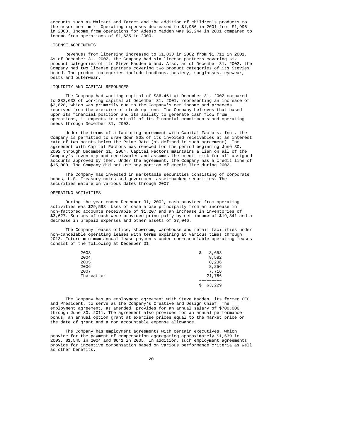accounts such as Walmart and Target and the addition of children's products to the assortment mix. Operating expenses decreased to \$1,956 in 2001 from \$1,996 in 2000. Income from operations for Adesso−Madden was \$2,244 in 2001 compared to income from operations of \$1,635 in 2000.

#### LICENSE AGREEMENTS

 Revenues from licensing increased to \$1,833 in 2002 from \$1,711 in 2001. As of December 31, 2002, the Company had six license partners covering six product categories of its Steve Madden brand. Also, as of December 31, 2002, the Company had two license partners covering two product categories of its Stevies brand. The product categories include handbags, hosiery, sunglasses, eyewear, belts and outerwear.

#### LIQUIDITY AND CAPITAL RESOURCES

 The Company had working capital of \$86,461 at December 31, 2002 compared to \$82,633 of working capital at December 31, 2001, representing an increase of \$3,828, which was primarily due to the Company's net income and proceeds received from the exercise of stock options. The Company believes that based upon its financial position and its ability to generate cash flow from operations, it expects to meet all of its financial commitments and operating needs through December 31, 2003.

 Under the terms of a factoring agreement with Capital Factors, Inc., the Company is permitted to draw down 80% of its invoiced receivables at an interest rate of two points below the Prime Rate (as defined in such agreement). The agreement with Capital Factors was renewed for the period beginning June 30, 2002 through December 31, 2004. Capital Factors maintains a lien on all of the Company's inventory and receivables and assumes the credit risk for all assigned accounts approved by them. Under the agreement, the Company has a credit line of \$15,000. The Company did not use any portion of credit line during 2002.

 The Company has invested in marketable securities consisting of corporate bonds, U.S. Treasury notes and government asset−backed securities. The securities mature on various dates through 2007.

#### OPERATING ACTIVITIES

 During the year ended December 31, 2002, cash provided from operating activities was \$29,593. Uses of cash arose principally from an increase in non−factored accounts receivable of \$1,207 and an increase in inventories of \$3,627. Sources of cash were provided principally by net income of \$19,841 and a decrease in prepaid expenses and other assets of \$7,046.

 The Company leases office, showroom, warehouse and retail facilities under non−cancelable operating leases with terms expiring at various times through 2013. Future minimum annual lease payments under non−cancelable operating leases consist of the following at December 31:

|            | S  | 63,229 |
|------------|----|--------|
|            |    |        |
| Thereafter |    | 21,786 |
| 2007       |    | 7,716  |
| 2006       |    | 8,256  |
| 2005       |    | 8,236  |
| 2004       |    | 8,582  |
| 2003       | \$ | 8,653  |

 The Company has an employment agreement with Steve Madden, its former CEO and President, to serve as the Company's Creative and Design Chief. The employment agreement, as amended, provides for an annual salary of \$700,000 through June 30, 2011. The agreement also provides for an annual performance bonus, an annual option grant at exercise prices equal to the market price on the date of grant and a non−accountable expense allowance.

 The Company has employment agreements with certain executives, which provide for the payment of compensation aggregating approximately \$1,639 in 2003, \$1,545 in 2004 and \$641 in 2005. In addition, such employment agreements provide for incentive compensation based on various performance criteria as well as other benefits.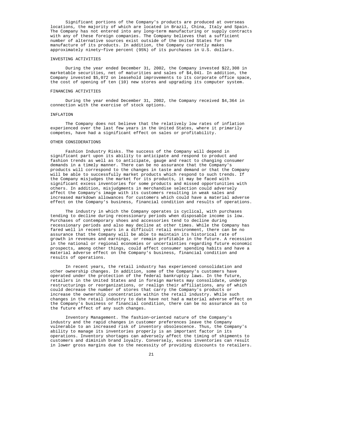Significant portions of the Company's products are produced at overseas locations, the majority of which are located in Brazil, China, Italy and Spain. The Company has not entered into any long−term manufacturing or supply contracts with any of these foreign companies. The Company believes that a sufficient number of alternative sources exist outside of the United States for the manufacture of its products. In addition, the Company currently makes approximately ninety−five percent (95%) of its purchases in U.S. dollars.

#### INVESTING ACTIVITIES

 During the year ended December 31, 2002, the Company invested \$22,308 in marketable securities, net of maturities and sales of \$4,041. In addition, the Company invested \$5,072 on leasehold improvements to its corporate office space, the cost of opening of ten (10) new stores and upgrading its computer system.

#### FINANCING ACTIVITIES

 During the year ended December 31, 2002, the Company received \$4,364 in connection with the exercise of stock options.

#### INFLATION

 The Company does not believe that the relatively low rates of inflation experienced over the last few years in the United States, where it primarily competes, have had a significant effect on sales or profitability.

#### OTHER CONSIDERATIONS

 Fashion Industry Risks. The success of the Company will depend in significant part upon its ability to anticipate and respond to product and fashion trends as well as to anticipate, gauge and react to changing consumer demands in a timely manner. There can be no assurance that the Company's products will correspond to the changes in taste and demand or that the Company will be able to successfully market products which respond to such trends. If the Company misjudges the market for its products, it may be faced with significant excess inventories for some products and missed opportunities with others. In addition, misjudgments in merchandise selection could adversely affect the Company's image with its customers resulting in weak sales and increased markdown allowances for customers which could have a material adverse effect on the Company's business, financial condition and results of operations.

 The industry in which the Company operates is cyclical, with purchases tending to decline during recessionary periods when disposable income is low. Purchases of contemporary shoes and accessories tend to decline during recessionary periods and also may decline at other times. While the Company has fared well in recent years in a difficult retail environment, there can be no assurance that the Company will be able to maintain its historical rate of growth in revenues and earnings, or remain profitable in the future. A recession in the national or regional economies or uncertainties regarding future economic prospects, among other things, could affect consumer spending habits and have a material adverse effect on the Company's business, financial condition and results of operations.

 In recent years, the retail industry has experienced consolidation and other ownership changes. In addition, some of the Company's customers have operated under the protection of the federal bankruptcy laws. In the future, retailers in the United States and in foreign markets may consolidate, undergo restructurings or reorganizations, or realign their affiliations, any of which could decrease the number of stores that carry the Company's products or increase the ownership concentration within the retail industry. While such changes in the retail industry to date have not had a material adverse effect on the Company's business or financial condition, there can be no assurance as to the future effect of any such changes.

 Inventory Management. The fashion−oriented nature of the Company's industry and the rapid changes in customer preferences leave the Company vulnerable to an increased risk of inventory obsolescence. Thus, the Company's ability to manage its inventories properly is an important factor in its operations. Inventory shortages can adversely affect the timing of shipments to customers and diminish brand loyalty. Conversely, excess inventories can result in lower gross margins due to the necessity of providing discounts to retailers.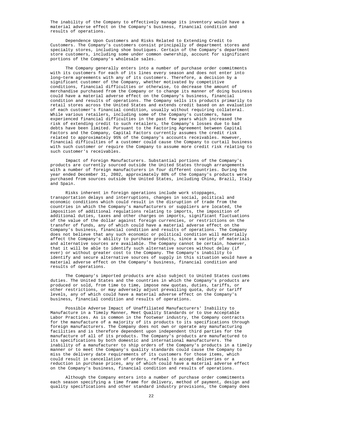The inability of the Company to effectively manage its inventory would have a material adverse effect on the Company's business, financial condition and results of operations.

 Dependence Upon Customers and Risks Related to Extending Credit to Customers. The Company's customers consist principally of department stores and specialty stores, including shoe boutiques. Certain of the Company's department store customers, including some under common ownership, account for significant portions of the Company's wholesale sales.

 The Company generally enters into a number of purchase order commitments with its customers for each of its lines every season and does not enter into long−term agreements with any of its customers. Therefore, a decision by a significant customer of the Company, whether motivated by competitive conditions, financial difficulties or otherwise, to decrease the amount of merchandise purchased from the Company or to change its manner of doing business could have a material adverse effect on the Company's business, financial condition and results of operations. The Company sells its products primarily to retail stores across the United States and extends credit based on an evaluation of each customer's financial condition, usually without requiring collateral. While various retailers, including some of the Company's customers, have experienced financial difficulties in the past few years which increased the risk of extending credit to such retailers, the Company's losses due to bad debts have been limited. Pursuant to the Factoring Agreement between Capital Factors and the Company, Capital Factors currently assumes the credit risk related to approximately 95% of the Company's accounts receivables. However, financial difficulties of a customer could cause the Company to curtail business with such customer or require the Company to assume more credit risk relating to such customer's receivables.

 Impact of Foreign Manufacturers. Substantial portions of the Company's products are currently sourced outside the United States through arrangements with a number of foreign manufacturers in four different countries. During the year ended December 31, 2002, approximately 80% of the Company's products were purchased from sources outside the United States, including China, Brazil, Italy and Spain.

 Risks inherent in foreign operations include work stoppages, transportation delays and interruptions, changes in social, political and economic conditions which could result in the disruption of trade from the countries in which the Company's manufacturers or suppliers are located, the imposition of additional regulations relating to imports, the imposition of additional duties, taxes and other charges on imports, significant fluctuations of the value of the dollar against foreign currencies, or restrictions on the transfer of funds, any of which could have a material adverse effect on the Company's business, financial condition and results of operations. The Company does not believe that any such economic or political condition will materially affect the Company's ability to purchase products, since a variety of materials and alternative sources are available. The Company cannot be certain, however, that it will be able to identify such alternative sources without delay (if ever) or without greater cost to the Company. The Company's inability to identify and secure alternative sources of supply in this situation would have a material adverse effect on the Company's business, financial condition and results of operations.

 The Company's imported products are also subject to United States customs duties. The United States and the countries in which the Company's products are produced or sold, from time to time, impose new quotas, duties, tariffs, or other restrictions, or may adversely adjust prevailing quota, duty or tariff levels, any of which could have a material adverse effect on the Company's business, financial condition and results of operations.

 Possible Adverse Impact of Unaffiliated Manufacturers' Inability to Manufacture in a Timely Manner, Meet Quality Standards or to Use Acceptable Labor Practices. As is common in the footwear industry, the Company contracts for the manufacture of a majority of its products to its specifications through foreign manufacturers. The Company does not own or operate any manufacturing facilities and is therefore dependent upon independent third parties for the manufacture of all of its products. The Company's products are manufactured to its specifications by both domestic and international manufacturers. The inability of a manufacturer to ship orders of the Company's products in a timely manner or to meet the Company's quality standards could cause the Company to miss the delivery date requirements of its customers for those items, which could result in cancellation of orders, refusal to accept deliveries or a reduction in purchase prices, any of which could have a material adverse effect on the Company's business, financial condition and results of operations.

 Although the Company enters into a number of purchase order commitments each season specifying a time frame for delivery, method of payment, design and quality specifications and other standard industry provisions, the Company does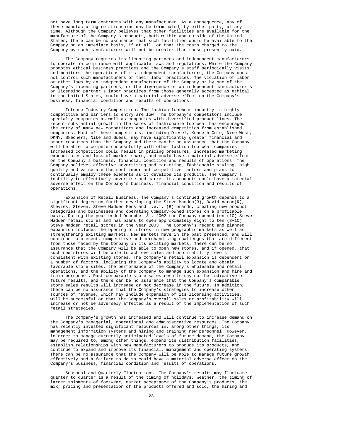not have long−term contracts with any manufacturer. As a consequence, any of these manufacturing relationships may be terminated, by either party, at any time. Although the Company believes that other facilities are available for the manufacture of the Company's products, both within and outside of the United States, there can be no assurance that such facilities would be available to the Company on an immediate basis, if at all, or that the costs charged to the Company by such manufacturers will not be greater than those presently paid.

 The Company requires its licensing partners and independent manufacturers to operate in compliance with applicable laws and regulations. While the Company promotes ethical business practices and the Company's staff periodically visits and monitors the operations of its independent manufacturers, the Company does not control such manufacturers or their labor practices. The violation of labor or other laws by an independent manufacturer of the Company or by one of the Company's licensing partners, or the divergence of an independent manufacturer's or licensing partner's labor practices from those generally accepted as ethical in the United States, could have a material adverse effect on the Company's business, financial condition and results of operations.

 Intense Industry Competition. The fashion footwear industry is highly competitive and barriers to entry are low. The Company's competitors include specialty companies as well as companies with diversified product lines. The recent substantial growth in the sales of fashionable footwear has encouraged the entry of many new competitors and increased competition from established companies. Most of these competitors, including Diesel, Kenneth Cole, Nine West, DKNY, Skechers, Nike and Guess, may have significantly greater financial and other resources than the Company and there can be no assurance that the Company will be able to compete successfully with other fashion footwear companies. Increased competition could result in pricing pressures, increased marketing expenditures and loss of market share, and could have a material adverse effect on the Company's business, financial condition and results of operations. The Company believes effective advertising and marketing, fashionable styling, high quality and value are the most important competitive factors and plans to continually employ these elements as it develops its products. The Company's inability to effectively advertise and market its products could have a material adverse effect on the Company's business, financial condition and results of operations.

 Expansion of Retail Business. The Company's continued growth depends to a significant degree on further developing the Steve Madden(R), David Aaron(R), Stevies, Steven, Steve Madden Mens and l.e.i. (R) brands, creating new product categories and businesses and operating Company−owned stores on a profitable basis. During the year ended December 31, 2002 the Company opened ten (10) Steve Madden retail stores and has plans to open approximately eight to ten (8−10) Steve Madden retail stores in the year 2003. The Company's recent and planned expansion includes the opening of stores in new geographic markets as well as strengthening existing markets. New markets have in the past presented, and will continue to present, competitive and merchandising challenges that are different from those faced by the Company in its existing markets. There can be no assurance that the Company will be able to open new stores, and if opened, that such new stores will be able to achieve sales and profitability levels consistent with existing stores. The Company's retail expansion is dependent on a number of factors, including the Company's ability to locate and obtain favorable store sites, the performance of the Company's wholesale and retail operations, and the ability of the Company to manage such expansion and hire and train personnel. Past comparable store sales results may not be indicative of future results, and there can be no assurance that the Company's comparable store sales results will increase or not decrease in the future. In addition, there can be no assurance that the Company's strategies to increase other sources of revenue, which may include expansion of its licensing activities, will be successful or that the Company's overall sales or profitability will increase or not be adversely affected as a result of the implementation of such retail strategies.

 The Company's growth has increased and will continue to increase demand on the Company's managerial, operational and administrative resources. The Company has recently invested significant resources in, among other things, its management information systems and hiring and training new personnel. However, in order to manage currently anticipated levels of future demand, the Company may be required to, among other things, expand its distribution facilities, establish relationships with new manufacturers to produce its products, and continue to expand and improve its financial, management and operating systems. There can be no assurance that the Company will be able to manage future growth effectively and a failure to do so could have a material adverse effect on the Company's business, financial condition and results of operations.

 Seasonal and Quarterly Fluctuations. The Company's results may fluctuate quarter to quarter as a result of the timing of holidays, weather, the timing of larger shipments of footwear, market acceptance of the Company's products, the mix, pricing and presentation of the products offered and sold, the hiring and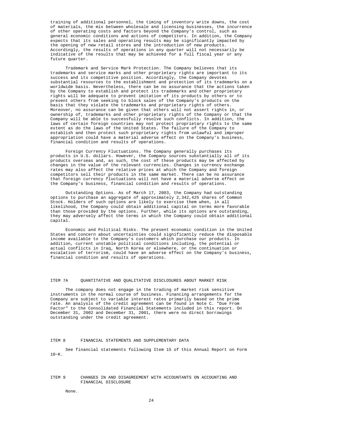training of additional personnel, the timing of inventory write downs, the cost of materials, the mix between wholesale and licensing businesses, the incurrence of other operating costs and factors beyond the Company's control, such as general economic conditions and actions of competitors. In addition, the Company expects that its sales and operating results may be significantly impacted by the opening of new retail stores and the introduction of new products. Accordingly, the results of operations in any quarter will not necessarily be indicative of the results that may be achieved for a full fiscal year or any future quarter.

 Trademark and Service Mark Protection. The Company believes that its trademarks and service marks and other proprietary rights are important to its success and its competitive position. Accordingly, the Company devotes substantial resources to the establishment and protection of its trademarks on a worldwide basis. Nevertheless, there can be no assurance that the actions taken by the Company to establish and protect its trademarks and other proprietary rights will be adequate to prevent imitation of its products by others or to prevent others from seeking to block sales of the Company's products on the basis that they violate the trademarks and proprietary rights of others. Moreover, no assurance can be given that others will not assert rights in, or ownership of, trademarks and other proprietary rights of the Company or that the Company will be able to successfully resolve such conflicts. In addition, the laws of certain foreign countries may not protect proprietary rights to the same extent as do the laws of the United States. The failure of the Company to establish and then protect such proprietary rights from unlawful and improper appropriation could have a material adverse effect on the Company's business, financial condition and results of operations.

 Foreign Currency Fluctuations. The Company generally purchases its products in U.S. dollars. However, the Company sources substantially all of its products overseas and, as such, the cost of these products may be affected by changes in the value of the relevant currencies. Changes in currency exchange rates may also affect the relative prices at which the Company and foreign competitors sell their products in the same market. There can be no assurance that foreign currency fluctuations will not have a material adverse effect on the Company's business, financial condition and results of operations.

 Outstanding Options. As of March 17, 2003, the Company had outstanding options to purchase an aggregate of approximately 2,342,425 shares of Common Stock. Holders of such options are likely to exercise them when, in all likelihood, the Company could obtain additional capital on terms more favorable than those provided by the options. Further, while its options are outstanding, they may adversely affect the terms in which the Company could obtain additional capital.

 Economic and Political Risks. The present economic condition in the United States and concern about uncertainties could significantly reduce the disposable income available to the Company's customers which purchase our products. In addition, current unstable political conditions including, the potential or actual conflicts in Iraq, North Korea or elsewhere, or the continuation or escalation of terrorism, could have an adverse effect on the Company's business, financial condition and results of operations.

# <span id="page-28-0"></span>ITEM 7A QUANTITATIVE AND QUALITATIVE DISCLOSURES ABOUT MARKET RISK

 The company does not engage in the trading of market risk sensitive instruments in the normal course of business. Financing arrangements for the Company are subject to variable interest rates primarily based on the prime rate. An analysis of the credit agreement can be found in Note C. "Due From Factor" to the Consolidated Financial Statements included in this report. On December 31, 2002 and December 31, 2001, there were no direct borrowings outstanding under the credit agreement.

#### <span id="page-28-1"></span>ITEM 8 FINANCIAL STATEMENTS AND SUPPLEMENTARY DATA

 See financial statements following Item 15 of this Annual Report on Form 10−K.

#### <span id="page-28-2"></span>ITEM 9 CHANGES IN AND DISAGREEMENT WITH ACCOUNTANTS ON ACCOUNTING AND FINANCIAL DISCLOSURE

None.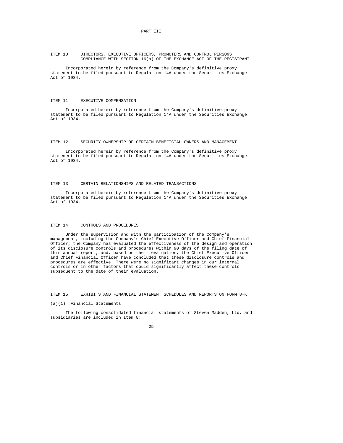<span id="page-29-1"></span><span id="page-29-0"></span>ITEM 10 DIRECTORS, EXECUTIVE OFFICERS, PROMOTERS AND CONTROL PERSONS; COMPLIANCE WITH SECTION 16(a) OF THE EXCHANGE ACT OF THE REGISTRANT

 Incorporated herein by reference from the Company's definitive proxy statement to be filed pursuant to Regulation 14A under the Securities Exchange Act of 1934.

#### <span id="page-29-2"></span>ITEM 11 EXECUTIVE COMPENSATION

 Incorporated herein by reference from the Company's definitive proxy statement to be filed pursuant to Regulation 14A under the Securities Exchange Act of 1934.

# <span id="page-29-3"></span>ITEM 12 SECURITY OWNERSHIP OF CERTAIN BENEFICIAL OWNERS AND MANAGEMENT

 Incorporated herein by reference from the Company's definitive proxy statement to be filed pursuant to Regulation 14A under the Securities Exchange Act of 1934.

#### <span id="page-29-4"></span>ITEM 13 CERTAIN RELATIONSHIPS AND RELATED TRANSACTIONS

 Incorporated herein by reference from the Company's definitive proxy statement to be filed pursuant to Regulation 14A under the Securities Exchange Act of 1934.

#### <span id="page-29-5"></span>ITEM 14 CONTROLS AND PROCEDURES

 Under the supervision and with the participation of the Company's management, including the Company's Chief Executive Officer and Chief Financial Officer, the Company has evaluated the effectiveness of the design and operation of its disclosure controls and procedures within 90 days of the filing date of this annual report, and, based on their evaluation, the Chief Executive Officer and Chief Financial Officer have concluded that these disclosure controls and procedures are effective. There were no significant changes in our internal controls or in other factors that could significantly affect these controls subsequent to the date of their evaluation.

<span id="page-29-6"></span>ITEM 15 EXHIBITS AND FINANCIAL STATEMENT SCHEDULES AND REPORTS ON FORM 8−K

#### (a)(1) Financial Statements

 The following consolidated financial statements of Steven Madden, Ltd. and subsidiaries are included in Item 8: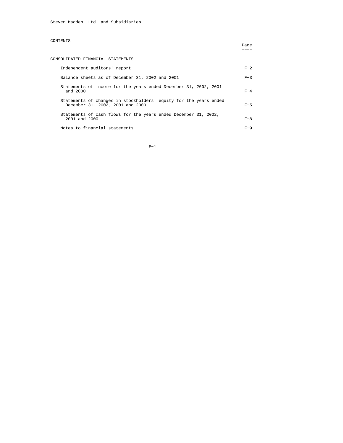# CONTENTS

|                                                                                                       | Page    |
|-------------------------------------------------------------------------------------------------------|---------|
| CONSOLIDATED FINANCIAL STATEMENTS                                                                     |         |
| Independent auditors' report                                                                          | $F - 2$ |
| Balance sheets as of December 31, 2002 and 2001                                                       | $F-3$   |
| Statements of income for the years ended December 31, 2002, 2001<br>and $2000$                        | $F - 4$ |
| Statements of changes in stockholders' equity for the years ended<br>December 31, 2002, 2001 and 2000 | $F - 5$ |
| Statements of cash flows for the years ended December 31, 2002,<br>$2001$ and $2000$                  | $F - R$ |
| Notes to financial statements                                                                         | $F-9$   |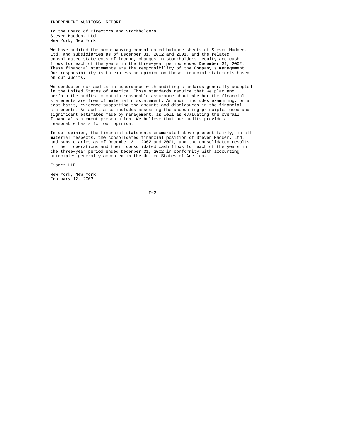To the Board of Directors and Stockholders Steven Madden, Ltd. New York, New York

We have audited the accompanying consolidated balance sheets of Steven Madden, Ltd. and subsidiaries as of December 31, 2002 and 2001, and the related consolidated statements of income, changes in stockholders' equity and cash flows for each of the years in the three−year period ended December 31, 2002. These financial statements are the responsibility of the Company's management. Our responsibility is to express an opinion on these financial statements based on our audits.

We conducted our audits in accordance with auditing standards generally accepted in the United States of America. Those standards require that we plan and perform the audits to obtain reasonable assurance about whether the financial statements are free of material misstatement. An audit includes examining, on a test basis, evidence supporting the amounts and disclosures in the financial statements. An audit also includes assessing the accounting principles used and significant estimates made by management, as well as evaluating the overall financial statement presentation. We believe that our audits provide a reasonable basis for our opinion.

In our opinion, the financial statements enumerated above present fairly, in all material respects, the consolidated financial position of Steven Madden, Ltd. and subsidiaries as of December 31, 2002 and 2001, and the consolidated results of their operations and their consolidated cash flows for each of the years in the three−year period ended December 31, 2002 in conformity with accounting principles generally accepted in the United States of America.

Eisner LLP

New York, New York February 12, 2003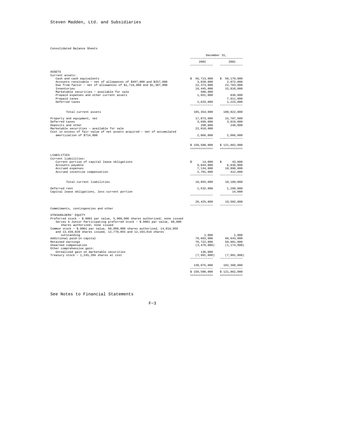# Consolidated Balance Sheets

|                                                                                                                                                                                                                                                                                                                                                                      | December 31.                                                      |                                                                                                                                                                                                                                                                                                                                                                                                                                                                                                                 |  |
|----------------------------------------------------------------------------------------------------------------------------------------------------------------------------------------------------------------------------------------------------------------------------------------------------------------------------------------------------------------------|-------------------------------------------------------------------|-----------------------------------------------------------------------------------------------------------------------------------------------------------------------------------------------------------------------------------------------------------------------------------------------------------------------------------------------------------------------------------------------------------------------------------------------------------------------------------------------------------------|--|
|                                                                                                                                                                                                                                                                                                                                                                      | -----------------------------------<br>2002                       | 2001                                                                                                                                                                                                                                                                                                                                                                                                                                                                                                            |  |
| ASSETS                                                                                                                                                                                                                                                                                                                                                               |                                                                   |                                                                                                                                                                                                                                                                                                                                                                                                                                                                                                                 |  |
| Current assets:<br>Cash and cash equivalents<br>Accounts receivable - net of allowances of \$497,000 and \$257,000<br>Due from factor - net of allowances of $$1,718,000$ and $$1,387,000$<br>Inventories<br>Marketable securities - available for sale<br>Prepaid expenses and other current assets<br>Prepaid taxes<br>Deferred taxes                              | $$56,713,000$$ $$50,179,000$<br>500,000<br>1,651,000<br>1,633,000 | $\begin{array}{ccc} 3\,, 039\,, 000 & \quad & 2\,, 072\,, 000 \\ 22\,, 373\,, 000 & \quad & 22\,, 783\,, 000 \\ 19\,, 445\,, 000 & \quad & 15\,, 818\,, 000 \end{array}$<br>836,000<br>7,911,000<br>1,223,000                                                                                                                                                                                                                                                                                                   |  |
|                                                                                                                                                                                                                                                                                                                                                                      | --------------                                                    | -------------                                                                                                                                                                                                                                                                                                                                                                                                                                                                                                   |  |
| Total current assets                                                                                                                                                                                                                                                                                                                                                 |                                                                   | 105, 354, 000 100, 822, 000                                                                                                                                                                                                                                                                                                                                                                                                                                                                                     |  |
| Property and equipment, net<br>Deferred taxes<br>Deposits and other<br>Marketable securities - available for sale<br>Cost in excess of fair value of net assets acquired - net of accumulated                                                                                                                                                                        | 3,699,000<br>298,000<br>22,010,000                                | 17,073,000 15,707,000<br>3,019,000<br>248,000                                                                                                                                                                                                                                                                                                                                                                                                                                                                   |  |
| amortization of \$714,000                                                                                                                                                                                                                                                                                                                                            | 2,066,000<br>--------------                                       | 2,066,000<br>--------------                                                                                                                                                                                                                                                                                                                                                                                                                                                                                     |  |
|                                                                                                                                                                                                                                                                                                                                                                      | =============                                                     | \$150,500,000 \$121,862,000<br>-------------                                                                                                                                                                                                                                                                                                                                                                                                                                                                    |  |
| LIABILITIES                                                                                                                                                                                                                                                                                                                                                          |                                                                   |                                                                                                                                                                                                                                                                                                                                                                                                                                                                                                                 |  |
| Current liabilities:<br>Current portion of capital lease obligations<br>Accounts payable<br>Accrued expenses<br>Accrued incentive compensation                                                                                                                                                                                                                       | $\mathsf{S}$<br>______________                                    | $14,000$ \$ $43,000$<br>$\begin{array}{llll} 9\,,\,044\,,\,000 \qquad & \qquad 6\,,\,836\,,\,000 \\ 7\,,\,134\,,\,000 \qquad & \qquad 10\,,\,898\,,\,000 \\ 2\,,\,701\,,\,000 \qquad & \qquad 412\,,\,000 \end{array}$<br>--------------                                                                                                                                                                                                                                                                        |  |
| Total current liabilities                                                                                                                                                                                                                                                                                                                                            |                                                                   | 18,893,000 18,189,000                                                                                                                                                                                                                                                                                                                                                                                                                                                                                           |  |
| Deferred rent<br>Capital lease obligations, less current portion                                                                                                                                                                                                                                                                                                     | 1,532,000<br>.                                                    | 1,299,000<br>14,000                                                                                                                                                                                                                                                                                                                                                                                                                                                                                             |  |
|                                                                                                                                                                                                                                                                                                                                                                      | _______________                                                   | 20,425,000 19,502,000<br>$\begin{array}{cccccccccccccc} \multicolumn{2}{c}{} & \multicolumn{2}{c}{} & \multicolumn{2}{c}{} & \multicolumn{2}{c}{} & \multicolumn{2}{c}{} & \multicolumn{2}{c}{} & \multicolumn{2}{c}{} & \multicolumn{2}{c}{} & \multicolumn{2}{c}{} & \multicolumn{2}{c}{} & \multicolumn{2}{c}{} & \multicolumn{2}{c}{} & \multicolumn{2}{c}{} & \multicolumn{2}{c}{} & \multicolumn{2}{c}{} & \multicolumn{2}{c}{} & \multicolumn{2}{c}{} & \multicolumn{2}{c}{} & \multicolumn{2}{c}{} & \$ |  |
| Commitments, contingencies and other                                                                                                                                                                                                                                                                                                                                 |                                                                   |                                                                                                                                                                                                                                                                                                                                                                                                                                                                                                                 |  |
| STOCKHOLDERS' EQUITY<br>Preferred stock - \$.0001 par value, 5,000,000 shares authorized; none issued<br>Series A Junior Participating preferred stock - \$.0001 par value, 60,000<br>shares authorized; none issued<br>Common stock - \$.0001 par value, 60,000,000 shares authorized, 14,016,059<br>and 13,439,020 shares issued, 12,770,855 and 12,193,816 shares |                                                                   |                                                                                                                                                                                                                                                                                                                                                                                                                                                                                                                 |  |
| outstanding<br>Additional paid-in capital<br>Retained earnings<br>Unearned compensation                                                                                                                                                                                                                                                                              | 1,000<br>70,683,000<br>70,722,000<br>(3, 476, 000)                | 1,000<br>$1,000$<br>60,643,000<br>50,881,000<br>(1, 174, 000)                                                                                                                                                                                                                                                                                                                                                                                                                                                   |  |
| Other comprehensive gain:<br>Unrealized gain on marketable securities<br>Treasury stock - 1,245,204 shares at cost                                                                                                                                                                                                                                                   | 136,000<br>(7,991,000)<br>-------------                           | (7,991,000)<br>--------------                                                                                                                                                                                                                                                                                                                                                                                                                                                                                   |  |
|                                                                                                                                                                                                                                                                                                                                                                      | 130,075,000                                                       | 102,360,000                                                                                                                                                                                                                                                                                                                                                                                                                                                                                                     |  |
|                                                                                                                                                                                                                                                                                                                                                                      | _______________<br>\$150,500,000<br>=============                 | -------------<br>\$121,862,000<br>-------------                                                                                                                                                                                                                                                                                                                                                                                                                                                                 |  |

See Notes to Financial Statements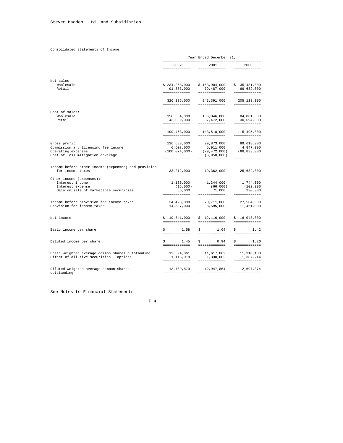# Consolidated Statements of Income

|                                                                         | Year Ended December 31,                   |                                                                                      |                                           |  |  |
|-------------------------------------------------------------------------|-------------------------------------------|--------------------------------------------------------------------------------------|-------------------------------------------|--|--|
|                                                                         | 2002 - 2003 - 2014 12:33                  | 2001<br>______________                                                               | 2000<br>-------------                     |  |  |
| Net sales:<br>Wholesale                                                 |                                           | \$234,253,000 \$163,904,000                                                          | \$135,481,000                             |  |  |
| Retail                                                                  | 91,883,000<br>-------------               | 79,487,000 69,632,000<br>-------------                                               | -------------                             |  |  |
|                                                                         | 326,136,000<br>. <u>.</u> .               | 243,391,000 205,113,000<br>____________                                              | -------------                             |  |  |
| Cost of sales:                                                          |                                           |                                                                                      |                                           |  |  |
| Wholesale                                                               | 156,364,000                               | 106,046,000                                                                          | 84,801,000                                |  |  |
| Retail                                                                  | 43,089,000                                | 37,472,000 30,694,000<br>--------------                                              | -------------                             |  |  |
|                                                                         | 199,453,000<br>-------------              | 143,518,000<br>--------------                                                        | 115,495,000<br>-------------              |  |  |
| Gross profit                                                            | 126,683,000                               | 99,873,000                                                                           | 89,618,000                                |  |  |
| Commission and licensing fee income                                     | 6,603,000                                 | 5,911,000                                                                            | 4,847,000                                 |  |  |
| Operating expenses<br>Cost of loss mitigation coverage                  | -------------                             | $(100, 074, 000)$ $(79, 472, 000)$ $(68, 833, 000)$<br>(6,950,000)<br>-------------- | -------------                             |  |  |
| Income before other income (expenses) and provision<br>for income taxes |                                           | 33, 212, 000 19, 362, 000 25, 632, 000                                               |                                           |  |  |
| Other income (expenses):                                                |                                           |                                                                                      |                                           |  |  |
| Interest income                                                         |                                           | 1,166,000 1,344,000 1,744,000                                                        |                                           |  |  |
| Interest expense<br>Gain on sale of marketable securities               | (16,000)<br>66,000<br>-------------       | (66,000)<br>71,000<br>--------------                                                 | (102, 000)<br>230,000<br>-------------    |  |  |
| Income before provision for income taxes                                |                                           | 20, 711, 000                                                                         |                                           |  |  |
| Provision for income taxes                                              | 34,428,000<br>14,587,000<br>_____________ | 8,595,000<br>_____________                                                           | 27,504,000<br>11,461,000<br>------------- |  |  |
| Net income                                                              | \$19,841,000<br>=============             | $$12,116,000 \t$16,043,000$                                                          |                                           |  |  |
| Basic income per share                                                  | \$1.58                                    | $$1.04$ \$ 1.42                                                                      |                                           |  |  |
|                                                                         | =============                             | -------------- -------------                                                         |                                           |  |  |
| Diluted income per share                                                | \$1.45                                    | $$0.94$ \$ 1.26                                                                      |                                           |  |  |
| Basic weighted average common shares outstanding                        |                                           | 12,594,861   11,617,862   11,310,130                                                 |                                           |  |  |
| Effect of dilutive securities - options                                 | 1,115,018<br>_____________                | 1,330,002<br>_____________                                                           | 1,387,244<br>-------------                |  |  |
| Diluted weighted average common shares                                  | 13,709,879                                | 12,947,864                                                                           | 12,697,374                                |  |  |
| outstanding                                                             | =============                             | =============                                                                        | =============                             |  |  |

See Notes to Financial Statements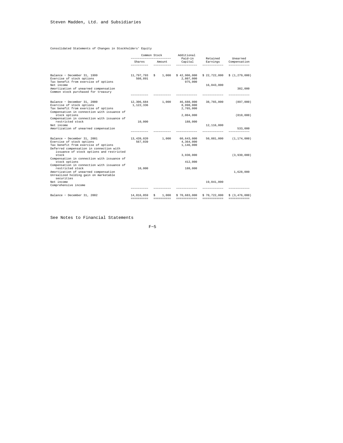# Consolidated Statements of Changes in Stockholders' Equity

|                                                                                                                                                                                          | Common Stock<br>-------------------- |    | Additional<br>Paid-in |                                                 | Retained                     | Unearned                        |  |
|------------------------------------------------------------------------------------------------------------------------------------------------------------------------------------------|--------------------------------------|----|-----------------------|-------------------------------------------------|------------------------------|---------------------------------|--|
|                                                                                                                                                                                          | Shares                               |    | Amount                | Capital                                         | Earnings                     | Compensation                    |  |
| Balance - December 31, 1999<br>Exercise of stock options<br>Tax benefit from exercise of options                                                                                         | 11,797,793<br>508,891                |    |                       | $$1,000$$ $$42,906,000$<br>2,807,000<br>975,000 | \$22,722,000                 | \$(1, 279, 000)                 |  |
| Net income<br>Amortization of unearned compensation<br>Common stock purchased for treasury                                                                                               |                                      |    |                       |                                                 | 16,043,000                   | 382,000                         |  |
| Balance - December 31, 2000<br>Exercise of stock options<br>Tax benefit from exercise of options<br>Compensation in connection with issuance of                                          | 12,306,684<br>1,122,336              |    | 1,000                 | 46,688,000<br>8,998,000<br>2,765,000            | 38,765,000                   | (897,000)                       |  |
| stock options<br>Compensation in connection with issuance of<br>restricted stock                                                                                                         |                                      |    |                       | 2,004,000                                       |                              | (810,000)                       |  |
| Net income<br>Amortization of unearned compensation                                                                                                                                      | 10,000                               |    |                       | 188,000                                         | 12,116,000                   | 533,000                         |  |
| Balance - December 31, 2001<br>Exercise of stock options<br>Tax benefit from exercise of options<br>Deferred compensation in connection with<br>issuance of stock options and restricted | 13,439,020<br>567,039                |    | 1,000                 | 60,643,000<br>4,364,000<br>1,146,000            | 50,881,000                   | (1, 174, 000)                   |  |
| stock<br>Compensation in connection with issuance of<br>stock options                                                                                                                    |                                      |    |                       | 3,930,000<br>412,000                            |                              | (3,930,000)                     |  |
| Compensation in connection with issuance of<br>restricted stock<br>Amortization of unearned compensation<br>Unrealized holding gain on marketable                                        | 10,000                               |    |                       | 188,000                                         |                              | 1,628,000                       |  |
| securities<br>Net income<br>Comprehensive income                                                                                                                                         |                                      |    |                       |                                                 | 19,841,000                   |                                 |  |
| Balance - December 31, 2002                                                                                                                                                              | 14,016,059<br>==========             | S. | 1,000<br>==========   | \$70.683.000<br>============                    | \$70,722,000<br>============ | \$(3, 476, 000)<br>============ |  |

See Notes to Financial Statements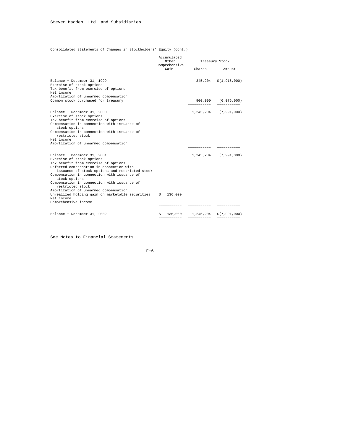Consolidated Statements of Changes in Stockholders' Equity (cont.)

|                                                                                                                                                                                                                                                                                                                                                                                                                                                                                  | Accumulated<br>Other<br>Comprehensive ------------------------- | Treasury Stock                |                                       |
|----------------------------------------------------------------------------------------------------------------------------------------------------------------------------------------------------------------------------------------------------------------------------------------------------------------------------------------------------------------------------------------------------------------------------------------------------------------------------------|-----------------------------------------------------------------|-------------------------------|---------------------------------------|
|                                                                                                                                                                                                                                                                                                                                                                                                                                                                                  |                                                                 | Gain Shares Amount            |                                       |
| Balance - December 31, 1999<br>Exercise of stock options<br>Tax benefit from exercise of options<br>Net income                                                                                                                                                                                                                                                                                                                                                                   |                                                                 |                               | 345,204 \$(1,915,000)                 |
| Amortization of unearned compensation<br>Common stock purchased for treasury                                                                                                                                                                                                                                                                                                                                                                                                     |                                                                 |                               | 900,000 (6,076,000)                   |
| Balance - December 31, 2000<br>Exercise of stock options<br>Tax benefit from exercise of options<br>Compensation in connection with issuance of<br>stock options<br>Compensation in connection with issuance of<br>restricted stock<br>Net income<br>Amortization of unearned compensation                                                                                                                                                                                       |                                                                 |                               | 1,245,204 (7,991,000)                 |
| Balance - December 31, 2001<br>Exercise of stock options<br>Tax benefit from exercise of options<br>Deferred compensation in connection with<br>issuance of stock options and restricted stock<br>Compensation in connection with issuance of<br>stock options<br>Compensation in connection with issuance of<br>restricted stock<br>Amortization of unearned compensation<br>Unrealized holding gain on marketable securities $$ 136,000$<br>Net income<br>Comprehensive income |                                                                 | ----------        ----------- | 1,245,204 (7,991,000)                 |
| Balance - December 31, 2002                                                                                                                                                                                                                                                                                                                                                                                                                                                      |                                                                 |                               | $$136,000$ $1,245,204$ $$(7,991,000)$ |

See Notes to Financial Statements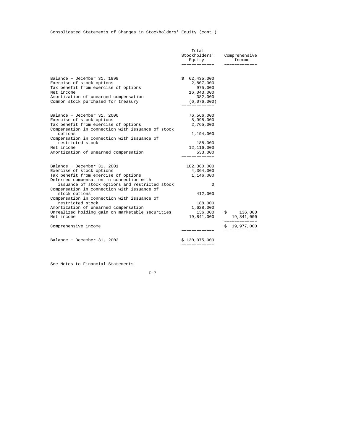|                                                                                                                                                                                                                                                                                                                                                                                                                                              | Total<br>Equity                                                                                               | Stockholders' Comprehensive<br>Income<br>------------- |
|----------------------------------------------------------------------------------------------------------------------------------------------------------------------------------------------------------------------------------------------------------------------------------------------------------------------------------------------------------------------------------------------------------------------------------------------|---------------------------------------------------------------------------------------------------------------|--------------------------------------------------------|
| Balance - December 31, 1999<br>Exercise of stock options<br>Tax benefit from exercise of options<br>Net income<br>Amortization of unearned compensation<br>Common stock purchased for treasury                                                                                                                                                                                                                                               | \$62,435,000<br>2,807,000<br>975,000<br>16,043,000<br>382,000<br>(6,076,000)                                  |                                                        |
| Balance - December 31, 2000<br>Exercise of stock options<br>Tax benefit from exercise of options<br>Compensation in connection with issuance of stock<br>options<br>Compensation in connection with issuance of<br>restricted stock<br>Net income<br>Amortization of unearned compensation                                                                                                                                                   | 76,566,000<br>8,998,000<br>2,765,000<br>1,194,000<br>188,000<br>12,116,000<br>533,000<br>-------------        |                                                        |
| Balance - December 31, 2001<br>Exercise of stock options<br>Tax benefit from exercise of options<br>Deferred compensation in connection with<br>issuance of stock options and restricted stock<br>Compensation in connection with issuance of<br>stock options<br>Compensation in connection with issuance of<br>restricted stock<br>Amortization of unearned compensation<br>Unrealized holding gain on marketable securities<br>Net income | 102,360,000<br>4,364,000<br>1,146,000<br>$\Omega$<br>412,000<br>188,000<br>1,628,000<br>136,000<br>19,841,000 | $\ddot{s}$<br>136,000<br>19,841,000                    |
| Comprehensive income                                                                                                                                                                                                                                                                                                                                                                                                                         | ------------                                                                                                  | \$19,977,000<br>=============                          |
| Balance - December 31, 2002                                                                                                                                                                                                                                                                                                                                                                                                                  | \$130,075,000<br>-------------                                                                                |                                                        |

See Notes to Financial Statements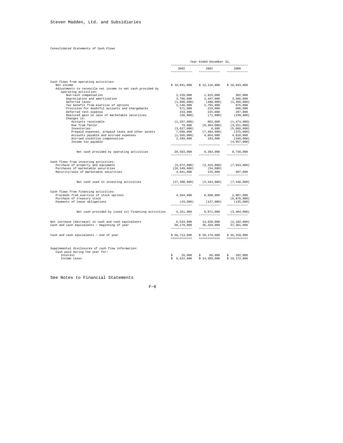Consolidated Statements of Cash Flows

|                                                                                      |                                 | Year Ended December 31,                                                             |                                             |
|--------------------------------------------------------------------------------------|---------------------------------|-------------------------------------------------------------------------------------|---------------------------------------------|
|                                                                                      | 2002<br>-------------           | 2001<br>_____________                                                               | 2000                                        |
| Cash flows from operating activities:                                                |                                 |                                                                                     |                                             |
| Net income                                                                           |                                 | $$19,841,000 \t$12,116,000 \t$16,043,000$                                           |                                             |
| Adjustments to reconcile net income to net cash provided by<br>operating activities: |                                 |                                                                                     |                                             |
| Non-cash compensation                                                                | 2,228,000                       | 1,915,000                                                                           | 382,000                                     |
| Depreciation and amortization                                                        | 3,706,000                       | 3,447,000                                                                           | 3,586,000                                   |
| Deferred taxes                                                                       | (1,090,000)                     | (480, 000)<br>1,146,000 2,765,000                                                   | (1, 350, 000)                               |
| Tax benefit from exercise of options                                                 |                                 |                                                                                     | 975,000                                     |
| Provision for doubtful accounts and chargebacks                                      | 571,000                         | 219,000<br>225,000                                                                  | 506,000                                     |
| Deferred rent expense                                                                | 233,000                         |                                                                                     | 297,000                                     |
| Realized gain on sale of marketable securities<br>Changes in:                        | (66,000)                        |                                                                                     | $(71,000)$ (230,000)                        |
| Accounts receivable                                                                  | (1, 207, 000)                   | 862,000                                                                             | (1, 474, 000)                               |
| Due from factor                                                                      | 79,000                          | (8, 364, 000)                                                                       | (3, 251, 000)                               |
| Inventories                                                                          | (3,627,000)                     | 6,000                                                                               | (5,666,000)                                 |
| Prepaid expenses, prepaid taxes and other assets                                     | 7,046,000                       | (7, 484, 000)                                                                       | (375,000)<br>( 375 , 000 )<br>4 , 610 , 000 |
| Accounts payable and accrued expenses                                                | (1, 556, 000)                   | 4,054,000                                                                           |                                             |
| Accrued incentive compensation<br>Income tax payable                                 | 2,289,000                       | 183,000                                                                             | (348,000)<br>(4, 957, 000)                  |
|                                                                                      | -------------                   | ------------                                                                        | ------------                                |
| Net cash provided by operating activities                                            | 29,593,000<br>____________      | 9,393,000<br>-------------                                                          | 8,748,000<br>-------------                  |
| Cash flows from investing activities:                                                |                                 |                                                                                     |                                             |
| Purchase of property and equipment                                                   |                                 | $(5,072,000)$ $(3,415,000)$ $(7,933,000)$                                           |                                             |
| Purchases of marketable securities                                                   | (26, 349, 000)                  | (54,000)                                                                            |                                             |
| Maturity/sale of marketable securities                                               | 4,041,000                       | 125,000                                                                             | 487,000                                     |
|                                                                                      | -------------                   | -------------                                                                       |                                             |
| Net cash used in investing activities                                                | (27, 380, 000)<br>_____________ | (3, 344, 000)<br>_____________                                                      | (7, 446, 000)<br>-------------              |
| Cash flows from financing activities:                                                |                                 |                                                                                     |                                             |
| Proceeds from exercise of stock options                                              |                                 | 4,364,000 8,998,000                                                                 | 2,807,000                                   |
| Purchase of treasury stock                                                           |                                 |                                                                                     | (6,076,000)                                 |
| Payments of lease obligations                                                        | (43,000)                        |                                                                                     | $(127,000)$ $(135,000)$                     |
|                                                                                      | -------------                   | -------------                                                                       | -------------                               |
| Net cash provided by (used in) financing activities                                  | 4,321,000                       | _____________                                                                       | 8,871,000 (3,404,000)<br>-------------      |
| Net increase (decrease) in cash and cash equivalents                                 | 6,534,000                       | 14,920,000                                                                          | (2, 102, 000)                               |
| Cash and cash equivalents - beginning of year                                        | 50,179,000                      | 35,259,000<br>-------------                                                         | 37,361,000<br>-------------                 |
|                                                                                      |                                 |                                                                                     |                                             |
| Cash and cash equivalents - end of year                                              |                                 | $$56,713,000 \t$50,179,000 \t$35,259,000$<br>------------ ------------ ------------ |                                             |
|                                                                                      |                                 |                                                                                     |                                             |
| Supplemental disclosures of cash flow information:                                   |                                 |                                                                                     |                                             |
| Cash paid during the year for:                                                       |                                 |                                                                                     |                                             |
| Interest                                                                             | S.                              | 16,000 \$ 66,000                                                                    | \$102,000                                   |
| Income taxes                                                                         |                                 | $$6,522,000$ $$14,389,000$ $$16,172,000$                                            |                                             |

See Notes to Financial Statements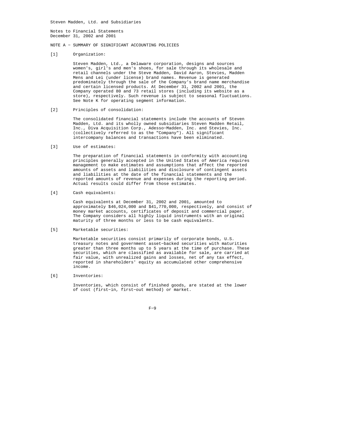## NOTE A − SUMMARY OF SIGNIFICANT ACCOUNTING POLICIES

# [1] Organization:

 Steven Madden, Ltd., a Delaware corporation, designs and sources women's, girl's and men's shoes, for sale through its wholesale and retail channels under the Steve Madden, David Aaron, Stevies, Madden Mens and Lei (under license) brand names. Revenue is generated predominately through the sale of the Company's brand name merchandise and certain licensed products. At December 31, 2002 and 2001, the Company operated 80 and 73 retail stores (including its website as a store), respectively. Such revenue is subject to seasonal fluctuations. See Note K for operating segment information.

[2] Principles of consolidation:

 The consolidated financial statements include the accounts of Steven Madden, Ltd. and its wholly owned subsidiaries Steven Madden Retail, Inc., Diva Acquisition Corp., Adesso−Madden, Inc. and Stevies, Inc. (collectively referred to as the "Company"). All significant intercompany balances and transactions have been eliminated.

[3] Use of estimates:

 The preparation of financial statements in conformity with accounting principles generally accepted in the United States of America requires management to make estimates and assumptions that affect the reported amounts of assets and liabilities and disclosure of contingent assets and liabilities at the date of the financial statements and the reported amounts of revenue and expenses during the reporting period. Actual results could differ from those estimates.

[4] Cash equivalents:

 Cash equivalents at December 31, 2002 and 2001, amounted to approximately \$46,024,000 and \$41,770,000, respectively, and consist of money market accounts, certificates of deposit and commercial paper. The Company considers all highly liquid instruments with an original maturity of three months or less to be cash equivalents.

[5] Marketable securities:

 Marketable securities consist primarily of corporate bonds, U.S. treasury notes and government asset−backed securities with maturities greater than three months up to 5 years at the time of purchase. These securities, which are classified as available for sale, are carried at fair value, with unrealized gains and losses, net of any tax effect, reported in shareholders' equity as accumulated other comprehensive income.

[6] Inventories:

 Inventories, which consist of finished goods, are stated at the lower of cost (first−in, first−out method) or market.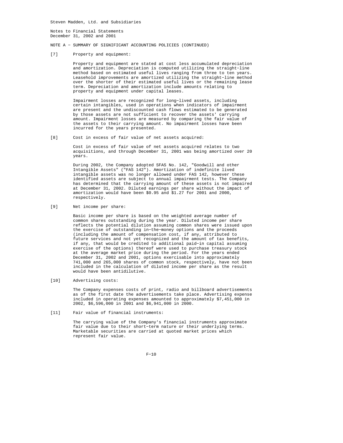- NOTE A − SUMMARY OF SIGNIFICANT ACCOUNTING POLICIES (CONTINUED)
- [7] Property and equipment:

 Property and equipment are stated at cost less accumulated depreciation and amortization. Depreciation is computed utilizing the straight−line method based on estimated useful lives ranging from three to ten years. Leasehold improvements are amortized utilizing the straight−line method over the shorter of their estimated useful lives or the remaining lease term. Depreciation and amortization include amounts relating to property and equipment under capital leases.

 Impairment losses are recognized for long−lived assets, including certain intangibles, used in operations when indicators of impairment are present and the undiscounted cash flows estimated to be generated by those assets are not sufficient to recover the assets' carrying amount. Impairment losses are measured by comparing the fair value of the assets to their carrying amount. No impairment losses have been incurred for the years presented.

[8] Cost in excess of fair value of net assets acquired:

 Cost in excess of fair value of net assets acquired relates to two acquisitions, and through December 31, 2001 was being amortized over 20 years.

 During 2002, the Company adopted SFAS No. 142, "Goodwill and other Intangible Assets" ("FAS 142"). Amortization of indefinite lived intangible assets was no longer allowed under FAS 142, however these identified assets are subject to annual impairment tests. The Company has determined that the carrying amount of these assets is not impaired at December 31, 2002. Diluted earnings per share without the impact of amortization would have been \$0.95 and \$1.27 for 2001 and 2000, respectively.

[9] Net income per share:

 Basic income per share is based on the weighted average number of common shares outstanding during the year. Diluted income per share reflects the potential dilution assuming common shares were issued upon the exercise of outstanding in−the−money options and the proceeds (including the amount of compensation cost, if any, attributed to future services and not yet recognized and the amount of tax benefits, if any, that would be credited to additional paid−in capital assuming exercise of the options) thereof were used to purchase treasury stock at the average market price during the period. For the years ended December 31, 2002 and 2001, options exercisable into approximately 741,000 and 265,000 shares of common stock, respectively, have not been included in the calculation of diluted income per share as the result would have been antidilutive.

[10] Advertising costs:

 The Company expenses costs of print, radio and billboard advertisements as of the first date the advertisements take place. Advertising expense included in operating expenses amounted to approximately \$7,451,000 in 2002, \$6,596,000 in 2001 and \$6,941,000 in 2000.

[11] Fair value of financial instruments:

 The carrying value of the Company's financial instruments approximate fair value due to their short−term nature or their underlying terms. Marketable securities are carried at quoted market prices which represent fair value.

F−10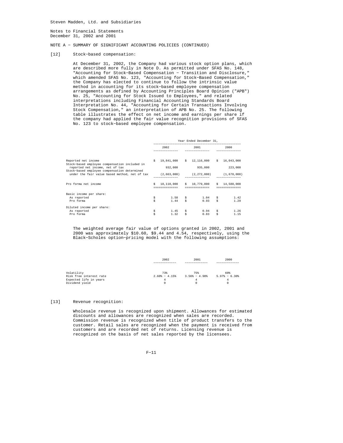## NOTE A − SUMMARY OF SIGNIFICANT ACCOUNTING POLICIES (CONTINUED)

# [12] Stock−based compensation:

 At December 31, 2002, the Company had various stock option plans, which are described more fully in Note D. As permitted under SFAS No. 148, "Accounting for Stock−Based Compensation − Transition and Disclosure," which amended SFAS No. 123, "Accounting for Stock−Based Compensation," the Company has elected to continue to follow the intrinsic value method in accounting for its stock−based employee compensation arrangements as defined by Accounting Principles Board Opinion ("APB") No. 25, "Accounting for Stock Issued to Employees," and related interpretations including Financial Accounting Standards Board Interpretation No. 44, "Accounting for Certain Transactions Involving Stock Compensation," an interpretation of APB No. 25. The following table illustrates the effect on net income and earnings per share if the company had applied the fair value recognition provisions of SFAS No. 123 to stock−based employee compensation.

|                                                                                 | Year Ended December 31, |              |                         |                                               |         |              |
|---------------------------------------------------------------------------------|-------------------------|--------------|-------------------------|-----------------------------------------------|---------|--------------|
|                                                                                 |                         | 2002         | 2001<br>--------------- |                                               |         | 2000         |
| Reported net income<br>Stock-based employee compensation included in            | Ŝ.                      |              |                         | 19,841,000 \$ 12,116,000 \$ 16,043,000        |         |              |
| reported net income, net of tax<br>Stock-based employee compensation determined |                         |              |                         | 932.000 935.000                               |         | 223,000      |
| under the fair value based method, net of tax                                   |                         |              |                         | $(2,663,000)$ $(2,272,000)$ $(1,678,000)$     |         |              |
| Pro forma net income                                                            |                         | \$18,110,000 |                         | \$10,779,000                                  |         | \$14,588,000 |
| Basic income per share:                                                         |                         |              |                         |                                               |         |              |
| As reported<br>Pro forma                                                        | \$<br>Ś                 | 1.44         | S                       | 1.58 $\frac{1}{2}$ 1.04 $\frac{1}{2}$<br>0.93 | Ŝ.      | 1.42<br>1.29 |
| Diluted income per share:                                                       |                         |              |                         |                                               |         |              |
| As reported<br>Pro forma                                                        | \$<br>Ś                 | 1.45<br>1.32 | \$<br>Ś                 | 0.94<br>0.83                                  | \$<br>Ś | 1.26<br>1.15 |

 The weighted average fair value of options granted in 2002, 2001 and 2000 was approximately \$10.60, \$9.44 and 4.54, respectively, using the Black−Scholes option−pricing model with the following assumptions:

|                         | 2002              | 2001              | 2000              |
|-------------------------|-------------------|-------------------|-------------------|
|                         |                   |                   |                   |
|                         |                   |                   |                   |
| Volatility              | 73%               | 75%               | 60%               |
| Risk free interest rate | $2.60\% - 4.15\%$ | $3.56\% - 4.98\%$ | $5.97\% - 6.30\%$ |
| Expected life in years  |                   |                   |                   |
| Dividend yield          |                   |                   |                   |

#### [13] Revenue recognition:

 Wholesale revenue is recognized upon shipment. Allowances for estimated discounts and allowances are recognized when sales are recorded. Commission revenue is recognized when title of product transfers to the customer. Retail sales are recognized when the payment is received from customers and are recorded net of returns. Licensing revenue is recognized on the basis of net sales reported by the licensees.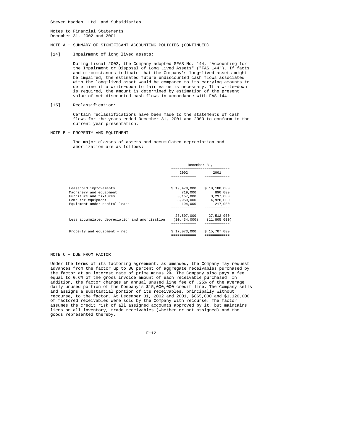- NOTE A − SUMMARY OF SIGNIFICANT ACCOUNTING POLICIES (CONTINUED)
- [14] Impairment of long−lived assets:

 During fiscal 2002, the Company adopted SFAS No. 144, "Accounting for the Impairment or Disposal of Long−Lived Assets" ("FAS 144"). If facts and circumstances indicate that the Company's long−lived assets might be impaired, the estimated future undiscounted cash flows associated with the long−lived asset would be compared to its carrying amounts to determine if a write−down to fair value is necessary. If a write−down is required, the amount is determined by estimation of the present value of net discounted cash flows in accordance with FAS 144.

[15] Reclassification:

 Certain reclassifications have been made to the statements of cash flows for the years ended December 31, 2001 and 2000 to conform to the current year presentation.

# NOTE B − PROPERTY AND EQUIPMENT

 The major classes of assets and accumulated depreciation and amortization are as follows:

|                                                | December 31. |              |
|------------------------------------------------|--------------|--------------|
|                                                | 2002         | 2001         |
|                                                |              |              |
| Leasehold improvements                         | \$19.478.000 | \$18.180.000 |
| Machinery and equipment                        | 719,000      | 890,000      |
| Furniture and fixtures                         | 3,157,000    | 3,297,000    |
| Computer equipment                             | 3,959,000    | 4,928,000    |
| Equipment under capital lease                  | 194,000      | 217,000      |
|                                                |              |              |
|                                                | 27,507,000   | 27.512.000   |
| Less accumulated depreciation and amortization | (10.434.000) | (11.805.000) |
|                                                |              |              |
| Property and equipment - net                   | \$17.073.000 | \$15,707,000 |
|                                                |              | ==========   |

# NOTE C − DUE FROM FACTOR

Under the terms of its factoring agreement, as amended, the Company may request advances from the factor up to 80 percent of aggregate receivables purchased by the factor at an interest rate of prime minus  $2\$ . The Company also pays a fee equal to 0.6% of the gross invoice amount of each receivable purchased. In addition, the factor charges an annual unused line fee of .25% of the average daily unused portion of the Company's \$15,000,000 credit line. The Company sells and assigns a substantial portion of its receivables, principally without recourse, to the factor. At December 31, 2002 and 2001, \$865,000 and \$1,120,000 of factored receivables were sold by the Company with recourse. The factor assumes the credit risk of all assigned accounts approved by it, but maintains liens on all inventory, trade receivables (whether or not assigned) and the goods represented thereby.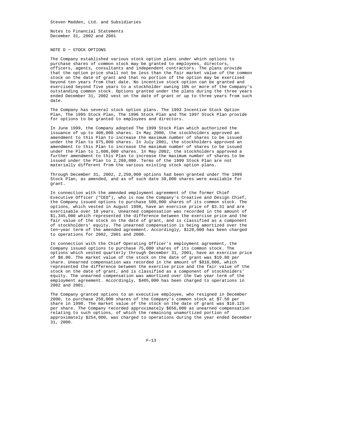NOTE D − STOCK OPTIONS

The Company established various stock option plans under which options to purchase shares of common stock may be granted to employees, directors, officers, agents, consultants and independent contractors. The plans provide that the option price shall not be less than the fair market value of the common stock on the date of grant and that no portion of the option may be exercised beyond ten years from that date. No incentive stock option can be granted and exercised beyond five years to a stockholder owning 10% or more of the Company's outstanding common stock. Options granted under the plans during the three years ended December 31, 2002 vest on the date of grant or up to three years from such date.

The Company has several stock option plans. The 1993 Incentive Stock Option Plan, The 1995 Stock Plan, The 1996 Stock Plan and The 1997 Stock Plan provide for options to be granted to employees and directors.

In June 1999, the Company adopted The 1999 Stock Plan which authorized the issuance of up to 400,000 shares. In May 2000, the stockholders approved an amendment to this Plan to increase the maximum number of shares to be issued under the Plan to 975,000 shares. In July 2001, the stockholders approved an amendment to this Plan to increase the maximum number of shares to be issued under the Plan to 1,600,000 shares. In May 2002, the stockholders approved a further amendment to this Plan to increase the maximum number of shares to be issued under the Plan to 2,280,000. Terms of the 1999 Stock Plan are not materially different from the various existing stock option plans.

Through December 31, 2002, 2,250,000 options had been granted under The 1999 Stock Plan, as amended, and as of such date 30,000 shares were available for grant.

In connection with the amended employment agreement of the former Chief Executive Officer ("CEO"), who is now the Company's Creative and Design Chief, the Company issued options to purchase 500,000 shares of its common stock. The options, which vested in August 1998, have an exercise price of \$3.31 and are exercisable over 10 years. Unearned compensation was recorded in the amount of \$1,345,000 which represented the difference between the exercise price and the fair value of the stock on the date of grant, and is classified as a component of stockholders' equity. The unearned compensation is being amortized over the ten−year term of the amended agreement. Accordingly, \$128,000 has been charged to operations for 2002, 2001 and 2000.

In connection with the Chief Operating Officer's employment agreement, the Company issued options to purchase 75,000 shares of its common stock. The options which vested quarterly through December 31, 2001, have an exercise price of \$8.00. The market value of the stock on the date of grant was \$10.80 per share. Unearned compensation was recorded in the amount of \$810,000, which represented the difference between the exercise price and the fair value of the stock on the date of grant, and is classified as a component of stockholders' equity. The unearned compensation was amortized over the two year term of the employment agreement. Accordingly, \$405,000 has been charged to operations in 2002 and 2001.

The Company granted options to an executive employee, who resigned in December 2000, to purchase 250,000 shares of the Company's common stock at \$7.50 per share in 1998. The market value of the stock on the date of grant was \$10.125 per share. The Company recorded approximately \$656,000 as unearned compensation relating to such options, of which the remaining unamortized portion of approximately \$254,000, was charged to operations during the year ended December 31, 2000.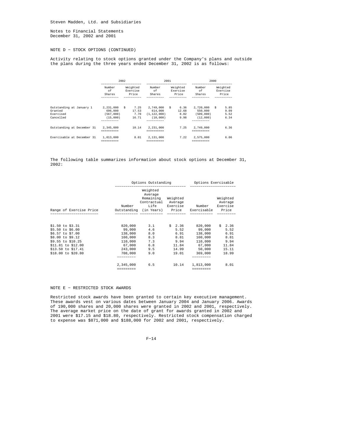# NOTE D − STOCK OPTIONS (CONTINUED)

Activity relating to stock options granted under the Company's plans and outside the plans during the three years ended December 31, 2002 is as follows:

|                                                               | 2002                                                        |                               | 2001                           |                                                   |                               | 2000                          |                                                  |                               |                              |
|---------------------------------------------------------------|-------------------------------------------------------------|-------------------------------|--------------------------------|---------------------------------------------------|-------------------------------|-------------------------------|--------------------------------------------------|-------------------------------|------------------------------|
|                                                               | Number<br>of<br>Shares                                      | Weighted<br>Exercise<br>Price |                                | Number<br>of<br>Shares                            | Weighted<br>Exercise<br>Price |                               | Number<br>of<br>Shares                           | Weighted<br>Exercise<br>Price |                              |
| Outstanding at January 1<br>Granted<br>Exercised<br>Cancelled | 2,231,000<br>696,000<br>(567,000)<br>(15.000)<br>---------- | S.                            | 7.25<br>17.53<br>7.70<br>16.71 | 2.749.000 S<br>614,000<br>(1.122.000)<br>(10.000) |                               | 6.36<br>12.68<br>8.02<br>9.98 | 2.720.000 S<br>550,000<br>(509, 000)<br>(12,000) |                               | 5.85<br>9.09<br>5.52<br>6.34 |
| Outstanding at December 31                                    | 2.345.000<br>==========                                     |                               | 10.14                          | 2,231,000<br>==========                           |                               | 7.25                          | 2,749,000<br>==========                          |                               | 6.36                         |
| Exercisable at December 31                                    | 1,813,000<br>==========                                     |                               | 8.01                           | 2,131,000<br>==========                           |                               | 7.22                          | 2,575,000<br>==========                          |                               | 6.06                         |

The following table summarizes information about stock options at December 31, 2002:

|                                                    | Options Outstanding |                                                                                                                     |                           | Options Exercisable   |                                          |  |
|----------------------------------------------------|---------------------|---------------------------------------------------------------------------------------------------------------------|---------------------------|-----------------------|------------------------------------------|--|
| Range of Exercise Price<br>----------------------- | Number              | Weighted<br>Average<br>Remaining<br>Contractual Average<br>Outstanding (in Years) Price<br>------------ ----------- | Weighted<br>Life Exercise | Number<br>Exercisable | Weighted<br>Average<br>Exercise<br>Price |  |
|                                                    |                     |                                                                                                                     |                           |                       |                                          |  |
| $$1.50$ to $$3.31$                                 | 820,000             | 3.1                                                                                                                 | \$2.36                    | 820,000               | \$2.36                                   |  |
| \$5.50 to \$6.00                                   | 99,000 4.6          |                                                                                                                     | 5.52                      | 99.000                | 5.52                                     |  |
| \$6.57 to \$7.00                                   | 138,000             | 8.0                                                                                                                 | 6.91                      | 138,000               | 6.91                                     |  |
| \$8.00 to \$9.12                                   | 160,000             | 8.3                                                                                                                 | 8.81                      | 160,000               | 8.81                                     |  |
| \$9.55 to \$10.25                                  | 110,000             | 7.3                                                                                                                 | 9.94                      | 110,000               | 9.94                                     |  |
| \$11.81 to \$12.00                                 | 67,000              | 6.8                                                                                                                 | 11.84                     | 67,000                | 11.84                                    |  |
| \$13.50 to \$17.41                                 | 243,000             | 9.5                                                                                                                 | 14.99                     | 50,000                | 15.11                                    |  |
| \$18.00 to \$20.80                                 | 708,000             | 9.0                                                                                                                 | 19.01                     | 369.000               | 18.99                                    |  |
|                                                    | ---------           |                                                                                                                     |                           |                       |                                          |  |
|                                                    | 2,345,000           | 6.5                                                                                                                 | 10.14                     | 1,813,000             | 8.01                                     |  |
|                                                    |                     |                                                                                                                     |                           | =========             |                                          |  |

# NOTE E − RESTRICTED STOCK AWARDS

Restricted stock awards have been granted to certain key executive management. These awards vest on various dates between January 2004 and January 2006. Awards of 190,000 shares and 20,000 shares were granted in 2002 and 2001, respectively. The average market price on the date of grant for awards granted in 2002 and 2001 were \$17.15 and \$18.80, respectively. Restricted stock compensation charged to expense was \$871,000 and \$188,000 for 2002 and 2001, respectively.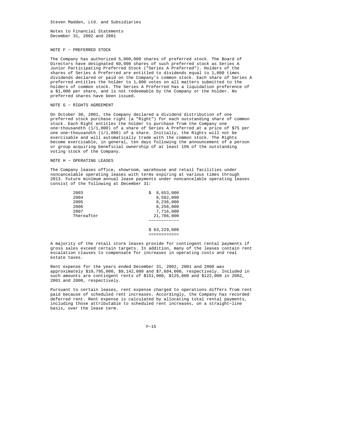NOTE F − PREFERRED STOCK

The Company has authorized 5,000,000 shares of preferred stock. The Board of Directors have designated 60,000 shares of such preferred stock as Series A Junior Participating Preferred Stock ("Series A Preferred"). Holders of the shares of Series A Preferred are entitled to dividends equal to 1,000 times dividends declared or paid on the Company's common stock. Each share of Series A preferred entitles the holder to 1,000 votes on all matters submitted to the holders of common stock. The Series A Preferred has a liquidation preference of a \$1,000 per share, and is not redeemable by the Company or the holder. No preferred shares have been issued.

# NOTE G − RIGHTS AGREEMENT

On October 30, 2001, the Company declared a dividend distribution of one preferred stock purchase right (a "Right") for each outstanding share of common stock. Each Right entitles the holder to purchase from the Company one one−thousandth (1/1,000) of a share of Series A Preferred at a price of \$75 per one one−thousandth (1/1,000) of a share. Initially, the Rights will not be exercisable and will automatically trade with the common stock. The Rights become exercisable, in general, ten days following the announcement of a person or group acquiring beneficial ownership of at least 15% of the outstanding voting stock of the Company.

#### NOTE H − OPERATING LEASES

The Company leases office, showroom, warehouse and retail facilities under noncancelable operating leases with terms expiring at various times through 2013. Future minimum annual lease payments under noncancelable operating leases consist of the following at December 31:

| 2003       | 8,653,000      |
|------------|----------------|
| 2004       | 8,582,000      |
| 2005       | 8,236,000      |
| 2006       | 8,256,000      |
| 2007       | 7,716,000      |
| Thereafter | 21,786,000     |
|            |                |
|            | \$63, 229, 000 |
|            |                |

A majority of the retail store leases provide for contingent rental payments if gross sales exceed certain targets. In addition, many of the leases contain rent escalation clauses to compensate for increases in operating costs and real estate taxes.

Rent expense for the years ended December 31, 2002, 2001 and 2000 was approximately \$10,795,000, \$9,142,000 and \$7,604,000, respectively. Included in such amounts are contingent rents of \$151,000, \$125,000 and \$122,000 in 2002, 2001 and 2000, respectively.

Pursuant to certain leases, rent expense charged to operations differs from rent paid because of scheduled rent increases. Accordingly, the Company has recorded deferred rent. Rent expense is calculated by allocating total rental payments, including those attributable to scheduled rent increases, on a straight−line basis, over the lease term.

F−15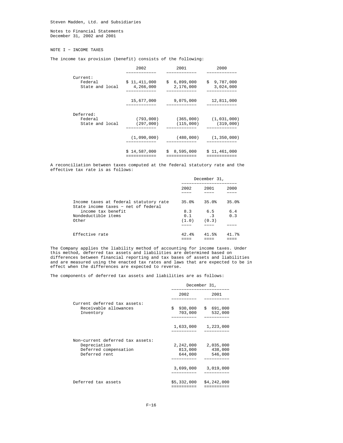Steven Madden, Ltd. and Subsidiaries

Notes to Financial Statements December 31, 2002 and 2001

# NOTE I − INCOME TAXES

The income tax provision (benefit) consists of the following:

|                                        | 2002                                    | 2001                       | 2000                         |
|----------------------------------------|-----------------------------------------|----------------------------|------------------------------|
|                                        |                                         |                            |                              |
| Current:<br>Federal<br>State and local | \$11,411,000<br>4,266,000               | \$6,899,000<br>2,176,000   | \$9,787,000<br>3,024,000     |
|                                        | 15,677,000                              | 9,075,000                  | 12,811,000                   |
| Deferred:                              |                                         |                            |                              |
| Federal                                | (793,000)                               |                            | $(365,000)$ $(1,031,000)$    |
| State and local                        | (297,000)                               | (115,000)                  | (319,000)                    |
|                                        |                                         |                            |                              |
|                                        | (1,090,000)                             | (480,000)                  | (1, 350, 000)                |
|                                        | \$14,587,000<br>. = = = = = = = = = = = | \$8,595,000<br>=========== | \$11,461,000<br>------------ |

A reconciliation between taxes computed at the federal statutory rate and the effective tax rate is as follows:

|       |                                                                               | December 31,<br>---------------- |                    |       |
|-------|-------------------------------------------------------------------------------|----------------------------------|--------------------|-------|
|       |                                                                               | 2002                             | 2001               | 2000  |
|       | Income taxes at federal statutory rate<br>State income taxes - net of federal | 35.0%                            | 35.0%              | 35.0% |
|       | income tax benefit                                                            | 8.3                              | 6.5                | 6.4   |
| Other | Nondeductible items                                                           | 0.1<br>(1.0)                     | $\cdot$ 3<br>(0.3) | 0.3   |
|       |                                                                               |                                  |                    |       |
|       | Effective rate                                                                | 42.4%                            | 41.5%              | 41.7% |

The Company applies the liability method of accounting for income taxes. Under this method, deferred tax assets and liabilities are determined based on differences between financial reporting and tax bases of assets and liabilities and are measured using the enacted tax rates and laws that are expected to be in effect when the differences are expected to reverse.

The components of deferred tax assets and liabilities are as follows:

|                                                                                            | December 31,              |                                                                    |  |  |
|--------------------------------------------------------------------------------------------|---------------------------|--------------------------------------------------------------------|--|--|
|                                                                                            | 2002                      | 2001                                                               |  |  |
| Current deferred tax assets:<br>Receivable allowances<br>Inventory                         |                           | $$930,000 \$691,000$<br>703,000 532,000                            |  |  |
|                                                                                            |                           | 1,633,000 1,223,000                                                |  |  |
| Non-current deferred tax assets:<br>Depreciation<br>Deferred compensation<br>Deferred rent | 644,000<br>----------     | 2, 242, 000 2, 035, 000<br>813,000 438,000<br>546,000<br>--------- |  |  |
|                                                                                            |                           | 3,699,000 3,019,000<br>--------                                    |  |  |
| Deferred tax assets                                                                        | \$5,332,000<br>========== | \$4,242,000<br>==========                                          |  |  |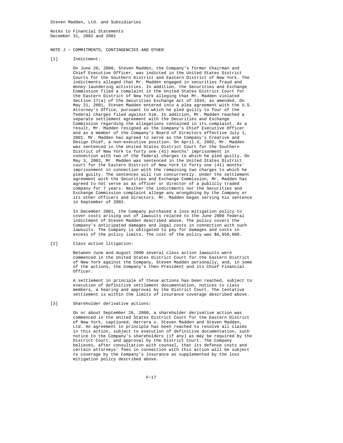#### NOTE J − COMMITMENTS, CONTINGENCIES AND OTHER

#### [1] Indictment:

 On June 20, 2000, Steven Madden, the Company's former Chairman and Chief Executive Officer, was indicted in the United States District Courts for the Southern District and Eastern District of New York. The indictments alleged that Mr. Madden engaged in securities fraud and money laundering activities. In addition, the Securities and Exchange Commission filed a complaint in the United States District Court for the Eastern District of New York alleging that Mr. Madden violated Section 17(a) of the Securities Exchange Act of 1934, as amended. On May 21, 2001, Steven Madden entered into a plea agreement with the U.S. Attorney's Office, pursuant to which he pled guilty to four of the federal charges filed against him. In addition, Mr. Madden reached a separate settlement agreement with the Securities and Exchange Commission regarding the allegations contained in its complaint. As a result, Mr. Madden resigned as the Company's Chief Executive Officer and as a member of the Company's Board of Directors effective July 1, 2001. Mr. Madden has agreed to serve as the Company's Creative and Design Chief, a non−executive position. On April 4, 2002, Mr. Madden was sentenced in the United States District Court for the Southern District of New York to forty one (41) months' imprisonment in connection with two of the federal charges to which he pled guilty. On May 3, 2002, Mr. Madden was sentenced in the United States District court for the Eastern District of New York to forty one (41) months' imprisonment in connection with the remaining two charges to which he pled guilty. The sentences will run concurrently. Under the settlement agreement with the Securities and Exchange Commission, Mr. Madden has agreed to not serve as an officer or director of a publicly traded company for 7 years. Neither the indictments nor the Securities and Exchange Commission complaint allege any wrongdoing by the Company or its other officers and directors. Mr. Madden began serving his sentence in September of 2002.

 In December 2001, the Company purchased a loss mitigation policy to cover costs arising out of lawsuits related to the June 2000 federal indictment of Steven Madden described above. The policy covers the Company's anticipated damages and legal costs in connection with such lawsuits. The Company is obligated to pay for damages and costs in excess of the policy limits. The cost of the policy was \$6,950,000.

#### [2] Class action litigation:

 Between June and August 2000 several class action lawsuits were commenced in the United States District Court for the Eastern District of New York against the Company, Steven Madden personally, and, in some of the actions, the Company's then President and its Chief Financial Officer.

 A settlement in principle of these actions has been reached, subject to execution of definitive settlement documentation, notices to class members, a hearing and approval by the District Court. The tentative settlement is within the limits of insurance coverage described above.

#### [3] Shareholder derivative actions:

 On or about September 26, 2000, a shareholder derivative action was commenced in the United States District Court for the Eastern District of New York, captioned, Herrera v. Steven Madden and Steven Madden, Ltd. An agreement in principle has been reached to resolve all claims in this action, subject to execution of definitive documentation, such notice to the Company's shareholders (if any) as may be required by the District Court, and approval by the District Court. The Company believes, after consultation with counsel, that its defense costs and certain attorneys' fees in connection with this action will be subject to coverage by the Company's insurance as supplemented by the loss mitigation policy described above.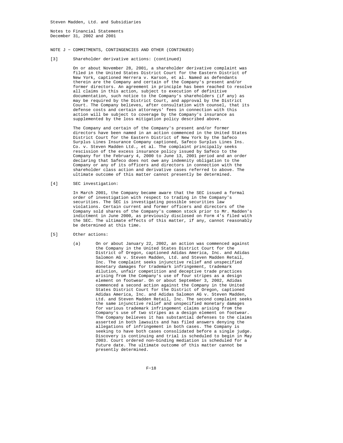- NOTE J − COMMITMENTS, CONTINGENCIES AND OTHER (CONTINUED)
- [3] Shareholder derivative actions: (continued)

 On or about November 28, 2001, a shareholder derivative complaint was filed in the United States District Court for the Eastern District of New York, captioned Herrera v. Karson, et al. Named as defendants therein are the Company and certain of the Company's present and/or former directors. An agreement in principle has been reached to resolve all claims in this action, subject to execution of definitive documentation, such notice to the Company's shareholders (if any) as may be required by the District Court, and approval by the District Court. The Company believes, after consultation with counsel, that its defense costs and certain attorneys' fees in connection with this action will be subject to coverage by the Company's insurance as supplemented by the loss mitigation policy described above.

 The Company and certain of the Company's present and/or former directors have been named in an action commenced in the United States District Court for the Eastern District of New York by the Safeco Surplus Lines Insurance Company captioned, Safeco Surplus Lines Ins. Co. v. Steven Madden Ltd., et al. The complaint principally seeks rescission of the excess insurance policy issued by Safeco to the Company for the February 4, 2000 to June 13, 2001 period and an order declaring that Safeco does not owe any indemnity obligation to the Company or any of its officers and directors in connection with the shareholder class action and derivative cases referred to above. The ultimate outcome of this matter cannot presently be determined.

[4] SEC investigation:

 In March 2001, the Company became aware that the SEC issued a formal order of investigation with respect to trading in the Company's securities. The SEC is investigating possible securities law violations. Certain current and former officers and directors of the Company sold shares of the Company's common stock prior to Mr. Madden's indictment in June 2000, as previously disclosed on Form 4's filed with the SEC. The ultimate effects of this matter, if any, cannot reasonably be determined at this time.

- [5] Other actions:
	- (a) On or about January 22, 2002, an action was commenced against the Company in the United States District Court for the District of Oregon, captioned Adidas America, Inc. and Adidas Salomon AG v. Steven Madden, Ltd. and Steven Madden Retail, Inc. The complaint seeks injunctive relief and unspecified monetary damages for trademark infringement, trademark dilution, unfair competition and deceptive trade practices arising from the Company's use of four stripes as a design element on footwear. On or about September 3, 2002, Adidas commenced a second action against the Company in the United States District Court for the District of Oregon, captioned Adidas America, Inc. and Adidas Salomon AG v. Steven Madden, Ltd. and Steven Madden Retail, Inc. The second complaint seeks the same injunctive relief and unspecified monetary damages for various trademark infringement claims arising from the Company's use of two stripes as a design element on footwear. The Company believes it has substantial defenses to the claims asserted in both lawsuits and has filed answers denying the allegations of infringement in both cases. The Company is seeking to have both cases consolidated before a single judge. Discovery is continuing and trial is scheduled to begin in May 2003. Court ordered non−binding mediation is scheduled for a future date. The ultimate outcome of this matter cannot be presently determined.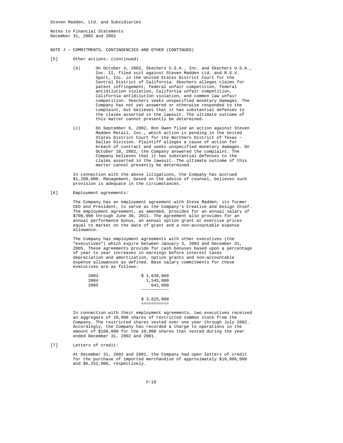- NOTE J − COMMITMENTS, CONTINGENCIES AND OTHER (CONTINUED)
- [5] Other actions: (continued)
	- (b) On October 4, 2002, Skechers U.S.A., Inc. and Skechers U.S.A., Inc. II, filed suit against Steven Madden Ltd. and R.S.V. Sport, Inc. in the United States District Court for the Central District of California. Skechers alleges claims for patent infringement, federal unfair competition, federal antidilution violation, California unfair competition, California antidilution violation, and common law unfair competition. Skechers seeks unspecified monetary damages. The Company has not yet answered or otherwise responded to the complaint, but believes that it has substantial defenses to the claims asserted in the lawsuit. The ultimate outcome of this matter cannot presently be determined.
	- (c) On September 6, 2002, Ron Owen filed an action against Steven Madden Retail, Inc., which action is pending in the United States District Court for the Northern District of Texas − Dallas Division. Plaintiff alleges a cause of action for breach of contract and seeks unspecified monetary damages. On October 10, 2002, the Company answered the complaint. The Company believes that it has substantial defenses to the claims asserted in the lawsuit. The ultimate outcome of this matter cannot presently be determined.

 In connection with the above litigations, the Company has accrued \$1,200,000. Management, based on the advice of counsel, believes such provision is adequate in the circumstances.

[6] Employment agreements:

 The Company has an employment agreement with Steve Madden, its former CEO and President, to serve as the Company's Creative and Design Chief. The employment agreement, as amended, provides for an annual salary of \$700,000 through June 30, 2011. The agreement also provides for an annual performance bonus, an annual option grant at exercise prices equal to market on the date of grant and a non−accountable expense allowance.

 The Company has employment agreements with other executives (the "executives") which expire between January 3, 2003 and December 31, 2005. These agreements provide for cash bonuses based upon a percentage of year to year increases in earnings before interest taxes depreciation and amortization, option grants and non−accountable expense allowances as defined. Base salary commitments for these executives are as follows:

| \$1,639,000 | 2003 |
|-------------|------|
| 1,545,000   | 2004 |
| 641,000     | 2005 |
|             |      |
|             |      |

#### $$3,825,000$ ===========

 In connection with their employment agreements, two executives received an aggregate of 20,000 shares of restricted common stock from the Company. The restricted shares vested over one year through July 2002. Accordingly, the Company has recorded a charge to operations in the amount of \$188,000 for the 10,000 shares that vested during the year ended December 31, 2002 and 2001.

# [7] Letters of credit:

 At December 31, 2002 and 2001, the Company had open letters of credit for the purchase of imported merchandise of approximately \$10,066,000 and \$6,252,000, respectively.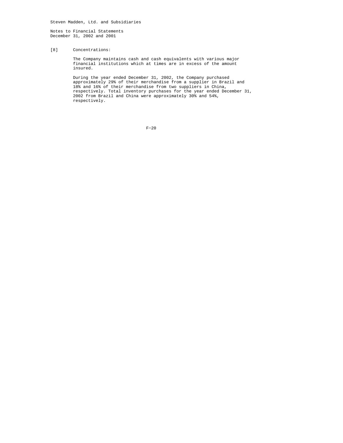# [8] Concentrations:

 The Company maintains cash and cash equivalents with various major financial institutions which at times are in excess of the amount insured.

 During the year ended December 31, 2002, the Company purchased approximately 29% of their merchandise from a supplier in Brazil and 18% and 16% of their merchandise from two suppliers in China, respectively. Total inventory purchases for the year ended December 31, 2002 from Brazil and China were approximately 30% and 54%, respectively.

F−20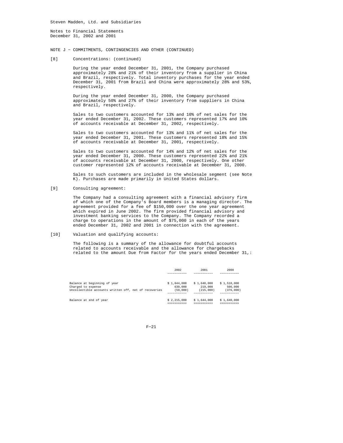NOTE J − COMMITMENTS, CONTINGENCIES AND OTHER (CONTINUED)

#### [8] Concentrations: (continued)

 During the year ended December 31, 2001, the Company purchased approximately 28% and 21% of their inventory from a supplier in China and Brazil, respectively. Total inventory purchases for the year ended December 31, 2001 from Brazil and China were approximately 28% and 53%, respectively.

> During the year ended December 31, 2000, the Company purchased approximately 50% and 27% of their inventory from suppliers in China and Brazil, respectively.

 Sales to two customers accounted for 13% and 10% of net sales for the year ended December 31, 2002. These customers represented 17% and 10% of accounts receivable at December 31, 2002, respectively.

 Sales to two customers accounted for 13% and 11% of net sales for the year ended December 31, 2001. These customers represented 18% and 15% of accounts receivable at December 31, 2001, respectively.

 Sales to two customers accounted for 14% and 12% of net sales for the year ended December 31, 2000. These customers represented 22% and 21% of accounts receivable at December 31, 2000, respectively. One other customer represented 12% of accounts receivable at December 31, 2000.

 Sales to such customers are included in the wholesale segment (see Note K). Purchases are made primarily in United States dollars.

### [9] Consulting agreement:

 The Company had a consulting agreement with a financial advisory firm of which one of the Company's Board members is a managing director. The agreement provided for a fee of \$150,000 over the one year agreement which expired in June 2002. The firm provided financial advisory and investment banking services to the Company. The Company recorded a charge to operations in the amount of \$75,000 in each of the years ended December 31, 2002 and 2001 in connection with the agreement.

[10] Valuation and qualifying accounts:

 The following is a summary of the allowance for doubtful accounts related to accounts receivable and the allowance for chargebacks related to the amount Due from Factor for the years ended December 31,:

|                                                       | 2002        | 2001        | 2000        |
|-------------------------------------------------------|-------------|-------------|-------------|
|                                                       |             |             |             |
|                                                       |             |             |             |
| Balance at beginning of year                          | \$1.644.000 | \$1.640.000 | \$1,510,000 |
| Charged to expense                                    | 630,000     | 219,000     | 506,000     |
| Uncollectible accounts written off, net of recoveries | (59.000)    | (215,000)   | (376, 000)  |
|                                                       |             |             |             |
| Balance at end of year                                | \$2.215.000 | \$1.644.000 | \$1.640.000 |
|                                                       |             |             |             |
|                                                       |             |             |             |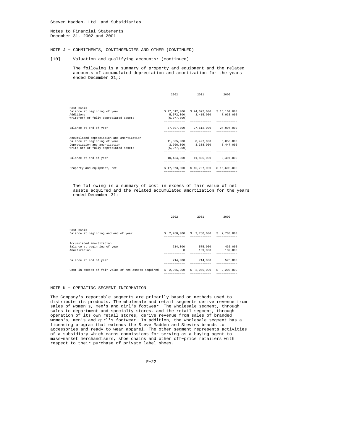# NOTE J − COMMITMENTS, CONTINGENCIES AND OTHER (CONTINUED)

# [10] Valuation and qualifying accounts: (continued)

 The following is a summary of property and equipment and the related accounts of accumulated depreciation and amortization for the years ended December 31,:

|                                                                        | 2002        | 2001                                      | 2000         |
|------------------------------------------------------------------------|-------------|-------------------------------------------|--------------|
|                                                                        |             |                                           |              |
| Cost basis                                                             |             |                                           |              |
| Balance at beginning of year                                           |             | $$27,512,000 \t$24,097,000 \t$16,164,000$ |              |
| Additions                                                              |             | 5,072,000 3,415,000 7,933,000             |              |
| Write-off of fully depreciated assets                                  | (5,077,000) |                                           |              |
|                                                                        |             |                                           |              |
| Balance at end of year                                                 |             | 27,507,000 27,512,000 24,097,000          |              |
|                                                                        |             |                                           |              |
|                                                                        |             |                                           |              |
| Accumulated depreciation and amortization                              |             |                                           |              |
| Balance at beginning of year                                           |             | 11,805,000 8,497,000                      | 5,050,000    |
| Depreciation and amortization<br>Write-off of fully depreciated assets | (5.077.000) | 3,706,000 3,308,000                       | 3,447,000    |
|                                                                        |             |                                           |              |
|                                                                        |             |                                           |              |
| Balance at end of year                                                 |             | 10,434,000 11,805,000 8,497,000           |              |
|                                                                        |             |                                           |              |
|                                                                        |             |                                           |              |
| Property and equipment, net                                            |             | \$17,073,000 \$15,707,000<br>============ | \$15,600,000 |
|                                                                        |             |                                           |              |

 The following is a summary of cost in excess of fair value of net assets acquired and the related accumulated amortization for the years ended December 31:

|                                                                          | 2002                | 2001               | 2000                      |
|--------------------------------------------------------------------------|---------------------|--------------------|---------------------------|
| Cost basis<br>Balance at beginning and end of year                       | \$ 2.780.000        | \$2.780.000        | \$2.780.000<br>---------- |
| Accumulated amortization<br>Balance at beginning of year<br>Amortization | 714,000<br>$\Omega$ | 575,000<br>139,000 | 436,000<br>139,000        |
| Balance at end of year                                                   | 714,000             | 714,000            | 575,000                   |
| Cost in excess of fair value of net assets acquired                      | \$2.066.000         | \$2.066.000        | 2.205.000<br>S.           |

#### NOTE K − OPERATING SEGMENT INFORMATION

The Company's reportable segments are primarily based on methods used to distribute its products. The wholesale and retail segments derive revenue from sales of women's, men's and girl's footwear. The wholesale segment, through sales to department and specialty stores, and the retail segment, through operation of its own retail stores, derive revenue from sales of branded women's, men's and girl's footwear. In addition, the wholesale segment has a licensing program that extends the Steve Madden and Stevies brands to accessories and ready−to−wear apparel. The other segment represents activities of a subsidiary which earns commissions for serving as a buying agent to mass−market merchandisers, shoe chains and other off−price retailers with respect to their purchase of private label shoes.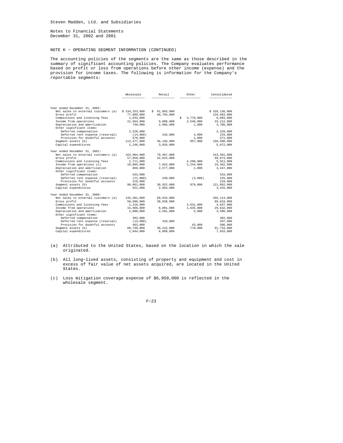# NOTE K − OPERATING SEGMENT INFORMATION (CONTINUED)

The accounting policies of the segments are the same as those described in the summary of significant accounting policies. The Company evaluates performance based on profit or loss from operations before other income (expense) and the provision for income taxes. The following is information for the Company's reportable segments:

|                                                                      | Wholesale           | Retail                  | Other           | Consolidated             |  |
|----------------------------------------------------------------------|---------------------|-------------------------|-----------------|--------------------------|--|
|                                                                      |                     |                         |                 | --------------           |  |
|                                                                      |                     |                         |                 |                          |  |
| Year ended December 31, 2002:<br>Net sales to external customers (a) | \$234.253.000       | \$91.883.000            |                 |                          |  |
| Gross profit                                                         | 77.889.000          |                         |                 | \$326, 136, 000          |  |
| Commissions and licensing fees                                       | 1,833,000           | 48,794,000              | 4,770,000<br>Ŝ. | 126,683,000<br>6,603,000 |  |
| Income from operations                                               | 21,664,000          | 9,000,000               | 2,548,000       | 33, 212, 000             |  |
| Depreciation and amortization                                        | 739,000             | 2,966,000               | 1,000           | 3,706,000                |  |
| Other significant items:                                             |                     |                         |                 |                          |  |
| Deferred compensation                                                | 2,228,000           |                         |                 | 2,228,000                |  |
| Deferred rent expense (reversal)                                     | (14,000)            | 243,000                 | 4,000           | 233,000                  |  |
| Provision for doubtful accounts                                      | 570,000             |                         | 1,000           | 571,000                  |  |
| Segment assets (b)                                                   | 113,477,000         | 36,166,000              | 857,000         | 150,500,000              |  |
| Capital expenditures                                                 | 1,246,000           | 3,826,000               |                 | 5,072,000                |  |
|                                                                      |                     |                         |                 |                          |  |
| Year ended December 31, 2001:<br>Net sales to external customers (a) |                     |                         |                 |                          |  |
|                                                                      | 163,904,000         | 79,487,000              |                 | 243, 391, 000            |  |
| Gross profit                                                         | 57,858,000          | 42,015,000              |                 | 99,873,000               |  |
| Commissions and licensing fees                                       | 1,711,000           |                         | 4,200,000       | 5,911,000                |  |
| Income from operations (c)                                           | 10,095,000          | 7,023,000               | 2,244,000       | 19,362,000               |  |
| Depreciation and amortization                                        | 869,000             | 2.577.000               | 1,000           | 3.447.000                |  |
| Other significant items:                                             |                     |                         |                 |                          |  |
| Deferred compensation<br>Deferred rent expense (reversal)            | 533,000<br>(21,000) | 249,000                 | (3,000)         | 533,000<br>225,000       |  |
| Provision for doubtful accounts                                      | 219,000             |                         |                 | 219,000                  |  |
| Segment assets (b)                                                   | 90,061,000          |                         | 879,000         | 121,862,000              |  |
| Capital expenditures                                                 | 551,000             | 30,922,000<br>2,864,000 |                 | 3,415,000                |  |
|                                                                      |                     |                         |                 |                          |  |
| Year ended December 31, 2000:                                        |                     |                         |                 |                          |  |
| Net sales to external customers (a)                                  | 135,481,000         | 69,632,000              |                 | 205, 113, 000            |  |
| Gross profit                                                         | 50,680,000          | 38,938,000              |                 | 89,618,000               |  |
| Commissions and licensing fees                                       | 1,216,000           |                         | 3,631,000       | 4,847,000                |  |
| Income from operations                                               | 15,996,000          | 8,001,000               | 1,635,000       | 25,632,000               |  |
| Depreciation and amortization                                        | 1,000,000           | 2.581.000               | 5,000           | 3.586.000                |  |
| Other significant items:                                             |                     |                         |                 |                          |  |
| Deferred compensation                                                | 382,000             |                         |                 | 382,000                  |  |
| Deferred rent expense (reversal)                                     | (13,000)            | 310,000                 |                 | 297,000                  |  |
| Provision for doubtful accounts                                      | 463,000             |                         | 43,000          | 506,000                  |  |
| Seqment assets (b)                                                   | 60,740,000          | 30, 215, 000            | 778,000         | 91,733,000               |  |
| Capital expenditures                                                 | 1,044,000           | 6,889,000               |                 | 7,933,000                |  |

- (a) Attributed to the United States, based on the location in which the sale originated.
- (b) All long−lived assets, consisting of property and equipment and cost in excess of fair value of net assets acquired, are located in the United States.
- (c) Loss mitigation coverage expense of \$6,950,000 is reflected in the wholesale segment.

F−23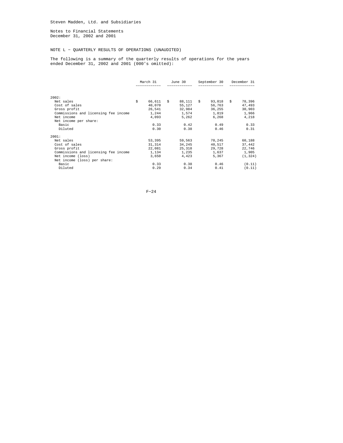# NOTE L − QUARTERLY RESULTS OF OPERATIONS (UNAUDITED)

The following is a summary of the quarterly results of operations for the years ended December 31, 2002 and 2001 (000's omitted):

|                                      |    | March 31 | June 30             | September 30 | December 31 |
|--------------------------------------|----|----------|---------------------|--------------|-------------|
|                                      |    |          |                     |              |             |
|                                      |    |          |                     |              |             |
| 2002:                                |    |          |                     |              |             |
| Net sales                            | Ŝ. |          | 66,611 \$ 88,111 \$ | 93,018 \$    | 78,396      |
| Cost of sales                        |    | 40.070   | 55,127              | 56,763       | 47,493      |
| Gross profit                         |    | 26,541   | 32,984              | 36,255       | 30,903      |
| Commissions and licensing fee income |    | 1,244    |                     | 1,574 1,819  | 1,966       |
| Net income                           |    | 4,093    | 5,262               | 6,268        | 4,218       |
| Net income per share:                |    |          |                     |              |             |
| Basic                                |    | 0.33     | 0.42                | 0.49         | 0.33        |
| Diluted                              |    | 0.30     | 0.38                | 0.46         | 0.31        |
| 2001:                                |    |          |                     |              |             |
| Net sales                            |    | 53,395   | 59,563              | 70.245       | 60,188      |
| Cost of sales                        |    | 31,314   | 34,245              | 40,517       | 37,442      |
| Gross profit                         |    | 22,081   | 25,318              | 29,728       | 22,746      |
| Commissions and licensing fee income |    | 1,134    | 1,235               | 1,637        | 1,905       |
| Net income (loss)                    |    | 3,650    | 4,423               | 5,367        | (1, 324)    |
| Net income (loss) per share:         |    |          |                     |              |             |
| Basic                                |    | 0.33     | 0.38                | 0.46         | (0.11)      |
| Diluted                              |    | 0.29     | 0.34                | 0.41         | (0.11)      |
|                                      |    |          |                     |              |             |

F−24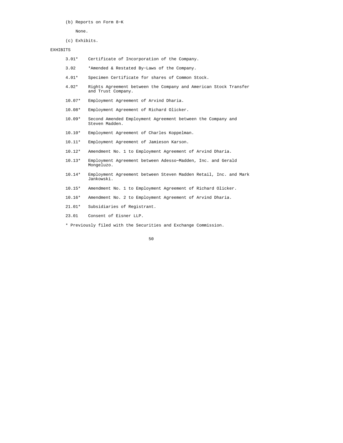(b) Reports on Form 8−K

None.

(c) Exhibits.

# EXHIBITS

- 3.01\* Certificate of Incorporation of the Company.
- 3.02 \*Amended & Restated By−Laws of the Company.
- 4.01\* Specimen Certificate for shares of Common Stock.
- 4.02\* Rights Agreement between the Company and American Stock Transfer and Trust Company.
- 10.07\* Employment Agreement of Arvind Dharia.
- 10.08\* Employment Agreement of Richard Olicker.
- 10.09\* Second Amended Employment Agreement between the Company and Steven Madden.
- 10.10\* Employment Agreement of Charles Koppelman.
- 10.11\* Employment Agreement of Jamieson Karson.
- 10.12\* Amendment No. 1 to Employment Agreement of Arvind Dharia.
- 10.13\* Employment Agreement between Adesso−Madden, Inc. and Gerald Mongeluzo.
- 10.14\* Employment Agreement between Steven Madden Retail, Inc. and Mark Jankowski.
- 10.15\* Amendment No. 1 to Employment Agreement of Richard Olicker.
- 10.16\* Amendment No. 2 to Employment Agreement of Arvind Dharia.
- 21.01\* Subsidiaries of Registrant.
- 23.01 Consent of Eisner LLP.
- \* Previously filed with the Securities and Exchange Commission.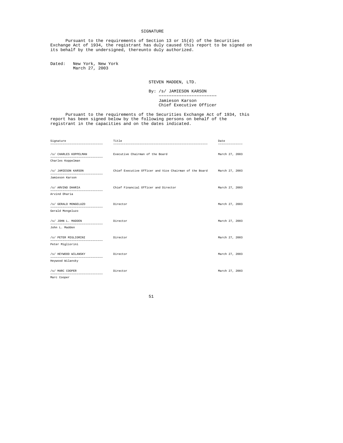# SIGNATURE

<span id="page-55-0"></span> Pursuant to the requirements of Section 13 or 15(d) of the Securities Exchange Act of 1934, the registrant has duly caused this report to be signed on its behalf by the undersigned, thereunto duly authorized.

Dated: New York, New York March 27, 2003

# STEVEN MADDEN, LTD.

By: /s/ JAMIESON KARSON

 −−−−−−−−−−−−−−−−−−−−−−− Jamieson Karson

Chief Executive Officer

 Pursuant to the requirements of the Securities Exchange Act of 1934, this report has been signed below by the following persons on behalf of the registrant in the capacities and on the dates indicated.

| Signature<br>--------------------                         | Title                                                  | Date<br>----------- |
|-----------------------------------------------------------|--------------------------------------------------------|---------------------|
| /s/ CHARLES KOPPELMAN                                     | Executive Chairman of the Board                        | March 27, 2003      |
| Charles Koppelman                                         |                                                        |                     |
| /s/ JAMIESON KARSON<br>-----------------------            | Chief Executive Officer and Vice Chairman of the Board | March 27, 2003      |
| Jamieson Karson                                           |                                                        |                     |
| /s/ ARVIND DHARIA                                         | Chief Financial Officer and Director                   | March 27, 2003      |
| Arvind Dharia                                             |                                                        |                     |
| /s/ GERALD MONGELUZO<br>--------------------------------- | Director                                               | March 27, 2003      |
| Gerald Mongeluzo                                          |                                                        |                     |
| /s/ JOHN L. MADDEN<br>---------------------------------   | Director                                               | March 27, 2003      |
| John L. Madden                                            |                                                        |                     |
| /s/ PETER MIGLIORINI<br>--------------------------------  | Director                                               | March 27, 2003      |
| Peter Migliorini                                          |                                                        |                     |
| /s/ HEYWOOD WILANSKY<br>-----------------                 | Director                                               | March 27, 2003      |
| Heywood Wilansky                                          |                                                        |                     |
| /s/ MARC COOPER<br>--------------------------------       | Director                                               | March 27, 2003      |
| Marc Cooper                                               |                                                        |                     |

 $51$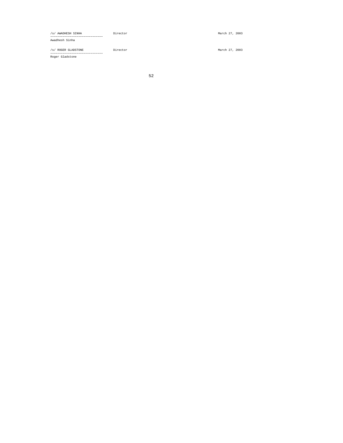| /s/ AWADHESH SINHA | Director | March 27, 2003 |  |  |
|--------------------|----------|----------------|--|--|
|                    |          |                |  |  |
| Awadhesh Sinha     |          |                |  |  |

/s/ ROGER GLADSTONE Director March 27, 2003 −−−−−−−−−−−−−−−−−−−−−−−−−−−−−− Roger Gladstone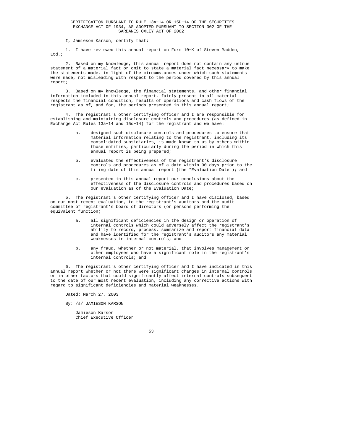#### CERTIFICATION PURSUANT TO RULE 13A−14 OR 15D−14 OF THE SECURITIES EXCHANGE ACT OF 1934, AS ADOPTED PURSUANT TO SECTION 302 OF THE SARBANES−OXLEY ACT OF 2002

I, Jamieson Karson, certify that:

 1. I have reviewed this annual report on Form 10−K of Steven Madden, Ltd.;

 2. Based on my knowledge, this annual report does not contain any untrue statement of a material fact or omit to state a material fact necessary to make the statements made, in light of the circumstances under which such statements were made, not misleading with respect to the period covered by this annual report;

 3. Based on my knowledge, the financial statements, and other financial information included in this annual report, fairly present in all material respects the financial condition, results of operations and cash flows of the registrant as of, and for, the periods presented in this annual report;

 4. The registrant's other certifying officer and I are responsible for establishing and maintaining disclosure controls and procedures (as defined in Exchange Act Rules 13a−14 and 15d−14) for the registrant and we have:

- a. designed such disclosure controls and procedures to ensure that material information relating to the registrant, including its consolidated subsidiaries, is made known to us by others within those entities, particularly during the period in which this annual report is being prepared;
- b. evaluated the effectiveness of the registrant's disclosure controls and procedures as of a date within 90 days prior to the filing date of this annual report (the "Evaluation Date"); and
- c. presented in this annual report our conclusions about the effectiveness of the disclosure controls and procedures based on our evaluation as of the Evaluation Date;

 5. The registrant's other certifying officer and I have disclosed, based on our most recent evaluation, to the registrant's auditors and the audit committee of registrant's board of directors (or persons performing the equivalent function):

- a. all significant deficiencies in the design or operation of internal controls which could adversely affect the registrant's ability to record, process, summarize and report financial data and have identified for the registrant's auditors any material weaknesses in internal controls; and
- b. any fraud, whether or not material, that involves management or other employees who have a significant role in the registrant's internal controls; and

 6. The registrant's other certifying officer and I have indicated in this annual report whether or not there were significant changes in internal controls or in other factors that could significantly affect internal controls subsequent to the date of our most recent evaluation, including any corrective actions with regard to significant deficiencies and material weaknesses.

Dated: March 27, 2003

 By: /s/ JAMIESON KARSON −−−−−−−−−−−−−−−−−−−−−−−− Jamieson Karson Chief Executive Officer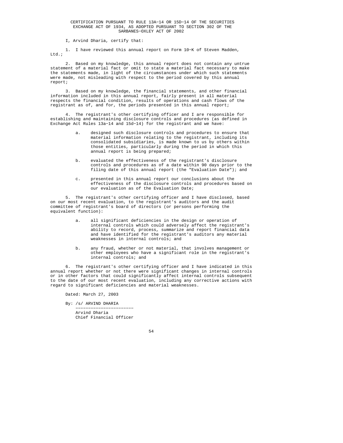#### CERTIFICATION PURSUANT TO RULE 13A−14 OR 15D−14 OF THE SECURITIES EXCHANGE ACT OF 1934, AS ADOPTED PURSUANT TO SECTION 302 OF THE SARBANES−OXLEY ACT OF 2002

I, Arvind Dharia, certify that:

 1. I have reviewed this annual report on Form 10−K of Steven Madden, Ltd.;

 2. Based on my knowledge, this annual report does not contain any untrue statement of a material fact or omit to state a material fact necessary to make the statements made, in light of the circumstances under which such statements were made, not misleading with respect to the period covered by this annual report;

 3. Based on my knowledge, the financial statements, and other financial information included in this annual report, fairly present in all material respects the financial condition, results of operations and cash flows of the registrant as of, and for, the periods presented in this annual report;

 4. The registrant's other certifying officer and I are responsible for establishing and maintaining disclosure controls and procedures (as defined in Exchange Act Rules 13a−14 and 15d−14) for the registrant and we have:

- a. designed such disclosure controls and procedures to ensure that material information relating to the registrant, including its consolidated subsidiaries, is made known to us by others within those entities, particularly during the period in which this annual report is being prepared;
- b. evaluated the effectiveness of the registrant's disclosure controls and procedures as of a date within 90 days prior to the filing date of this annual report (the "Evaluation Date"); and
- c. presented in this annual report our conclusions about the effectiveness of the disclosure controls and procedures based on our evaluation as of the Evaluation Date;

 5. The registrant's other certifying officer and I have disclosed, based on our most recent evaluation, to the registrant's auditors and the audit committee of registrant's board of directors (or persons performing the equivalent function):

- a. all significant deficiencies in the design or operation of internal controls which could adversely affect the registrant's ability to record, process, summarize and report financial data and have identified for the registrant's auditors any material weaknesses in internal controls; and
- b. any fraud, whether or not material, that involves management or other employees who have a significant role in the registrant's internal controls; and

 6. The registrant's other certifying officer and I have indicated in this annual report whether or not there were significant changes in internal controls or in other factors that could significantly affect internal controls subsequent to the date of our most recent evaluation, including any corrective actions with regard to significant deficiencies and material weaknesses.

Dated: March 27, 2003

 By: /s/ ARVIND DHARIA −−−−−−−−−−−−−−−−−−−−−−−− Arvind Dharia Chief Financial Officer

54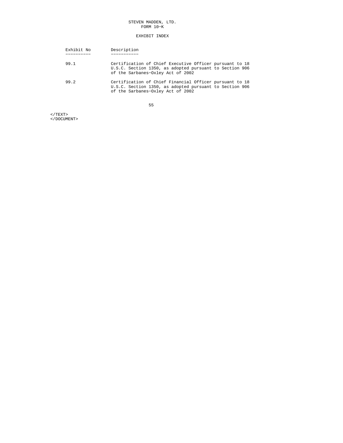#### STEVEN MADDEN, LTD. FORM 10−K

# EXHIBIT INDEX

| Exhibit No | Description                                                                                                                                             |
|------------|---------------------------------------------------------------------------------------------------------------------------------------------------------|
| 99.1       | Certification of Chief Executive Officer pursuant to 18<br>U.S.C. Section 1350, as adopted pursuant to Section 906<br>of the Sarbanes-Oxley Act of 2002 |
| 99.2       | Certification of Chief Financial Officer pursuant to 18<br>U.S.C. Section 1350, as adopted pursuant to Section 906<br>of the Sarbanes-Oxley Act of 2002 |

 $55$ 

 $<$ /TEXT> </DOCUMENT>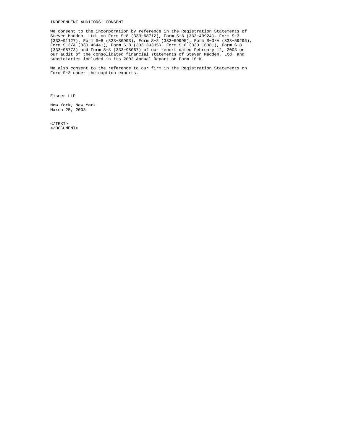<span id="page-60-0"></span>We consent to the incorporation by reference in the Registration Statements of Steven Madden, Ltd. on Form S−8 (333−68712), Form S−8 (333−40924), Form S−3 (333−91127), Form S−8 (333−86903), Form S−8 (333−59995), Form S−3/A (333−59295), Form S−3/A (333−46441), Form S−8 (333−39335), Form S−8 (333−16381), Form S−8 (333−05773) and Form S−8 (333−98067) of our report dated February 12, 2003 on our audit of the consolidated financial statements of Steven Madden, Ltd. and subsidiaries included in its 2002 Annual Report on Form 10−K.

We also consent to the reference to our firm in the Registration Statements on Form S−3 under the caption experts.

Eisner LLP

New York, New York March 25, 2003

 $<$  /  $\rm{TEXT}$   $>$  $<$  /DOCUMENT>  $\,$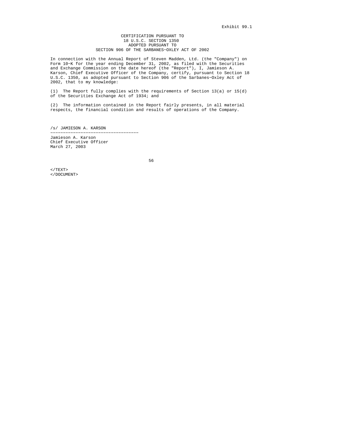#### CERTIFICATION PURSUANT TO 18 U.S.C. SECTION 1350 ADOPTED PURSUANT TO SECTION 906 OF THE SARBANES−OXLEY ACT OF 2002

<span id="page-61-0"></span>In connection with the Annual Report of Steven Madden, Ltd. (the "Company") on Form 10−K for the year ending December 31, 2002, as filed with the Securities and Exchange Commission on the date hereof (the "Report"), I, Jamieson A. Karson, Chief Executive Officer of the Company, certify, pursuant to Section 18 U.S.C. 1350, as adopted pursuant to Section 906 of the Sarbanes−Oxley Act of 2002, that to my knowledge:

(1) The Report fully complies with the requirements of Section 13(a) or 15(d) of the Securities Exchange Act of 1934; and

(2) The information contained in the Report fairly presents, in all material respects, the financial condition and results of operations of the Company.

/s/ JAMIESON A. KARSON −−−−−−−−−−−−−−−−−−−−−−−−−

Jamieson A. Karson Chief Executive Officer March 27, 2003

 $56$ 

 $<$  /  $\mathrm{TEXT}$   $>$ </DOCUMENT>